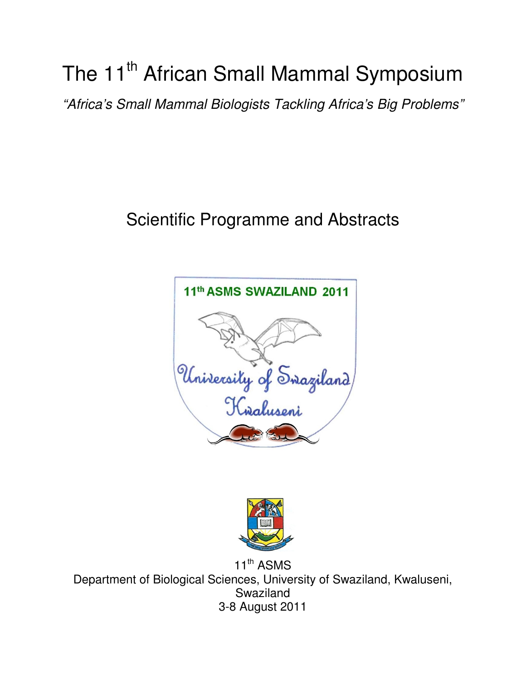# The 11<sup>th</sup> African Small Mammal Symposium

"Africa's Small Mammal Biologists Tackling Africa's Big Problems"

## Scientific Programme and Abstracts





11<sup>th</sup> ASMS Department of Biological Sciences, University of Swaziland, Kwaluseni, Swaziland 3-8 August 2011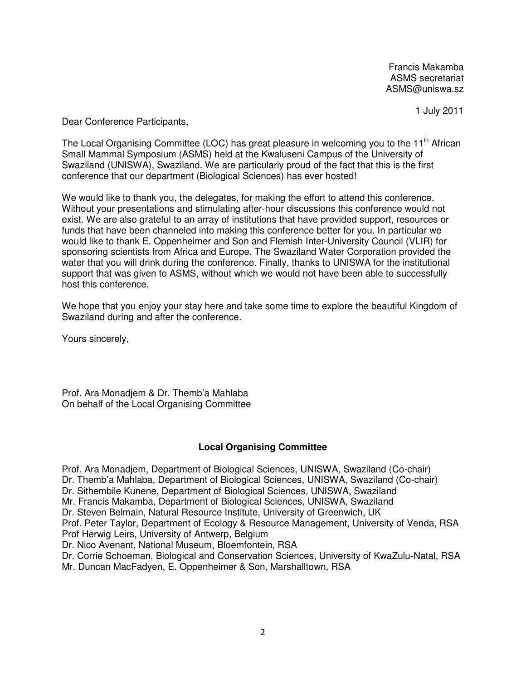Francis Makamba ASMS secretariat ASMS@uniswa.sz

1 July 2011

Dear Conference Participants,

The Local Organising Committee (LOC) has great pleasure in welcoming you to the 11<sup>th</sup> African Small Mammal Symposium (ASMS) held at the Kwaluseni Campus of the University of Swaziland (UNISWA), Swaziland. We are particularly proud of the fact that this is the first conference that our department (Biological Sciences) has ever hosted!

We would like to thank you, the delegates, for making the effort to attend this conference. Without your presentations and stimulating after-hour discussions this conference would not exist. We are also grateful to an array of institutions that have provided support, resources or funds that have been channeled into making this conference better for you. In particular we would like to thank E. Oppenheimer and Son and Flemish Inter-University Council (VLIR) for sponsoring scientists from Africa and Europe. The Swaziland Water Corporation provided the water that you will drink during the conference. Finally, thanks to UNISWA for the institutional support that was given to ASMS, without which we would not have been able to successfully host this conference.

We hope that you enjoy your stay here and take some time to explore the beautiful Kingdom of Swaziland during and after the conference.

Yours sincerely,

Prof. Ara Monadjem & Dr. Themb'a Mahlaba On behalf of the Local Organising Committee

#### **Local Organising Committee**

Prof. Ara Monadjem, Department of Biological Sciences, UNISWA, Swaziland (Co-chair)

Dr. Themb'a Mahlaba, Department of Biological Sciences, UNISWA, Swaziland (Co-chair)

Dr. Sithembile Kunene, Department of Biological Sciences, UNISWA, Swaziland

Mr. Francis Makamba, Department of Biological Sciences, UNISWA, Swaziland

Dr. Steven Belmain, Natural Resource Institute, University of Greenwich, UK

Prof. Peter Taylor, Department of Ecology & Resource Management, University of Venda, RSA Prof Herwig Leirs, University of Antwerp, Belgium

Dr. Nico Avenant, National Museum, Bloemfontein, RSA

Dr. Corrie Schoeman, Biological and Conservation Sciences, University of KwaZulu-Natal, RSA Mr. Duncan MacFadyen, E. Oppenheimer & Son, Marshalltown, RSA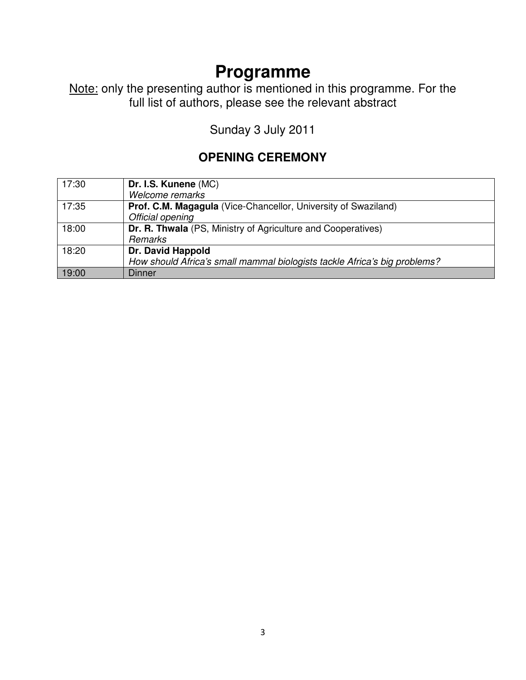Note: only the presenting author is mentioned in this programme. For the full list of authors, please see the relevant abstract

Sunday 3 July 2011

#### **OPENING CEREMONY**

| 17:30 | Dr. I.S. Kunene (MC)                                                      |
|-------|---------------------------------------------------------------------------|
|       | Welcome remarks                                                           |
| 17:35 | Prof. C.M. Magagula (Vice-Chancellor, University of Swaziland)            |
|       | Official opening                                                          |
| 18:00 | Dr. R. Thwala (PS, Ministry of Agriculture and Cooperatives)              |
|       | <b>Remarks</b>                                                            |
| 18:20 | Dr. David Happold                                                         |
|       | How should Africa's small mammal biologists tackle Africa's big problems? |
| 19:00 | Dinner                                                                    |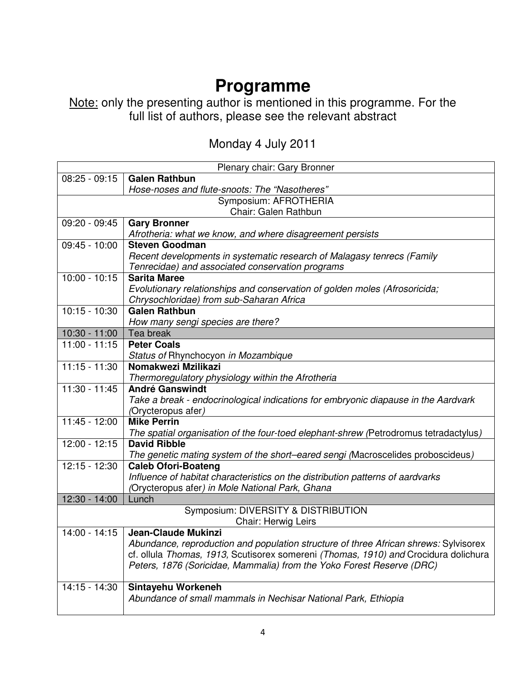Note: only the presenting author is mentioned in this programme. For the full list of authors, please see the relevant abstract

| Monday 4 July 2011 |  |  |
|--------------------|--|--|
|--------------------|--|--|

| Plenary chair: Gary Bronner |                                                                                      |
|-----------------------------|--------------------------------------------------------------------------------------|
| $08:25 - 09:15$             | <b>Galen Rathbun</b>                                                                 |
|                             | Hose-noses and flute-snoots: The "Nasotheres"                                        |
| Symposium: AFROTHERIA       |                                                                                      |
|                             | Chair: Galen Rathbun                                                                 |
| 09:20 - 09:45               | <b>Gary Bronner</b>                                                                  |
|                             | Afrotheria: what we know, and where disagreement persists                            |
| 09:45 - 10:00               | <b>Steven Goodman</b>                                                                |
|                             | Recent developments in systematic research of Malagasy tenrecs (Family               |
|                             | Tenrecidae) and associated conservation programs                                     |
| $10:00 - 10:15$             | <b>Sarita Maree</b>                                                                  |
|                             | Evolutionary relationships and conservation of golden moles (Afrosoricida;           |
|                             | Chrysochloridae) from sub-Saharan Africa                                             |
| $10:15 - 10:30$             | <b>Galen Rathbun</b>                                                                 |
|                             | How many sengi species are there?                                                    |
| $10:30 - 11:00$             | Tea break                                                                            |
| $11:00 - 11:15$             | <b>Peter Coals</b>                                                                   |
| $11:15 - 11:30$             | Status of Rhynchocyon in Mozambique<br>Nomakwezi Mzilikazi                           |
|                             | Thermoregulatory physiology within the Afrotheria                                    |
| $11:30 - 11:45$             | <b>André Ganswindt</b>                                                               |
|                             | Take a break - endocrinological indications for embryonic diapause in the Aardvark   |
|                             | (Orycteropus afer)                                                                   |
| $11:45 - 12:00$             | <b>Mike Perrin</b>                                                                   |
|                             | The spatial organisation of the four-toed elephant-shrew (Petrodromus tetradactylus) |
| $12:00 - 12:15$             | <b>David Ribble</b>                                                                  |
|                             | The genetic mating system of the short-eared sengi (Macroscelides proboscideus)      |
| $12:15 - 12:30$             | <b>Caleb Ofori-Boateng</b>                                                           |
|                             | Influence of habitat characteristics on the distribution patterns of aardvarks       |
|                             | (Orycteropus afer) in Mole National Park, Ghana                                      |
| 12:30 - 14:00               | Lunch                                                                                |
|                             | Symposium: DIVERSITY & DISTRIBUTION                                                  |
|                             | Chair: Herwig Leirs                                                                  |
| $14:00 - 14:15$             | <b>Jean-Claude Mukinzi</b>                                                           |
|                             | Abundance, reproduction and population structure of three African shrews: Sylvisorex |
|                             | cf. ollula Thomas, 1913, Scutisorex somereni (Thomas, 1910) and Crocidura dolichura  |
|                             | Peters, 1876 (Soricidae, Mammalia) from the Yoko Forest Reserve (DRC)                |
| 14:15 - 14:30               | Sintayehu Workeneh                                                                   |
|                             | Abundance of small mammals in Nechisar National Park, Ethiopia                       |
|                             |                                                                                      |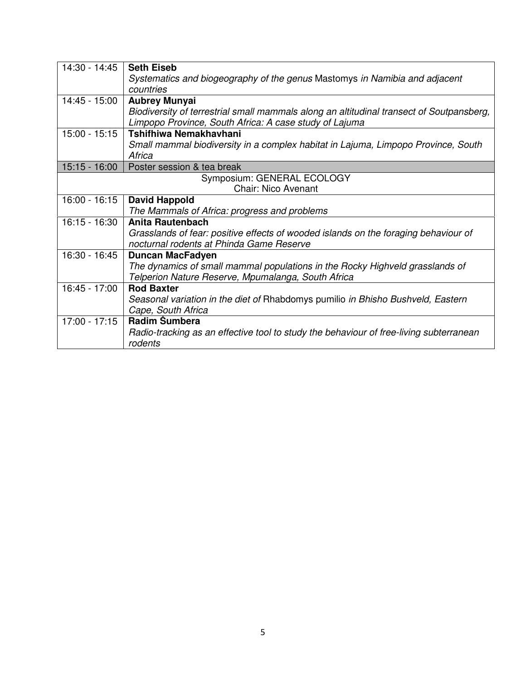| 14:30 - 14:45   | <b>Seth Eiseb</b>                                                                                                                                  |
|-----------------|----------------------------------------------------------------------------------------------------------------------------------------------------|
|                 | Systematics and biogeography of the genus Mastomys in Namibia and adjacent                                                                         |
|                 | countries                                                                                                                                          |
| 14:45 - 15:00   | <b>Aubrey Munyai</b>                                                                                                                               |
|                 | Biodiversity of terrestrial small mammals along an altitudinal transect of Soutpansberg,<br>Limpopo Province, South Africa: A case study of Lajuma |
| $15:00 - 15:15$ | Tshifhiwa Nemakhavhani                                                                                                                             |
|                 | Small mammal biodiversity in a complex habitat in Lajuma, Limpopo Province, South<br>Africa                                                        |
| $15:15 - 16:00$ | Poster session & tea break                                                                                                                         |
|                 | Symposium: GENERAL ECOLOGY                                                                                                                         |
|                 | <b>Chair: Nico Avenant</b>                                                                                                                         |
| $16:00 - 16:15$ | <b>David Happold</b>                                                                                                                               |
|                 | The Mammals of Africa: progress and problems                                                                                                       |
| $16:15 - 16:30$ | <b>Anita Rautenbach</b>                                                                                                                            |
|                 | Grasslands of fear: positive effects of wooded islands on the foraging behaviour of                                                                |
|                 | nocturnal rodents at Phinda Game Reserve                                                                                                           |
| 16:30 - 16:45   | <b>Duncan MacFadyen</b>                                                                                                                            |
|                 | The dynamics of small mammal populations in the Rocky Highveld grasslands of                                                                       |
|                 | Telperion Nature Reserve, Mpumalanga, South Africa                                                                                                 |
| 16:45 - 17:00   | <b>Rod Baxter</b>                                                                                                                                  |
|                 | Seasonal variation in the diet of Rhabdomys pumilio in Bhisho Bushveld, Eastern                                                                    |
|                 | Cape, South Africa                                                                                                                                 |
| $17:00 - 17:15$ | Radim Šumbera                                                                                                                                      |
|                 | Radio-tracking as an effective tool to study the behaviour of free-living subterranean                                                             |
|                 | rodents                                                                                                                                            |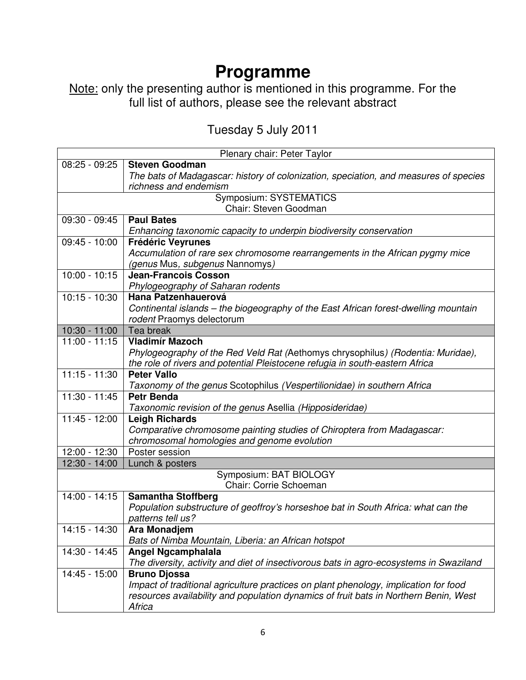Note: only the presenting author is mentioned in this programme. For the full list of authors, please see the relevant abstract

### Tuesday 5 July 2011

| Plenary chair: Peter Taylor |                                                                                                |
|-----------------------------|------------------------------------------------------------------------------------------------|
| $08:25 - 09:25$             | <b>Steven Goodman</b>                                                                          |
|                             | The bats of Madagascar: history of colonization, speciation, and measures of species           |
|                             | richness and endemism                                                                          |
|                             | Symposium: SYSTEMATICS                                                                         |
|                             | Chair: Steven Goodman                                                                          |
| 09:30 - 09:45               | <b>Paul Bates</b>                                                                              |
|                             | Enhancing taxonomic capacity to underpin biodiversity conservation                             |
| $09:45 - 10:00$             | <b>Frédéric Veyrunes</b>                                                                       |
|                             | Accumulation of rare sex chromosome rearrangements in the African pygmy mice                   |
|                             | (genus Mus, subgenus Nannomys)                                                                 |
| $10:00 - 10:15$             | <b>Jean-Francois Cosson</b>                                                                    |
|                             | Phylogeography of Saharan rodents                                                              |
| $10:15 - 10:30$             | Hana Patzenhauerová                                                                            |
|                             | Continental islands – the biogeography of the East African forest-dwelling mountain            |
| $10:30 - 11:00$             | rodent Praomys delectorum<br>Tea break                                                         |
| $11:00 - 11:15$             | <b>Vladimír Mazoch</b>                                                                         |
|                             | Phylogeography of the Red Veld Rat (Aethomys chrysophilus) (Rodentia: Muridae),                |
|                             | the role of rivers and potential Pleistocene refugia in south-eastern Africa                   |
| $11:15 - 11:30$             | <b>Peter Vallo</b>                                                                             |
|                             | Taxonomy of the genus Scotophilus (Vespertilionidae) in southern Africa                        |
| $11:30 - 11:45$             | <b>Petr Benda</b>                                                                              |
|                             | Taxonomic revision of the genus Asellia (Hipposideridae)                                       |
| $11:45 - 12:00$             | <b>Leigh Richards</b>                                                                          |
|                             | Comparative chromosome painting studies of Chiroptera from Madagascar:                         |
|                             | chromosomal homologies and genome evolution                                                    |
| 12:00 - 12:30               | Poster session                                                                                 |
| $12:30 - 14:00$             | Lunch & posters                                                                                |
|                             | Symposium: BAT BIOLOGY                                                                         |
|                             | Chair: Corrie Schoeman                                                                         |
| 14:00 - 14:15               | <b>Samantha Stoffberg</b>                                                                      |
|                             | Population substructure of geoffroy's horseshoe bat in South Africa: what can the              |
|                             | patterns tell us?                                                                              |
| 14:15 - 14:30               | Ara Monadjem                                                                                   |
|                             | Bats of Nimba Mountain, Liberia: an African hotspot                                            |
| 14:30 - 14:45               | <b>Angel Ngcamphalala</b>                                                                      |
|                             | The diversity, activity and diet of insectivorous bats in agro-ecosystems in Swaziland         |
| 14:45 - 15:00               | <b>Bruno Djossa</b>                                                                            |
|                             | Impact of traditional agriculture practices on plant phenology, implication for food           |
|                             | resources availability and population dynamics of fruit bats in Northern Benin, West<br>Africa |
|                             |                                                                                                |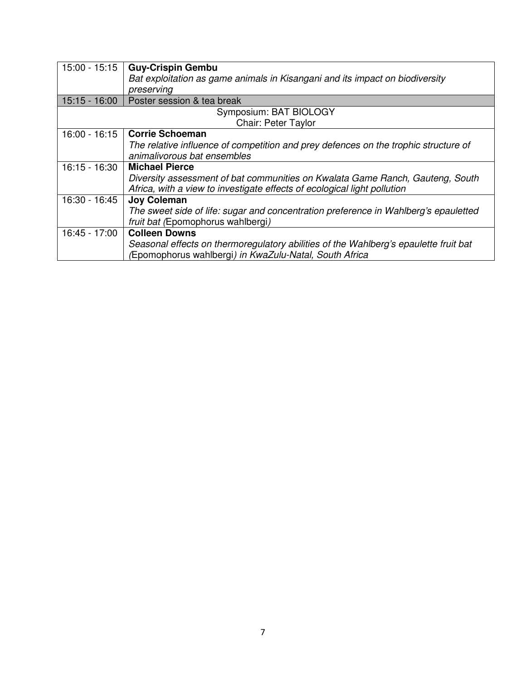| $15:00 - 15:15$        | <b>Guy-Crispin Gembu</b>                                                             |
|------------------------|--------------------------------------------------------------------------------------|
|                        | Bat exploitation as game animals in Kisangani and its impact on biodiversity         |
|                        | preserving                                                                           |
| $15:15 - 16:00$        | Poster session & tea break                                                           |
| Symposium: BAT BIOLOGY |                                                                                      |
|                        | Chair: Peter Taylor                                                                  |
| $16:00 - 16:15$        | <b>Corrie Schoeman</b>                                                               |
|                        | The relative influence of competition and prey defences on the trophic structure of  |
|                        | animalivorous bat ensembles                                                          |
| 16:15 - 16:30          | <b>Michael Pierce</b>                                                                |
|                        | Diversity assessment of bat communities on Kwalata Game Ranch, Gauteng, South        |
|                        | Africa, with a view to investigate effects of ecological light pollution             |
| 16:30 - 16:45          | <b>Joy Coleman</b>                                                                   |
|                        | The sweet side of life: sugar and concentration preference in Wahlberg's epauletted  |
|                        | fruit bat (Epomophorus wahlbergi)                                                    |
| 16:45 - 17:00          | <b>Colleen Downs</b>                                                                 |
|                        | Seasonal effects on thermoregulatory abilities of the Wahlberg's epaulette fruit bat |
|                        | (Epomophorus wahlbergi) in KwaZulu-Natal, South Africa                               |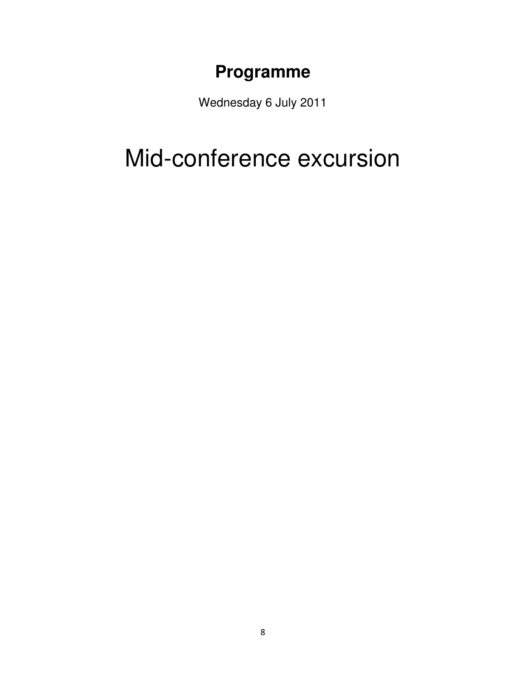Wednesday 6 July 2011

## Mid-conference excursion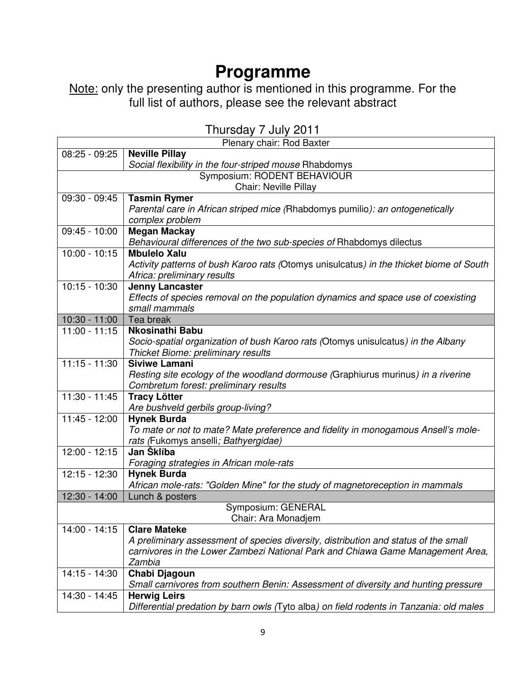Note: only the presenting author is mentioned in this programme. For the full list of authors, please see the relevant abstract

| Plenary chair: Rod Baxter |                                                                                         |
|---------------------------|-----------------------------------------------------------------------------------------|
| $08:25 - 09:25$           | <b>Neville Pillay</b>                                                                   |
|                           | Social flexibility in the four-striped mouse Rhabdomys                                  |
|                           | Symposium: RODENT BEHAVIOUR                                                             |
|                           | <b>Chair: Neville Pillay</b>                                                            |
| 09:30 - 09:45             | <b>Tasmin Rymer</b>                                                                     |
|                           | Parental care in African striped mice (Rhabdomys pumilio): an ontogenetically           |
|                           | complex problem                                                                         |
| $09:45 - 10:00$           | <b>Megan Mackay</b>                                                                     |
|                           | Behavioural differences of the two sub-species of Rhabdomys dilectus                    |
| $10:00 - 10:15$           | <b>Mbulelo Xalu</b>                                                                     |
|                           | Activity patterns of bush Karoo rats (Otomys unisulcatus) in the thicket biome of South |
|                           | Africa: preliminary results                                                             |
| $10:15 - 10:30$           | <b>Jenny Lancaster</b>                                                                  |
|                           | Effects of species removal on the population dynamics and space use of coexisting       |
|                           | small mammals                                                                           |
| $10:30 - 11:00$           | Tea break                                                                               |
| $11:00 - 11:15$           | <b>Nkosinathi Babu</b>                                                                  |
|                           | Socio-spatial organization of bush Karoo rats (Otomys unisulcatus) in the Albany        |
|                           | Thicket Biome: preliminary results                                                      |
| $11:15 - 11:30$           | <b>Siviwe Lamani</b>                                                                    |
|                           | Resting site ecology of the woodland dormouse (Graphiurus murinus) in a riverine        |
|                           | Combretum forest: preliminary results                                                   |
| $11:30 - 11:45$           | <b>Tracy Lötter</b>                                                                     |
|                           | Are bushveld gerbils group-living?                                                      |
| $11:45 - 12:00$           | <b>Hynek Burda</b>                                                                      |
|                           | To mate or not to mate? Mate preference and fidelity in monogamous Ansell's mole-       |
|                           | rats (Fukomys anselli; Bathyergidae)                                                    |
| 12:00 - 12:15             | Jan Šklíba                                                                              |
|                           | Foraging strategies in African mole-rats                                                |
| 12:15 - 12:30             | <b>Hynek Burda</b>                                                                      |
| $12:30 - 14:00$           | African mole-rats: "Golden Mine" for the study of magnetoreception in mammals           |
|                           | Lunch & posters                                                                         |
|                           | Symposium: GENERAL<br>Chair: Ara Monadjem                                               |
| 14:00 - 14:15             | <b>Clare Mateke</b>                                                                     |
|                           | A preliminary assessment of species diversity, distribution and status of the small     |
|                           | carnivores in the Lower Zambezi National Park and Chiawa Game Management Area,          |
|                           | Zambia                                                                                  |
| 14:15 - 14:30             | Chabi Djagoun                                                                           |
|                           | Small carnivores from southern Benin: Assessment of diversity and hunting pressure      |
| 14:30 - 14:45             | <b>Herwig Leirs</b>                                                                     |
|                           | Differential predation by barn owls (Tyto alba) on field rodents in Tanzania: old males |

Thursday 7 July 2011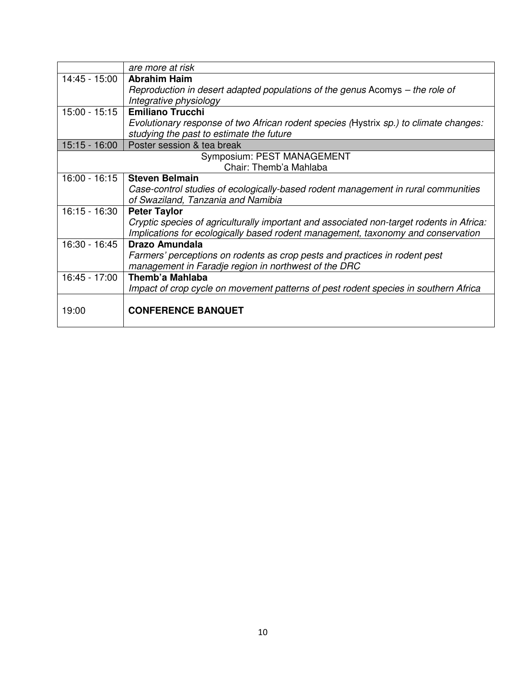|                 | are more at risk                                                                         |
|-----------------|------------------------------------------------------------------------------------------|
| 14:45 - 15:00   | <b>Abrahim Haim</b>                                                                      |
|                 | Reproduction in desert adapted populations of the genus Acomys – the role of             |
|                 | Integrative physiology                                                                   |
| $15:00 - 15:15$ | <b>Emiliano Trucchi</b>                                                                  |
|                 | Evolutionary response of two African rodent species (Hystrix sp.) to climate changes:    |
|                 | studying the past to estimate the future                                                 |
| $15:15 - 16:00$ | Poster session & tea break                                                               |
|                 | Symposium: PEST MANAGEMENT                                                               |
|                 | Chair: Themb'a Mahlaba                                                                   |
| $16:00 - 16:15$ | <b>Steven Belmain</b>                                                                    |
|                 | Case-control studies of ecologically-based rodent management in rural communities        |
|                 | of Swaziland, Tanzania and Namibia                                                       |
| $16:15 - 16:30$ | <b>Peter Taylor</b>                                                                      |
|                 | Cryptic species of agriculturally important and associated non-target rodents in Africa: |
|                 | Implications for ecologically based rodent management, taxonomy and conservation         |
| 16:30 - 16:45   | Drazo Amundala                                                                           |
|                 | Farmers' perceptions on rodents as crop pests and practices in rodent pest               |
|                 | management in Faradje region in northwest of the DRC                                     |
| 16:45 - 17:00   | Themb'a Mahlaba                                                                          |
|                 | Impact of crop cycle on movement patterns of pest rodent species in southern Africa      |
|                 |                                                                                          |
| 19:00           | <b>CONFERENCE BANQUET</b>                                                                |
|                 |                                                                                          |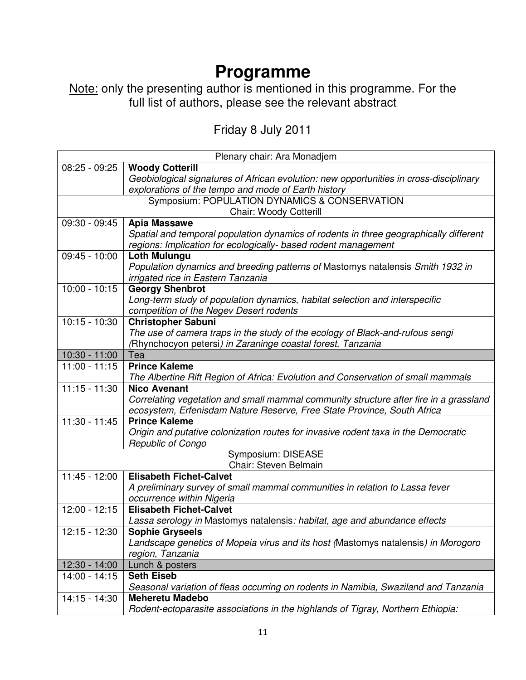Note: only the presenting author is mentioned in this programme. For the full list of authors, please see the relevant abstract

Friday 8 July 2011

| Plenary chair: Ara Monadjem |                                                                                                               |
|-----------------------------|---------------------------------------------------------------------------------------------------------------|
| $08:25 - 09:25$             | <b>Woody Cotterill</b>                                                                                        |
|                             | Geobiological signatures of African evolution: new opportunities in cross-disciplinary                        |
|                             | explorations of the tempo and mode of Earth history                                                           |
|                             | Symposium: POPULATION DYNAMICS & CONSERVATION                                                                 |
|                             | <b>Chair: Woody Cotterill</b>                                                                                 |
| 09:30 - 09:45               | <b>Apia Massawe</b>                                                                                           |
|                             | Spatial and temporal population dynamics of rodents in three geographically different                         |
|                             | regions: Implication for ecologically- based rodent management                                                |
| $09:45 - 10:00$             | <b>Loth Mulungu</b>                                                                                           |
|                             | Population dynamics and breeding patterns of Mastomys natalensis Smith 1932 in                                |
|                             | irrigated rice in Eastern Tanzania                                                                            |
| $10:00 - 10:15$             | <b>Georgy Shenbrot</b>                                                                                        |
|                             | Long-term study of population dynamics, habitat selection and interspecific                                   |
| $10:15 - 10:30$             | competition of the Negev Desert rodents                                                                       |
|                             | <b>Christopher Sabuni</b>                                                                                     |
|                             | The use of camera traps in the study of the ecology of Black-and-rufous sengi                                 |
| $10:30 - 11:00$             | (Rhynchocyon petersi) in Zaraninge coastal forest, Tanzania<br>Tea                                            |
| $11:00 - 11:15$             | <b>Prince Kaleme</b>                                                                                          |
|                             | The Albertine Rift Region of Africa: Evolution and Conservation of small mammals                              |
| $11:15 - 11:30$             | <b>Nico Avenant</b>                                                                                           |
|                             | Correlating vegetation and small mammal community structure after fire in a grassland                         |
|                             | ecosystem, Erfenisdam Nature Reserve, Free State Province, South Africa                                       |
| $11:30 - 11:45$             | <b>Prince Kaleme</b>                                                                                          |
|                             | Origin and putative colonization routes for invasive rodent taxa in the Democratic                            |
|                             | <b>Republic of Congo</b>                                                                                      |
| Symposium: DISEASE          |                                                                                                               |
| Chair: Steven Belmain       |                                                                                                               |
| 11:45 - 12:00               | <b>Elisabeth Fichet-Calvet</b>                                                                                |
|                             | A preliminary survey of small mammal communities in relation to Lassa fever                                   |
|                             | occurrence within Nigeria                                                                                     |
| $12:00 - 12:15$             | <b>Elisabeth Fichet-Calvet</b>                                                                                |
|                             | Lassa serology in Mastomys natalensis: habitat, age and abundance effects                                     |
| 12:15 - 12:30               | <b>Sophie Gryseels</b>                                                                                        |
|                             | Landscape genetics of Mopeia virus and its host (Mastomys natalensis) in Morogoro                             |
|                             | region, Tanzania                                                                                              |
| 12:30 - 14:00               | Lunch & posters                                                                                               |
| 14:00 - 14:15               | <b>Seth Eiseb</b>                                                                                             |
|                             | Seasonal variation of fleas occurring on rodents in Namibia, Swaziland and Tanzania<br><b>Meheretu Madebo</b> |
| 14:15 - 14:30               | Rodent-ectoparasite associations in the highlands of Tigray, Northern Ethiopia:                               |
|                             |                                                                                                               |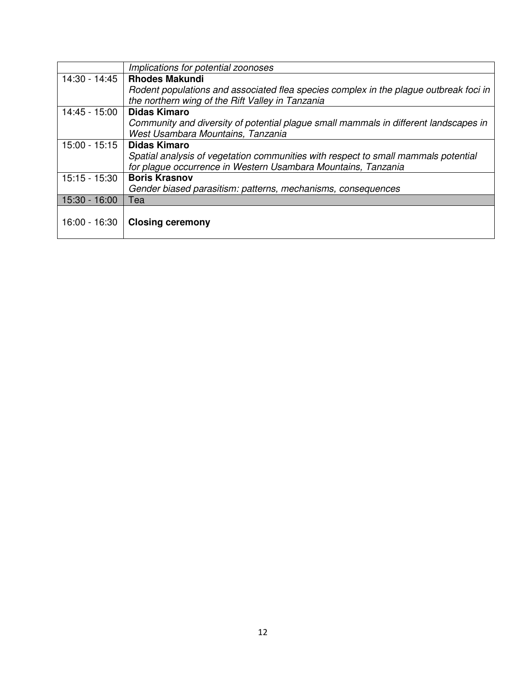|               | Implications for potential zoonoses                                                   |
|---------------|---------------------------------------------------------------------------------------|
| 14:30 - 14:45 | <b>Rhodes Makundi</b>                                                                 |
|               | Rodent populations and associated flea species complex in the plague outbreak foci in |
|               | the northern wing of the Rift Valley in Tanzania                                      |
| 14:45 - 15:00 | <b>Didas Kimaro</b>                                                                   |
|               | Community and diversity of potential plague small mammals in different landscapes in  |
|               | West Usambara Mountains, Tanzania                                                     |
| 15:00 - 15:15 | <b>Didas Kimaro</b>                                                                   |
|               | Spatial analysis of vegetation communities with respect to small mammals potential    |
|               | for plaque occurrence in Western Usambara Mountains, Tanzania                         |
| 15:15 - 15:30 | <b>Boris Krasnov</b>                                                                  |
|               | Gender biased parasitism: patterns, mechanisms, consequences                          |
| 15:30 - 16:00 | Tea                                                                                   |
|               |                                                                                       |
| 16:00 - 16:30 | <b>Closing ceremony</b>                                                               |
|               |                                                                                       |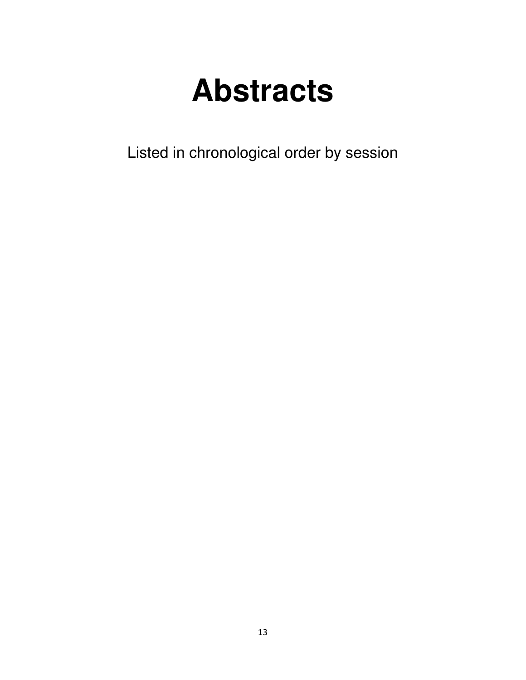# **Abstracts**

Listed in chronological order by session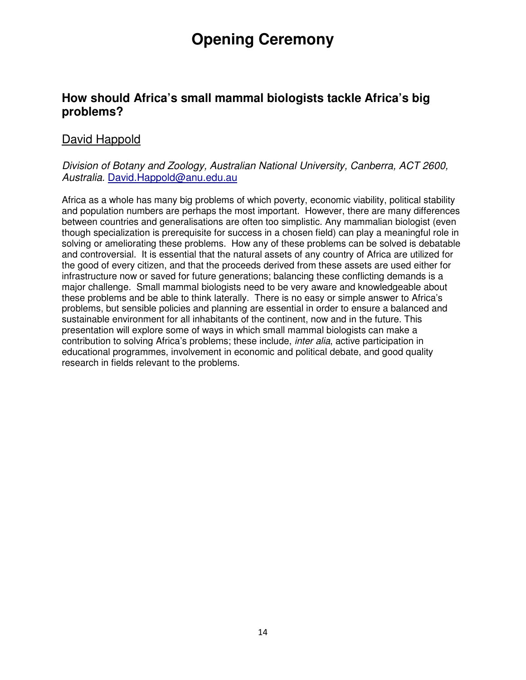## **Opening Ceremony**

#### **How should Africa's small mammal biologists tackle Africa's big problems?**

#### David Happold

#### Division of Botany and Zoology, Australian National University, Canberra, ACT 2600, Australia. David.Happold@anu.edu.au

Africa as a whole has many big problems of which poverty, economic viability, political stability and population numbers are perhaps the most important. However, there are many differences between countries and generalisations are often too simplistic. Any mammalian biologist (even though specialization is prerequisite for success in a chosen field) can play a meaningful role in solving or ameliorating these problems. How any of these problems can be solved is debatable and controversial. It is essential that the natural assets of any country of Africa are utilized for the good of every citizen, and that the proceeds derived from these assets are used either for infrastructure now or saved for future generations; balancing these conflicting demands is a major challenge. Small mammal biologists need to be very aware and knowledgeable about these problems and be able to think laterally. There is no easy or simple answer to Africa's problems, but sensible policies and planning are essential in order to ensure a balanced and sustainable environment for all inhabitants of the continent, now and in the future. This presentation will explore some of ways in which small mammal biologists can make a contribution to solving Africa's problems; these include, *inter alia*, active participation in educational programmes, involvement in economic and political debate, and good quality research in fields relevant to the problems.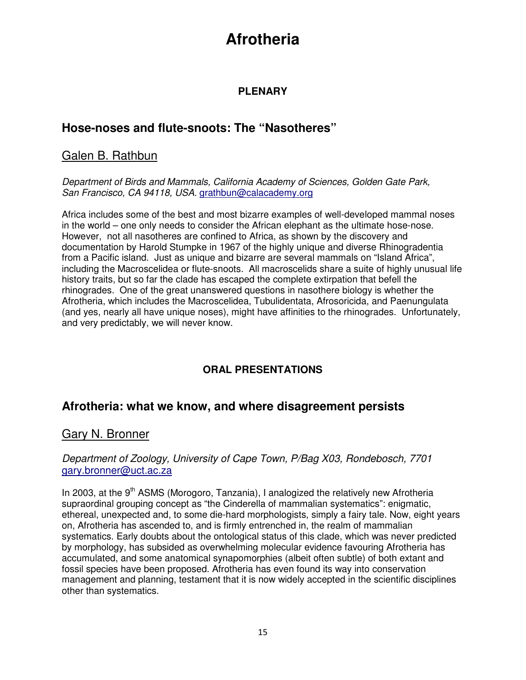#### **PLENARY**

#### **Hose-noses and flute-snoots: The "Nasotheres"**

#### Galen B. Rathbun

Department of Birds and Mammals, California Academy of Sciences, Golden Gate Park, San Francisco, CA 94118, USA. grathbun@calacademy.org

Africa includes some of the best and most bizarre examples of well-developed mammal noses in the world – one only needs to consider the African elephant as the ultimate hose-nose. However, not all nasotheres are confined to Africa, as shown by the discovery and documentation by Harold Stumpke in 1967 of the highly unique and diverse Rhinogradentia from a Pacific island. Just as unique and bizarre are several mammals on "Island Africa", including the Macroscelidea or flute-snoots. All macroscelids share a suite of highly unusual life history traits, but so far the clade has escaped the complete extirpation that befell the rhinogrades. One of the great unanswered questions in nasothere biology is whether the Afrotheria, which includes the Macroscelidea, Tubulidentata, Afrosoricida, and Paenungulata (and yes, nearly all have unique noses), might have affinities to the rhinogrades. Unfortunately, and very predictably, we will never know.

#### **ORAL PRESENTATIONS**

#### **Afrotheria: what we know, and where disagreement persists**

#### Gary N. Bronner

#### Department of Zoology, University of Cape Town, P/Bag X03, Rondebosch, 7701 gary.bronner@uct.ac.za

In 2003, at the  $9<sup>th</sup>$  ASMS (Morogoro, Tanzania), I analogized the relatively new Afrotheria supraordinal grouping concept as "the Cinderella of mammalian systematics": enigmatic, ethereal, unexpected and, to some die-hard morphologists, simply a fairy tale. Now, eight years on, Afrotheria has ascended to, and is firmly entrenched in, the realm of mammalian systematics. Early doubts about the ontological status of this clade, which was never predicted by morphology, has subsided as overwhelming molecular evidence favouring Afrotheria has accumulated, and some anatomical synapomorphies (albeit often subtle) of both extant and fossil species have been proposed. Afrotheria has even found its way into conservation management and planning, testament that it is now widely accepted in the scientific disciplines other than systematics.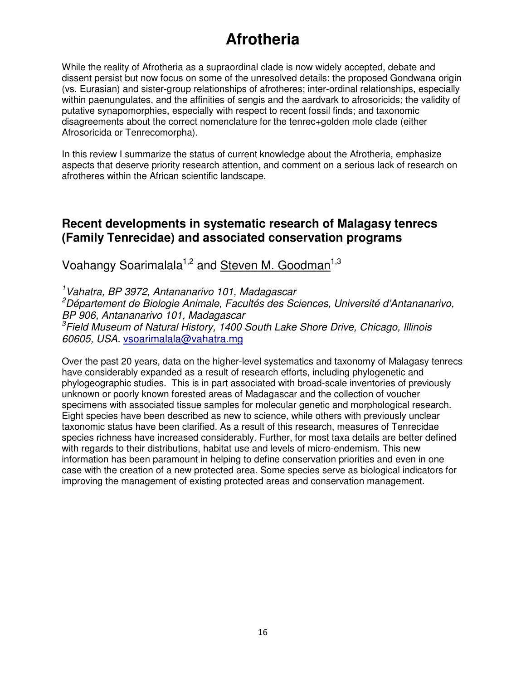While the reality of Afrotheria as a supraordinal clade is now widely accepted, debate and dissent persist but now focus on some of the unresolved details: the proposed Gondwana origin (vs. Eurasian) and sister-group relationships of afrotheres; inter-ordinal relationships, especially within paenungulates, and the affinities of sengis and the aardvark to afrosoricids; the validity of putative synapomorphies, especially with respect to recent fossil finds; and taxonomic disagreements about the correct nomenclature for the tenrec+golden mole clade (either Afrosoricida or Tenrecomorpha).

In this review I summarize the status of current knowledge about the Afrotheria, emphasize aspects that deserve priority research attention, and comment on a serious lack of research on afrotheres within the African scientific landscape.

#### **Recent developments in systematic research of Malagasy tenrecs (Family Tenrecidae) and associated conservation programs**

Voahangy Soarimalala<sup>1,2</sup> and Steven M. Goodman<sup>1,3</sup>

<sup>1</sup>Vahatra, BP 3972, Antananarivo 101, Madagascar <sup>2</sup>Département de Biologie Animale, Facultés des Sciences, Université d'Antananarivo, BP 906, Antananarivo 101, Madagascar <sup>3</sup>Field Museum of Natural History, 1400 South Lake Shore Drive, Chicago, Illinois 60605, USA. vsoarimalala@vahatra.mg

Over the past 20 years, data on the higher-level systematics and taxonomy of Malagasy tenrecs have considerably expanded as a result of research efforts, including phylogenetic and phylogeographic studies. This is in part associated with broad-scale inventories of previously unknown or poorly known forested areas of Madagascar and the collection of voucher specimens with associated tissue samples for molecular genetic and morphological research. Eight species have been described as new to science, while others with previously unclear taxonomic status have been clarified. As a result of this research, measures of Tenrecidae species richness have increased considerably. Further, for most taxa details are better defined with regards to their distributions, habitat use and levels of micro-endemism. This new information has been paramount in helping to define conservation priorities and even in one case with the creation of a new protected area. Some species serve as biological indicators for improving the management of existing protected areas and conservation management.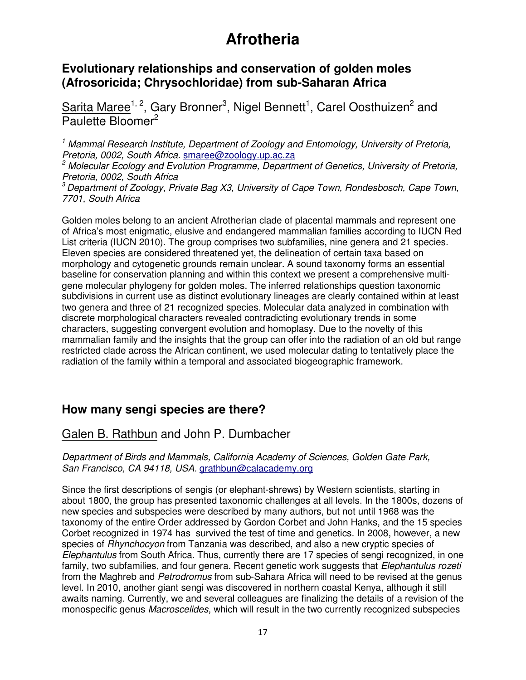#### **Evolutionary relationships and conservation of golden moles (Afrosoricida; Chrysochloridae) from sub-Saharan Africa**

Sarita Maree<sup>1, 2</sup>, Gary Bronner<sup>3</sup>, Nigel Bennett<sup>1</sup>, Carel Oosthuizen<sup>2</sup> and Paulette Bloomer<sup>2</sup>

<sup>1</sup> Mammal Research Institute, Department of Zoology and Entomology, University of Pretoria, Pretoria, 0002, South Africa. smaree@zoology.up.ac.za

<sup>2</sup> Molecular Ecology and Evolution Programme, Department of Genetics, University of Pretoria, Pretoria, 0002, South Africa

 $3$  Department of Zoology, Private Bag X3, University of Cape Town, Rondesbosch, Cape Town, 7701, South Africa

Golden moles belong to an ancient Afrotherian clade of placental mammals and represent one of Africa's most enigmatic, elusive and endangered mammalian families according to IUCN Red List criteria (IUCN 2010). The group comprises two subfamilies, nine genera and 21 species. Eleven species are considered threatened yet, the delineation of certain taxa based on morphology and cytogenetic grounds remain unclear. A sound taxonomy forms an essential baseline for conservation planning and within this context we present a comprehensive multigene molecular phylogeny for golden moles. The inferred relationships question taxonomic subdivisions in current use as distinct evolutionary lineages are clearly contained within at least two genera and three of 21 recognized species. Molecular data analyzed in combination with discrete morphological characters revealed contradicting evolutionary trends in some characters, suggesting convergent evolution and homoplasy. Due to the novelty of this mammalian family and the insights that the group can offer into the radiation of an old but range restricted clade across the African continent, we used molecular dating to tentatively place the radiation of the family within a temporal and associated biogeographic framework.

#### **How many sengi species are there?**

#### Galen B. Rathbun and John P. Dumbacher

Department of Birds and Mammals, California Academy of Sciences, Golden Gate Park, San Francisco, CA 94118, USA. grathbun@calacademy.org

Since the first descriptions of sengis (or elephant-shrews) by Western scientists, starting in about 1800, the group has presented taxonomic challenges at all levels. In the 1800s, dozens of new species and subspecies were described by many authors, but not until 1968 was the taxonomy of the entire Order addressed by Gordon Corbet and John Hanks, and the 15 species Corbet recognized in 1974 has survived the test of time and genetics. In 2008, however, a new species of *Rhynchocyon* from Tanzania was described, and also a new cryptic species of Elephantulus from South Africa. Thus, currently there are 17 species of sengi recognized, in one family, two subfamilies, and four genera. Recent genetic work suggests that *Elephantulus rozeti* from the Maghreb and Petrodromus from sub-Sahara Africa will need to be revised at the genus level. In 2010, another giant sengi was discovered in northern coastal Kenya, although it still awaits naming. Currently, we and several colleagues are finalizing the details of a revision of the monospecific genus *Macroscelides*, which will result in the two currently recognized subspecies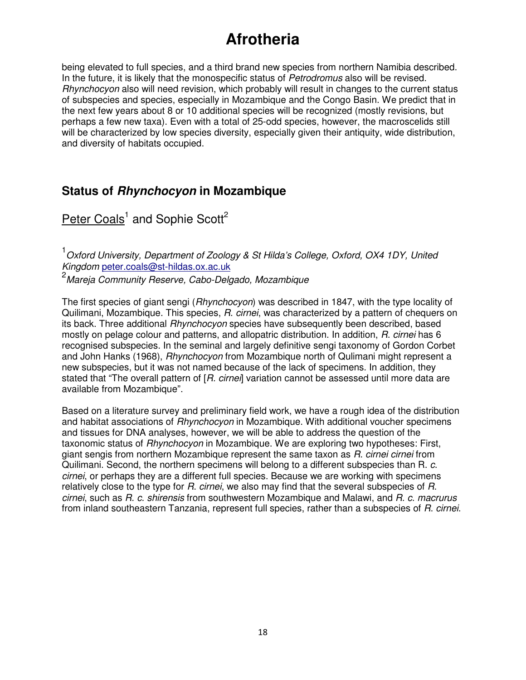being elevated to full species, and a third brand new species from northern Namibia described. In the future, it is likely that the monospecific status of Petrodromus also will be revised. Rhynchocyon also will need revision, which probably will result in changes to the current status of subspecies and species, especially in Mozambique and the Congo Basin. We predict that in the next few years about 8 or 10 additional species will be recognized (mostly revisions, but perhaps a few new taxa). Even with a total of 25-odd species, however, the macroscelids still will be characterized by low species diversity, especially given their antiquity, wide distribution, and diversity of habitats occupied.

#### **Status of Rhynchocyon in Mozambique**

Peter Coals<sup>1</sup> and Sophie Scott<sup>2</sup>

<sup>1</sup> Oxford University, Department of Zoology & St Hilda's College, Oxford, OX4 1DY, United Kingdom peter.coals@st-hildas.ox.ac.uk

<sup>2</sup> Mareia Community Reserve, Cabo-Delgado, Mozambique

The first species of giant sengi (Rhynchocyon) was described in 1847, with the type locality of Quilimani, Mozambique. This species, R. cirnei, was characterized by a pattern of chequers on its back. Three additional Rhynchocyon species have subsequently been described, based mostly on pelage colour and patterns, and allopatric distribution. In addition, R. cirnei has 6 recognised subspecies. In the seminal and largely definitive sengi taxonomy of Gordon Corbet and John Hanks (1968), Rhynchocyon from Mozambique north of Qulimani might represent a new subspecies, but it was not named because of the lack of specimens. In addition, they stated that "The overall pattern of [R. cirnei] variation cannot be assessed until more data are available from Mozambique".

Based on a literature survey and preliminary field work, we have a rough idea of the distribution and habitat associations of *Rhynchocyon* in Mozambique. With additional voucher specimens and tissues for DNA analyses, however, we will be able to address the question of the taxonomic status of *Rhynchocyon* in Mozambique. We are exploring two hypotheses: First, giant sengis from northern Mozambique represent the same taxon as R. cirnei cirnei from Quilimani. Second, the northern specimens will belong to a different subspecies than R. c. cirnei, or perhaps they are a different full species. Because we are working with specimens relatively close to the type for R. cirnei, we also may find that the several subspecies of R. cirnei, such as R. c. shirensis from southwestern Mozambique and Malawi, and R. c. macrurus from inland southeastern Tanzania, represent full species, rather than a subspecies of R. cirnei.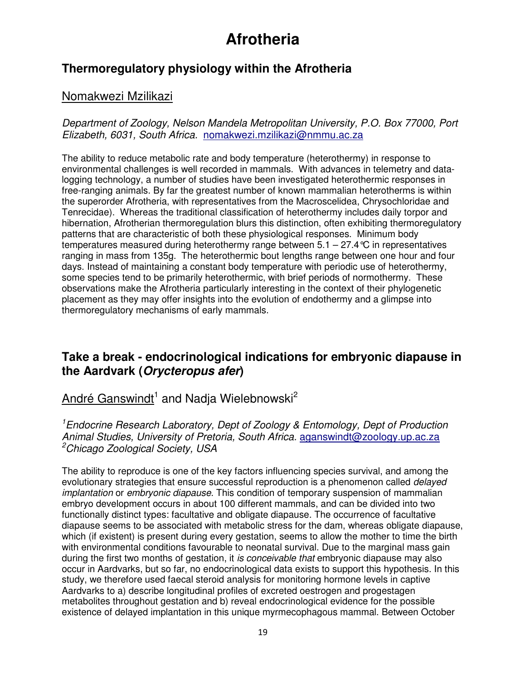#### **Thermoregulatory physiology within the Afrotheria**

#### Nomakwezi Mzilikazi

Department of Zoology, Nelson Mandela Metropolitan University, P.O. Box 77000, Port Elizabeth, 6031, South Africa. nomakwezi.mzilikazi@nmmu.ac.za

The ability to reduce metabolic rate and body temperature (heterothermy) in response to environmental challenges is well recorded in mammals. With advances in telemetry and datalogging technology, a number of studies have been investigated heterothermic responses in free-ranging animals. By far the greatest number of known mammalian heterotherms is within the superorder Afrotheria, with representatives from the Macroscelidea, Chrysochloridae and Tenrecidae). Whereas the traditional classification of heterothermy includes daily torpor and hibernation, Afrotherian thermoregulation blurs this distinction, often exhibiting thermoregulatory patterns that are characteristic of both these physiological responses. Minimum body temperatures measured during heterothermy range between  $5.1 - 27.4$  °C in representatives ranging in mass from 135g. The heterothermic bout lengths range between one hour and four days. Instead of maintaining a constant body temperature with periodic use of heterothermy, some species tend to be primarily heterothermic, with brief periods of normothermy. These observations make the Afrotheria particularly interesting in the context of their phylogenetic placement as they may offer insights into the evolution of endothermy and a glimpse into thermoregulatory mechanisms of early mammals.

#### **Take a break - endocrinological indications for embryonic diapause in the Aardvark (Orycteropus afer)**

#### André Ganswindt<sup>1</sup> and Nadja Wielebnowski<sup>2</sup>

<sup>1</sup> Endocrine Research Laboratory, Dept of Zoology & Entomology, Dept of Production Animal Studies, University of Pretoria, South Africa. aganswindt@zoology.up.ac.za <sup>2</sup>Chicago Zoological Society, USA

The ability to reproduce is one of the key factors influencing species survival, and among the evolutionary strategies that ensure successful reproduction is a phenomenon called delayed implantation or embryonic diapause. This condition of temporary suspension of mammalian embryo development occurs in about 100 different mammals, and can be divided into two functionally distinct types: facultative and obligate diapause. The occurrence of facultative diapause seems to be associated with metabolic stress for the dam, whereas obligate diapause, which (if existent) is present during every gestation, seems to allow the mother to time the birth with environmental conditions favourable to neonatal survival. Due to the marginal mass gain during the first two months of gestation, it is conceivable that embryonic diapause may also occur in Aardvarks, but so far, no endocrinological data exists to support this hypothesis. In this study, we therefore used faecal steroid analysis for monitoring hormone levels in captive Aardvarks to a) describe longitudinal profiles of excreted oestrogen and progestagen metabolites throughout gestation and b) reveal endocrinological evidence for the possible existence of delayed implantation in this unique myrmecophagous mammal. Between October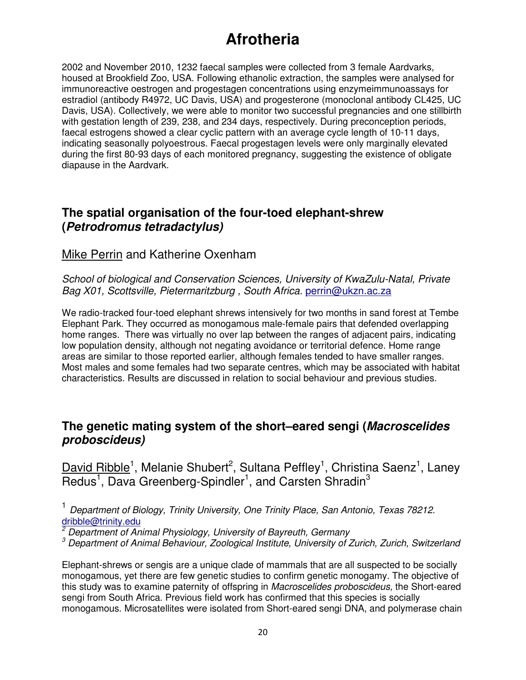2002 and November 2010, 1232 faecal samples were collected from 3 female Aardvarks, housed at Brookfield Zoo, USA. Following ethanolic extraction, the samples were analysed for immunoreactive oestrogen and progestagen concentrations using enzymeimmunoassays for estradiol (antibody R4972, UC Davis, USA) and progesterone (monoclonal antibody CL425, UC Davis, USA). Collectively, we were able to monitor two successful pregnancies and one stillbirth with gestation length of 239, 238, and 234 days, respectively. During preconception periods, faecal estrogens showed a clear cyclic pattern with an average cycle length of 10-11 days, indicating seasonally polyoestrous. Faecal progestagen levels were only marginally elevated during the first 80-93 days of each monitored pregnancy, suggesting the existence of obligate diapause in the Aardvark.

#### **The spatial organisation of the four-toed elephant-shrew (Petrodromus tetradactylus)**

#### Mike Perrin and Katherine Oxenham

School of biological and Conservation Sciences, University of KwaZulu-Natal, Private Bag X01, Scottsville, Pietermaritzburg , South Africa. perrin@ukzn.ac.za

We radio-tracked four-toed elephant shrews intensively for two months in sand forest at Tembe Elephant Park. They occurred as monogamous male-female pairs that defended overlapping home ranges. There was virtually no over lap between the ranges of adjacent pairs, indicating low population density, although not negating avoidance or territorial defence. Home range areas are similar to those reported earlier, although females tended to have smaller ranges. Most males and some females had two separate centres, which may be associated with habitat characteristics. Results are discussed in relation to social behaviour and previous studies.

#### **The genetic mating system of the short–eared sengi (Macroscelides proboscideus)**

David Ribble<sup>1</sup>, Melanie Shubert<sup>2</sup>, Sultana Peffley<sup>1</sup>, Christina Saenz<sup>1</sup>, Laney Redus<sup>1</sup>, Dava Greenberg-Spindler<sup>1</sup>, and Carsten Shradin<sup>3</sup>

<sup>1</sup> Department of Biology, Trinity University, One Trinity Place, San Antonio, Texas 78212. dribble@trinity.edu<br>2 Department of Ar

Department of Animal Physiology, University of Bayreuth, Germany

<sup>3</sup> Department of Animal Behaviour, Zoological Institute, University of Zurich, Zurich, Switzerland

Elephant-shrews or sengis are a unique clade of mammals that are all suspected to be socially monogamous, yet there are few genetic studies to confirm genetic monogamy. The objective of this study was to examine paternity of offspring in Macroscelides proboscideus, the Short-eared sengi from South Africa. Previous field work has confirmed that this species is socially monogamous. Microsatellites were isolated from Short-eared sengi DNA, and polymerase chain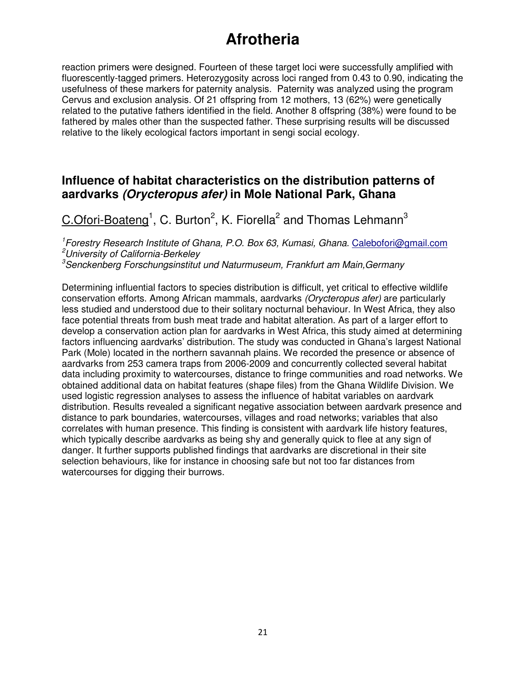reaction primers were designed. Fourteen of these target loci were successfully amplified with fluorescently-tagged primers. Heterozygosity across loci ranged from 0.43 to 0.90, indicating the usefulness of these markers for paternity analysis. Paternity was analyzed using the program Cervus and exclusion analysis. Of 21 offspring from 12 mothers, 13 (62%) were genetically related to the putative fathers identified in the field. Another 8 offspring (38%) were found to be fathered by males other than the suspected father. These surprising results will be discussed relative to the likely ecological factors important in sengi social ecology.

#### **Influence of habitat characteristics on the distribution patterns of aardvarks (Orycteropus afer) in Mole National Park, Ghana**

C.Ofori-Boateng<sup>1</sup>, C. Burton<sup>2</sup>, K. Fiorella<sup>2</sup> and Thomas Lehmann<sup>3</sup>

<sup>1</sup>Forestry Research Institute of Ghana, P.O. Box 63, Kumasi, Ghana. Calebofori@gmail.com <sup>2</sup>University of California-Berkeley

 $3$ Senckenberg Forschungsinstitut und Naturmuseum, Frankfurt am Main, Germany

Determining influential factors to species distribution is difficult, yet critical to effective wildlife conservation efforts. Among African mammals, aardvarks (Orycteropus afer) are particularly less studied and understood due to their solitary nocturnal behaviour. In West Africa, they also face potential threats from bush meat trade and habitat alteration. As part of a larger effort to develop a conservation action plan for aardvarks in West Africa, this study aimed at determining factors influencing aardvarks' distribution. The study was conducted in Ghana's largest National Park (Mole) located in the northern savannah plains. We recorded the presence or absence of aardvarks from 253 camera traps from 2006-2009 and concurrently collected several habitat data including proximity to watercourses, distance to fringe communities and road networks. We obtained additional data on habitat features (shape files) from the Ghana Wildlife Division. We used logistic regression analyses to assess the influence of habitat variables on aardvark distribution. Results revealed a significant negative association between aardvark presence and distance to park boundaries, watercourses, villages and road networks; variables that also correlates with human presence. This finding is consistent with aardvark life history features, which typically describe aardvarks as being shy and generally quick to flee at any sign of danger. It further supports published findings that aardvarks are discretional in their site selection behaviours, like for instance in choosing safe but not too far distances from watercourses for digging their burrows.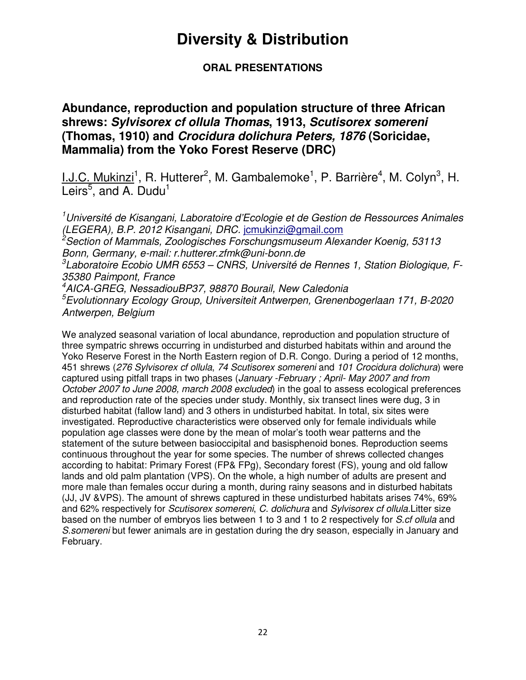#### **ORAL PRESENTATIONS**

#### **Abundance, reproduction and population structure of three African shrews: Sylvisorex cf ollula Thomas, 1913, Scutisorex somereni (Thomas, 1910) and Crocidura dolichura Peters, 1876 (Soricidae, Mammalia) from the Yoko Forest Reserve (DRC)**

I.J.C. Mukinzi<sup>1</sup>, R. Hutterer<sup>2</sup>, M. Gambalemoke<sup>1</sup>, P. Barrière<sup>4</sup>, M. Colyn<sup>3</sup>, H. Leirs $<sup>5</sup>$ , and A. Dudu<sup>1</sup></sup>

<sup>1</sup>Université de Kisangani, Laboratoire d'Ecologie et de Gestion de Ressources Animales (LEGERA), B.P. 2012 Kisangani, DRC. jcmukinzi@gmail.com <sup>2</sup>Section of Mammals, Zoologisches Forschungsmuseum Alexander Koenig, 53113 Bonn, Germany, e-mail: r.hutterer.zfmk@uni-bonn.de  ${}^{3}$ Laboratoire Ecobio UMR 6553 – CNRS, Université de Rennes 1, Station Biologique, F-35380 Paimpont, France <sup>4</sup>AICA-GREG, NessadiouBP37, 98870 Bourail, New Caledonia <sup>5</sup>Evolutionnary Ecology Group, Universiteit Antwerpen, Grenenbogerlaan 171, B-2020 Antwerpen, Belgium

We analyzed seasonal variation of local abundance, reproduction and population structure of three sympatric shrews occurring in undisturbed and disturbed habitats within and around the Yoko Reserve Forest in the North Eastern region of D.R. Congo. During a period of 12 months, 451 shrews (276 Sylvisorex cf ollula, 74 Scutisorex somereni and 101 Crocidura dolichura) were captured using pitfall traps in two phases (January -February ; April- May 2007 and from October 2007 to June 2008, march 2008 excluded) in the goal to assess ecological preferences and reproduction rate of the species under study. Monthly, six transect lines were dug, 3 in disturbed habitat (fallow land) and 3 others in undisturbed habitat. In total, six sites were investigated. Reproductive characteristics were observed only for female individuals while population age classes were done by the mean of molar's tooth wear patterns and the statement of the suture between basioccipital and basisphenoid bones. Reproduction seems continuous throughout the year for some species. The number of shrews collected changes according to habitat: Primary Forest (FP& FPg), Secondary forest (FS), young and old fallow lands and old palm plantation (VPS). On the whole, a high number of adults are present and more male than females occur during a month, during rainy seasons and in disturbed habitats (JJ, JV &VPS). The amount of shrews captured in these undisturbed habitats arises 74%, 69% and 62% respectively for Scutisorex somereni, C. dolichura and Sylvisorex cf ollula.Litter size based on the number of embryos lies between 1 to 3 and 1 to 2 respectively for S.cf ollula and S.somereni but fewer animals are in gestation during the dry season, especially in January and February.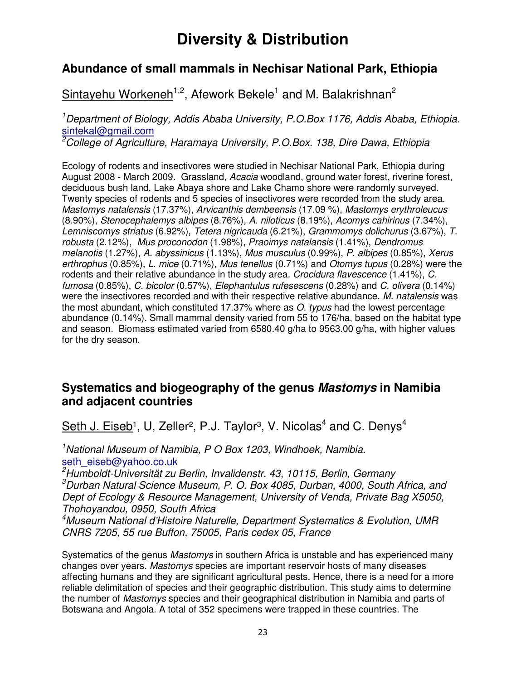#### **Abundance of small mammals in Nechisar National Park, Ethiopia**

#### Sintayehu Workeneh<sup>1,2</sup>, Afework Bekele<sup>1</sup> and M. Balakrishnan<sup>2</sup>

<sup>1</sup>Department of Biology, Addis Ababa University, P.O.Box 1176, Addis Ababa, Ethiopia. sintekal@gmail.com

<sup>2</sup>College of Agriculture, Haramaya University, P.O.Box. 138, Dire Dawa, Ethiopia

Ecology of rodents and insectivores were studied in Nechisar National Park, Ethiopia during August 2008 - March 2009. Grassland, Acacia woodland, ground water forest, riverine forest, deciduous bush land, Lake Abaya shore and Lake Chamo shore were randomly surveyed. Twenty species of rodents and 5 species of insectivores were recorded from the study area. Mastomys natalensis (17.37%), Arvicanthis dembeensis (17.09 %), Mastomys erythroleucus (8.90%), Stenocephalemys albipes (8.76%), A. niloticus (8.19%), Acomys cahirinus (7.34%), Lemniscomys striatus (6.92%), Tetera nigricauda (6.21%), Grammomys dolichurus (3.67%), T. robusta (2.12%), Mus proconodon (1.98%), Praoimys natalansis (1.41%), Dendromus melanotis (1.27%), A. abyssinicus (1.13%), Mus musculus (0.99%), P. albipes (0.85%), Xerus erthrophus (0.85%), L. mice (0.71%), Mus tenellus (0.71%) and Otomys tupus (0.28%) were the rodents and their relative abundance in the study area. Crocidura flavescence (1.41%), C. fumosa (0.85%), C. bicolor (0.57%), Elephantulus rufesescens (0.28%) and C. olivera (0.14%) were the insectivores recorded and with their respective relative abundance. M. natalensis was the most abundant, which constituted 17.37% where as O. typus had the lowest percentage abundance (0.14%). Small mammal density varied from 55 to 176/ha, based on the habitat type and season. Biomass estimated varied from 6580.40 g/ha to 9563.00 g/ha, with higher values for the dry season.

#### **Systematics and biogeography of the genus Mastomys in Namibia and adjacent countries**

Seth J. Eiseb<sup>1</sup>, U, Zeller<sup>2</sup>, P.J. Taylor<sup>3</sup>, V. Nicolas<sup>4</sup> and C. Denys<sup>4</sup>

 $1$ National Museum of Namibia, P O Box 1203, Windhoek, Namibia. seth\_eiseb@yahoo.co.uk

 $2$ Humboldt-Universität zu Berlin, Invalidenstr. 43, 10115, Berlin, Germany  $3$ Durban Natural Science Museum, P. O. Box 4085, Durban, 4000, South Africa, and Dept of Ecology & Resource Management, University of Venda, Private Bag X5050, Thohoyandou, 0950, South Africa

<sup>4</sup>Museum National d'Histoire Naturelle, Department Systematics & Evolution, UMR CNRS 7205, 55 rue Buffon, 75005, Paris cedex 05, France

Systematics of the genus Mastomys in southern Africa is unstable and has experienced many changes over years. Mastomys species are important reservoir hosts of many diseases affecting humans and they are significant agricultural pests. Hence, there is a need for a more reliable delimitation of species and their geographic distribution. This study aims to determine the number of Mastomys species and their geographical distribution in Namibia and parts of Botswana and Angola. A total of 352 specimens were trapped in these countries. The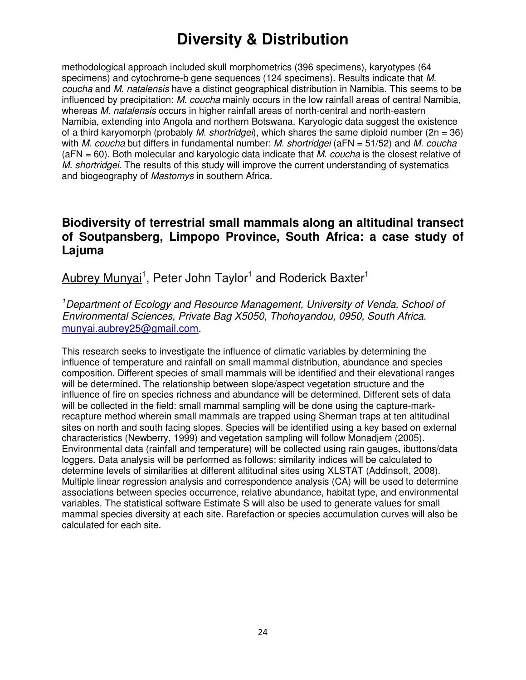methodological approach included skull morphometrics (396 specimens), karyotypes (64 specimens) and cytochrome-b gene sequences (124 specimens). Results indicate that M. coucha and M. natalensis have a distinct geographical distribution in Namibia. This seems to be influenced by precipitation: M. coucha mainly occurs in the low rainfall areas of central Namibia, whereas *M. natalensis* occurs in higher rainfall areas of north-central and north-eastern Namibia, extending into Angola and northern Botswana. Karyologic data suggest the existence of a third karyomorph (probably *M. shortridgei*), which shares the same diploid number (2n = 36) with M. coucha but differs in fundamental number: M. shortridgei ( $aFN = 51/52$ ) and M. coucha  $(aFN = 60)$ . Both molecular and karyologic data indicate that M. coucha is the closest relative of M. shortridgei. The results of this study will improve the current understanding of systematics and biogeography of Mastomys in southern Africa.

#### **Biodiversity of terrestrial small mammals along an altitudinal transect of Soutpansberg, Limpopo Province, South Africa: a case study of Lajuma**

Aubrey Munyai<sup>1</sup>, Peter John Taylor<sup>1</sup> and Roderick Baxter<sup>1</sup>

<sup>1</sup>Department of Ecology and Resource Management, University of Venda, School of Environmental Sciences, Private Bag X5050, Thohoyandou, 0950, South Africa. munyai.aubrey25@gmail.com.

This research seeks to investigate the influence of climatic variables by determining the influence of temperature and rainfall on small mammal distribution, abundance and species composition. Different species of small mammals will be identified and their elevational ranges will be determined. The relationship between slope/aspect vegetation structure and the influence of fire on species richness and abundance will be determined. Different sets of data will be collected in the field: small mammal sampling will be done using the capture-markrecapture method wherein small mammals are trapped using Sherman traps at ten altitudinal sites on north and south facing slopes. Species will be identified using a key based on external characteristics (Newberry, 1999) and vegetation sampling will follow Monadjem (2005). Environmental data (rainfall and temperature) will be collected using rain gauges, ibuttons/data loggers. Data analysis will be performed as follows: similarity indices will be calculated to determine levels of similarities at different altitudinal sites using XLSTAT (Addinsoft, 2008). Multiple linear regression analysis and correspondence analysis (CA) will be used to determine associations between species occurrence, relative abundance, habitat type, and environmental variables. The statistical software Estimate S will also be used to generate values for small mammal species diversity at each site. Rarefaction or species accumulation curves will also be calculated for each site.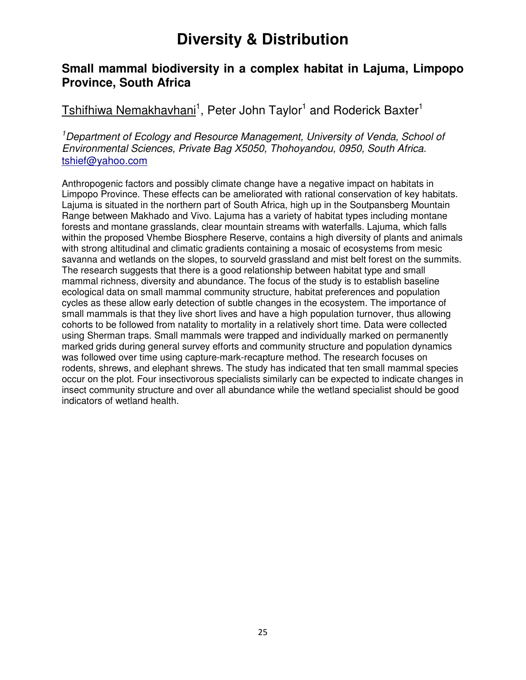#### **Small mammal biodiversity in a complex habitat in Lajuma, Limpopo Province, South Africa**

#### Tshifhiwa Nemakhavhani<sup>1</sup>, Peter John Taylor<sup>1</sup> and Roderick Baxter<sup>1</sup>

<sup>1</sup>Department of Ecology and Resource Management, University of Venda, School of Environmental Sciences, Private Bag X5050, Thohoyandou, 0950, South Africa. tshief@yahoo.com

Anthropogenic factors and possibly climate change have a negative impact on habitats in Limpopo Province. These effects can be ameliorated with rational conservation of key habitats. Lajuma is situated in the northern part of South Africa, high up in the Soutpansberg Mountain Range between Makhado and Vivo. Lajuma has a variety of habitat types including montane forests and montane grasslands, clear mountain streams with waterfalls. Lajuma, which falls within the proposed Vhembe Biosphere Reserve, contains a high diversity of plants and animals with strong altitudinal and climatic gradients containing a mosaic of ecosystems from mesic savanna and wetlands on the slopes, to sourveld grassland and mist belt forest on the summits. The research suggests that there is a good relationship between habitat type and small mammal richness, diversity and abundance. The focus of the study is to establish baseline ecological data on small mammal community structure, habitat preferences and population cycles as these allow early detection of subtle changes in the ecosystem. The importance of small mammals is that they live short lives and have a high population turnover, thus allowing cohorts to be followed from natality to mortality in a relatively short time. Data were collected using Sherman traps. Small mammals were trapped and individually marked on permanently marked grids during general survey efforts and community structure and population dynamics was followed over time using capture-mark-recapture method. The research focuses on rodents, shrews, and elephant shrews. The study has indicated that ten small mammal species occur on the plot. Four insectivorous specialists similarly can be expected to indicate changes in insect community structure and over all abundance while the wetland specialist should be good indicators of wetland health.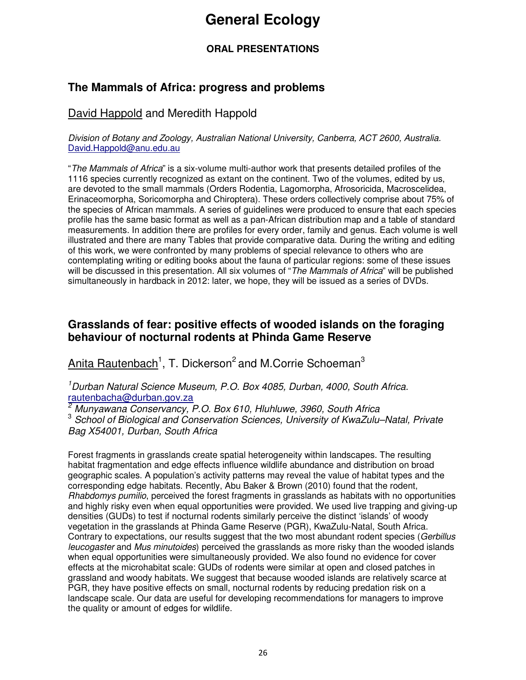## **General Ecology**

#### **ORAL PRESENTATIONS**

#### **The Mammals of Africa: progress and problems**

#### David Happold and Meredith Happold

Division of Botany and Zoology, Australian National University, Canberra, ACT 2600, Australia. David.Happold@anu.edu.au

"The Mammals of Africa" is a six-volume multi-author work that presents detailed profiles of the 1116 species currently recognized as extant on the continent. Two of the volumes, edited by us, are devoted to the small mammals (Orders Rodentia, Lagomorpha, Afrosoricida, Macroscelidea, Erinaceomorpha, Soricomorpha and Chiroptera). These orders collectively comprise about 75% of the species of African mammals. A series of guidelines were produced to ensure that each species profile has the same basic format as well as a pan-African distribution map and a table of standard measurements. In addition there are profiles for every order, family and genus. Each volume is well illustrated and there are many Tables that provide comparative data. During the writing and editing of this work, we were confronted by many problems of special relevance to others who are contemplating writing or editing books about the fauna of particular regions: some of these issues will be discussed in this presentation. All six volumes of "The Mammals of Africa" will be published simultaneously in hardback in 2012: later, we hope, they will be issued as a series of DVDs.

#### **Grasslands of fear: positive effects of wooded islands on the foraging behaviour of nocturnal rodents at Phinda Game Reserve**

Anita Rautenbach<sup>1</sup>, T. Dickerson<sup>2</sup> and M.Corrie Schoeman<sup>3</sup>

<sup>1</sup>Durban Natural Science Museum, P.O. Box 4085, Durban, 4000, South Africa. rautenbacha@durban.gov.za

2 Munyawana Conservancy, P.O. Box 610, Hluhluwe, 3960, South Africa

<sup>3</sup> School of Biological and Conservation Sciences, University of KwaZulu–Natal, Private Bag X54001, Durban, South Africa

Forest fragments in grasslands create spatial heterogeneity within landscapes. The resulting habitat fragmentation and edge effects influence wildlife abundance and distribution on broad geographic scales. A population's activity patterns may reveal the value of habitat types and the corresponding edge habitats. Recently, Abu Baker & Brown (2010) found that the rodent, Rhabdomys pumilio, perceived the forest fragments in grasslands as habitats with no opportunities and highly risky even when equal opportunities were provided. We used live trapping and giving-up densities (GUDs) to test if nocturnal rodents similarly perceive the distinct 'islands' of woody vegetation in the grasslands at Phinda Game Reserve (PGR), KwaZulu-Natal, South Africa. Contrary to expectations, our results suggest that the two most abundant rodent species (Gerbillus leucogaster and Mus minutoides) perceived the grasslands as more risky than the wooded islands when equal opportunities were simultaneously provided. We also found no evidence for cover effects at the microhabitat scale: GUDs of rodents were similar at open and closed patches in grassland and woody habitats. We suggest that because wooded islands are relatively scarce at PGR, they have positive effects on small, nocturnal rodents by reducing predation risk on a landscape scale. Our data are useful for developing recommendations for managers to improve the quality or amount of edges for wildlife.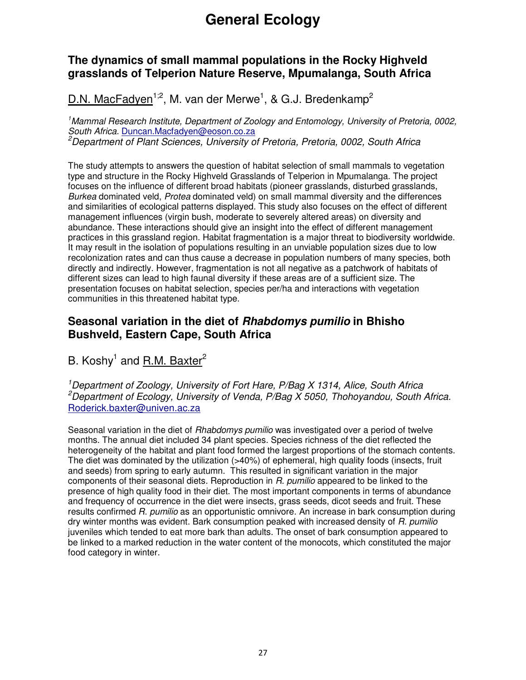## **General Ecology**

#### **The dynamics of small mammal populations in the Rocky Highveld grasslands of Telperion Nature Reserve, Mpumalanga, South Africa**

D.N. MacFadyen<sup>1;2</sup>, M. van der Merwe<sup>1</sup>, & G.J. Bredenkamp<sup>2</sup>

<sup>1</sup>Mammal Research Institute, Department of Zoology and Entomology, University of Pretoria, 0002, South Africa. Duncan.Macfadyen@eoson.co.za <sup>2</sup>Department of Plant Sciences, University of Pretoria, Pretoria, 0002, South Africa

The study attempts to answers the question of habitat selection of small mammals to vegetation type and structure in the Rocky Highveld Grasslands of Telperion in Mpumalanga. The project focuses on the influence of different broad habitats (pioneer grasslands, disturbed grasslands, Burkea dominated veld, Protea dominated veld) on small mammal diversity and the differences and similarities of ecological patterns displayed. This study also focuses on the effect of different management influences (virgin bush, moderate to severely altered areas) on diversity and abundance. These interactions should give an insight into the effect of different management practices in this grassland region. Habitat fragmentation is a major threat to biodiversity worldwide. It may result in the isolation of populations resulting in an unviable population sizes due to low recolonization rates and can thus cause a decrease in population numbers of many species, both directly and indirectly. However, fragmentation is not all negative as a patchwork of habitats of different sizes can lead to high faunal diversity if these areas are of a sufficient size. The presentation focuses on habitat selection, species per/ha and interactions with vegetation communities in this threatened habitat type.

#### **Seasonal variation in the diet of Rhabdomys pumilio in Bhisho Bushveld, Eastern Cape, South Africa**

B. Koshy<sup>1</sup> and **R.M. Baxter**<sup>2</sup>

<sup>1</sup>Department of Zoology, University of Fort Hare, P/Bag X 1314, Alice, South Africa <sup>2</sup>Department of Ecology, University of Venda, P/Bag X 5050, Thohoyandou, South Africa. Roderick.baxter@univen.ac.za

Seasonal variation in the diet of Rhabdomys pumilio was investigated over a period of twelve months. The annual diet included 34 plant species. Species richness of the diet reflected the heterogeneity of the habitat and plant food formed the largest proportions of the stomach contents. The diet was dominated by the utilization (>40%) of ephemeral, high quality foods (insects, fruit and seeds) from spring to early autumn. This resulted in significant variation in the major components of their seasonal diets. Reproduction in R. pumilio appeared to be linked to the presence of high quality food in their diet. The most important components in terms of abundance and frequency of occurrence in the diet were insects, grass seeds, dicot seeds and fruit. These results confirmed R. pumilio as an opportunistic omnivore. An increase in bark consumption during dry winter months was evident. Bark consumption peaked with increased density of R. pumilio juveniles which tended to eat more bark than adults. The onset of bark consumption appeared to be linked to a marked reduction in the water content of the monocots, which constituted the major food category in winter.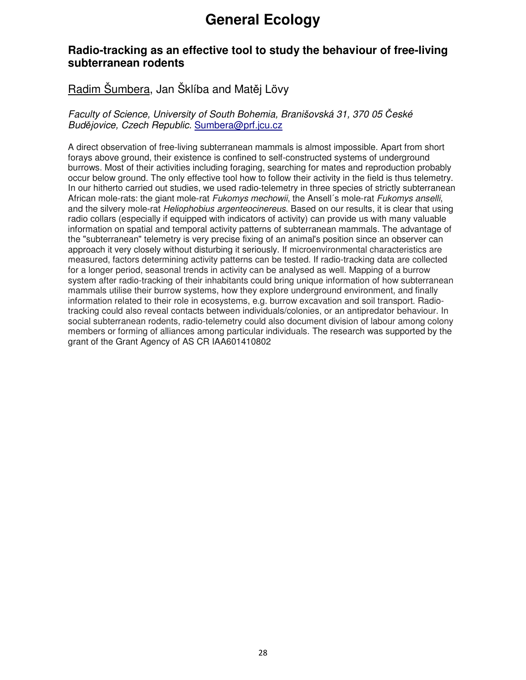## **General Ecology**

#### **Radio-tracking as an effective tool to study the behaviour of free-living subterranean rodents**

#### Radim Šumbera, Jan Šklíba and Matěj Lövy

#### Faculty of Science, University of South Bohemia, Branišovská 31, 370 05 České Budějovice, Czech Republic. Sumbera@prf.jcu.cz

A direct observation of free-living subterranean mammals is almost impossible. Apart from short forays above ground, their existence is confined to self-constructed systems of underground burrows. Most of their activities including foraging, searching for mates and reproduction probably occur below ground. The only effective tool how to follow their activity in the field is thus telemetry. In our hitherto carried out studies, we used radio-telemetry in three species of strictly subterranean African mole-rats: the giant mole-rat Fukomys mechowii, the Ansell's mole-rat Fukomys anselli, and the silvery mole-rat *Heliophobius argenteocinereus*. Based on our results, it is clear that using radio collars (especially if equipped with indicators of activity) can provide us with many valuable information on spatial and temporal activity patterns of subterranean mammals. The advantage of the "subterranean" telemetry is very precise fixing of an animal's position since an observer can approach it very closely without disturbing it seriously. If microenvironmental characteristics are measured, factors determining activity patterns can be tested. If radio-tracking data are collected for a longer period, seasonal trends in activity can be analysed as well. Mapping of a burrow system after radio-tracking of their inhabitants could bring unique information of how subterranean mammals utilise their burrow systems, how they explore underground environment, and finally information related to their role in ecosystems, e.g. burrow excavation and soil transport. Radiotracking could also reveal contacts between individuals/colonies, or an antipredator behaviour. In social subterranean rodents, radio-telemetry could also document division of labour among colony members or forming of alliances among particular individuals. The research was supported by the grant of the Grant Agency of AS CR IAA601410802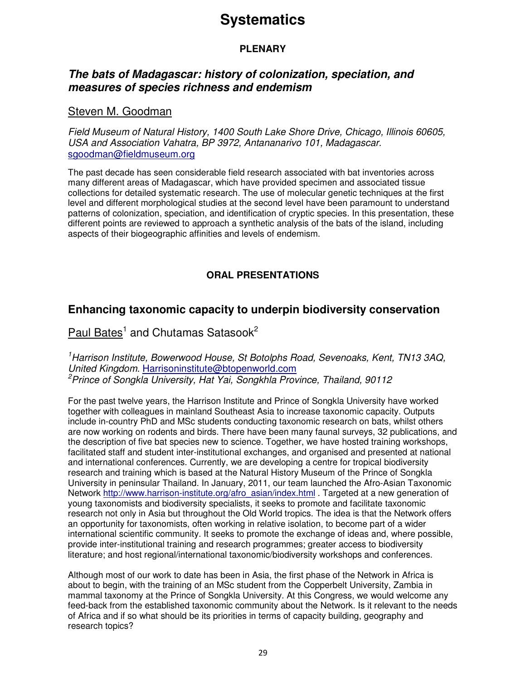#### **PLENARY**

#### **The bats of Madagascar: history of colonization, speciation, and measures of species richness and endemism**

#### Steven M. Goodman

Field Museum of Natural History, 1400 South Lake Shore Drive, Chicago, Illinois 60605, USA and Association Vahatra, BP 3972, Antananarivo 101, Madagascar. sgoodman@fieldmuseum.org

The past decade has seen considerable field research associated with bat inventories across many different areas of Madagascar, which have provided specimen and associated tissue collections for detailed systematic research. The use of molecular genetic techniques at the first level and different morphological studies at the second level have been paramount to understand patterns of colonization, speciation, and identification of cryptic species. In this presentation, these different points are reviewed to approach a synthetic analysis of the bats of the island, including aspects of their biogeographic affinities and levels of endemism.

#### **ORAL PRESENTATIONS**

#### **Enhancing taxonomic capacity to underpin biodiversity conservation**

#### Paul Bates<sup>1</sup> and Chutamas Satasook<sup>2</sup>

<sup>1</sup>Harrison Institute, Bowerwood House, St Botolphs Road, Sevenoaks, Kent, TN13 3AQ, United Kingdom. Harrisoninstitute@btopenworld.com <sup>2</sup> Prince of Songkla University, Hat Yai, Songkhla Province, Thailand, 90112

For the past twelve years, the Harrison Institute and Prince of Songkla University have worked together with colleagues in mainland Southeast Asia to increase taxonomic capacity. Outputs include in-country PhD and MSc students conducting taxonomic research on bats, whilst others are now working on rodents and birds. There have been many faunal surveys, 32 publications, and the description of five bat species new to science. Together, we have hosted training workshops, facilitated staff and student inter-institutional exchanges, and organised and presented at national and international conferences. Currently, we are developing a centre for tropical biodiversity research and training which is based at the Natural History Museum of the Prince of Songkla University in peninsular Thailand. In January, 2011, our team launched the Afro-Asian Taxonomic Network http://www.harrison-institute.org/afro\_asian/index.html . Targeted at a new generation of young taxonomists and biodiversity specialists, it seeks to promote and facilitate taxonomic research not only in Asia but throughout the Old World tropics. The idea is that the Network offers an opportunity for taxonomists, often working in relative isolation, to become part of a wider international scientific community. It seeks to promote the exchange of ideas and, where possible, provide inter-institutional training and research programmes; greater access to biodiversity literature; and host regional/international taxonomic/biodiversity workshops and conferences.

Although most of our work to date has been in Asia, the first phase of the Network in Africa is about to begin, with the training of an MSc student from the Copperbelt University, Zambia in mammal taxonomy at the Prince of Songkla University. At this Congress, we would welcome any feed-back from the established taxonomic community about the Network. Is it relevant to the needs of Africa and if so what should be its priorities in terms of capacity building, geography and research topics?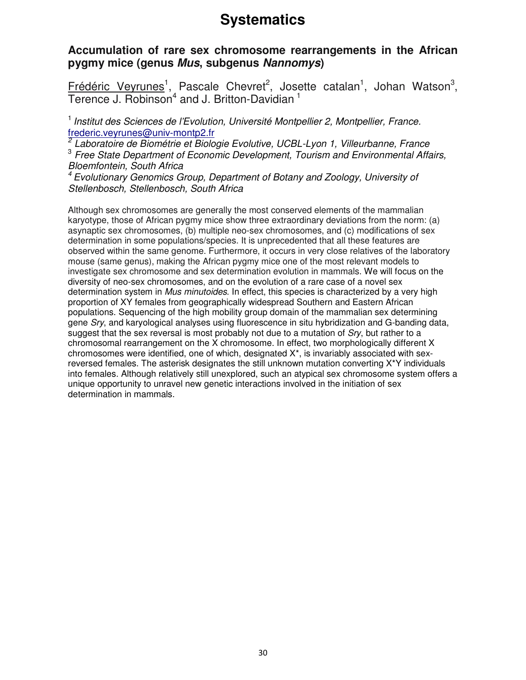#### **Accumulation of rare sex chromosome rearrangements in the African pygmy mice (genus Mus, subgenus Nannomys)**

Frédéric Veyrunes<sup>1</sup>, Pascale Chevret<sup>2</sup>, Josette catalan<sup>1</sup>, Johan Watson<sup>3</sup>, Terence J. Robinson<sup>4</sup> and J. Britton-Davidian<sup>1</sup>

 $<sup>1</sup>$  Institut des Sciences de l'Evolution, Université Montpellier 2, Montpellier, France.</sup> frederic.veyrunes@univ-montp2.fr

<sup>2</sup> Laboratoire de Biométrie et Biologie Evolutive, UCBL-Lyon 1, Villeurbanne, France <sup>3</sup> Free State Department of Economic Development, Tourism and Environmental Affairs, Bloemfontein, South Africa

<sup>4</sup>Evolutionary Genomics Group, Department of Botany and Zoology, University of Stellenbosch, Stellenbosch, South Africa

Although sex chromosomes are generally the most conserved elements of the mammalian karyotype, those of African pygmy mice show three extraordinary deviations from the norm: (a) asynaptic sex chromosomes, (b) multiple neo-sex chromosomes, and (c) modifications of sex determination in some populations/species. It is unprecedented that all these features are observed within the same genome. Furthermore, it occurs in very close relatives of the laboratory mouse (same genus), making the African pygmy mice one of the most relevant models to investigate sex chromosome and sex determination evolution in mammals. We will focus on the diversity of neo-sex chromosomes, and on the evolution of a rare case of a novel sex determination system in Mus minutoides. In effect, this species is characterized by a very high proportion of XY females from geographically widespread Southern and Eastern African populations. Sequencing of the high mobility group domain of the mammalian sex determining gene Sry, and karyological analyses using fluorescence in situ hybridization and G-banding data, suggest that the sex reversal is most probably not due to a mutation of Sry, but rather to a chromosomal rearrangement on the X chromosome. In effect, two morphologically different X chromosomes were identified, one of which, designated  $X^*$ , is invariably associated with sexreversed females. The asterisk designates the still unknown mutation converting X\*Y individuals into females. Although relatively still unexplored, such an atypical sex chromosome system offers a unique opportunity to unravel new genetic interactions involved in the initiation of sex determination in mammals.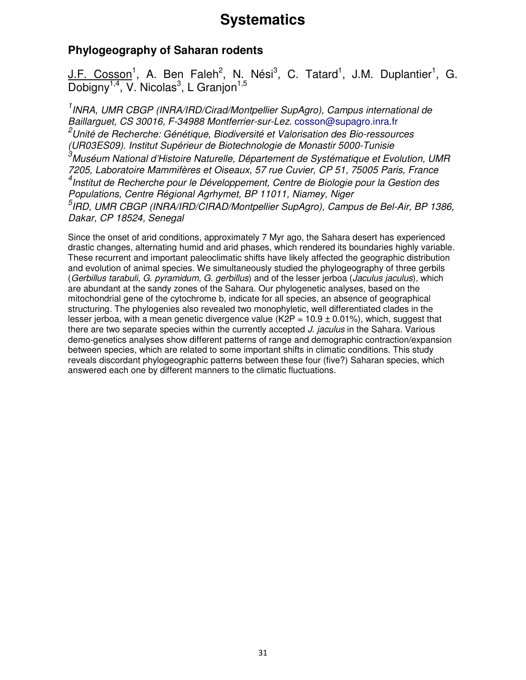#### **Phylogeography of Saharan rodents**

J.F. Cosson<sup>1</sup>, A. Ben Faleh<sup>2</sup>, N. Nési<sup>3</sup>, C. Tatard<sup>1</sup>, J.M. Duplantier<sup>1</sup>, G. Dobigny<sup>1,4</sup>, V. Nicolas<sup>3</sup>, L Granjon<sup>1,5</sup>

<sup>1</sup> INRA, UMR CBGP (INRA/IRD/Cirad/Montpellier SupAgro), Campus international de Baillarguet, CS 30016, F-34988 Montferrier-sur-Lez. cosson@supagro.inra.fr <sup>2</sup>Unité de Recherche: Génétique, Biodiversité et Valorisation des Bio-ressources (UR03ES09). Institut Supérieur de Biotechnologie de Monastir 5000-Tunisie <sup>3</sup>Muséum National d'Histoire Naturelle, Département de Systématique et Evolution, UMR 7205, Laboratoire Mammifères et Oiseaux, 57 rue Cuvier, CP 51, 75005 Paris, France 4 Institut de Recherche pour le Développement, Centre de Biologie pour la Gestion des Populations, Centre Régional Agrhymet, BP 11011, Niamey, Niger <sup>5</sup>IRD, UMR CBGP (INRA/IRD/CIRAD/Montpellier SupAgro), Campus de Bel-Air, BP 1386, Dakar, CP 18524, Senegal

Since the onset of arid conditions, approximately 7 Myr ago, the Sahara desert has experienced drastic changes, alternating humid and arid phases, which rendered its boundaries highly variable. These recurrent and important paleoclimatic shifts have likely affected the geographic distribution and evolution of animal species. We simultaneously studied the phylogeography of three gerbils (Gerbillus tarabuli, G. pyramidum, G. gerbillus) and of the lesser jerboa (Jaculus jaculus), which are abundant at the sandy zones of the Sahara. Our phylogenetic analyses, based on the mitochondrial gene of the cytochrome b, indicate for all species, an absence of geographical structuring. The phylogenies also revealed two monophyletic, well differentiated clades in the lesser jerboa, with a mean genetic divergence value (K2P =  $10.9 \pm 0.01\%$ ), which, suggest that there are two separate species within the currently accepted J. jaculus in the Sahara. Various demo-genetics analyses show different patterns of range and demographic contraction/expansion between species, which are related to some important shifts in climatic conditions. This study reveals discordant phylogeographic patterns between these four (five?) Saharan species, which answered each one by different manners to the climatic fluctuations.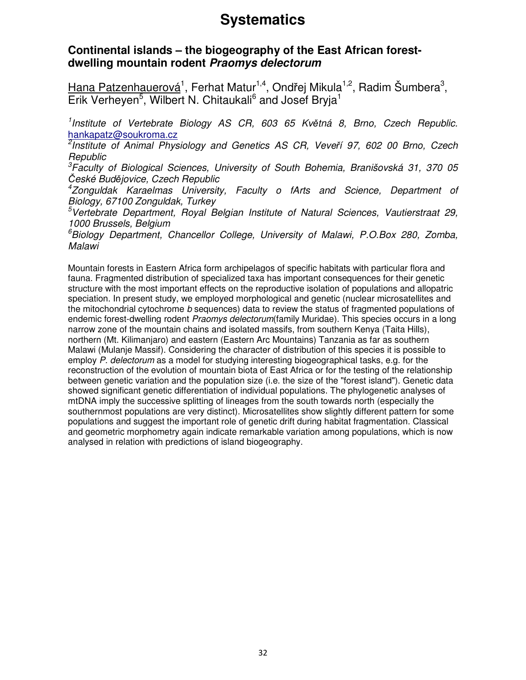#### **Continental islands – the biogeography of the East African forestdwelling mountain rodent Praomys delectorum**

Hana Patzenhauerová<sup>1</sup>, Ferhat Matur<sup>1,4</sup>, Ondřej Mikula<sup>1,2</sup>, Radim Šumbera<sup>3</sup>, Erik Verheyen<sup>5</sup>, Wilbert N. Chitaukali<sup>6</sup> and Josef Bryja<sup>1</sup>

<sup>1</sup>Institute of Vertebrate Biology AS CR, 603 65 Květná 8, Brno, Czech Republic. hankapatz@soukroma.cz

<sup>2</sup>Institute of Animal Physiology and Genetics AS CR, Veveří 97, 602 00 Brno, Czech **Republic** 

 ${}^{3}$ Faculty of Biological Sciences, University of South Bohemia, Branišovská 31, 370 05 České Budějovice, Czech Republic

4 Zonguldak Karaelmas University, Faculty o fArts and Science, Department of Biology, 67100 Zonguldak, Turkey

<sup>5</sup>Vertebrate Department, Royal Belgian Institute of Natural Sciences, Vautierstraat 29, 1000 Brussels, Belgium

 ${}^6$ Biology Department, Chancellor College, University of Malawi, P.O.Box 280, Zomba, Malawi

Mountain forests in Eastern Africa form archipelagos of specific habitats with particular flora and fauna. Fragmented distribution of specialized taxa has important consequences for their genetic structure with the most important effects on the reproductive isolation of populations and allopatric speciation. In present study, we employed morphological and genetic (nuclear microsatellites and the mitochondrial cytochrome b sequences) data to review the status of fragmented populations of endemic forest-dwelling rodent *Praomys delectorum* (family Muridae). This species occurs in a long narrow zone of the mountain chains and isolated massifs, from southern Kenya (Taita Hills), northern (Mt. Kilimanjaro) and eastern (Eastern Arc Mountains) Tanzania as far as southern Malawi (Mulanje Massif). Considering the character of distribution of this species it is possible to employ P. delectorum as a model for studying interesting biogeographical tasks, e.g. for the reconstruction of the evolution of mountain biota of East Africa or for the testing of the relationship between genetic variation and the population size (i.e. the size of the "forest island"). Genetic data showed significant genetic differentiation of individual populations. The phylogenetic analyses of mtDNA imply the successive splitting of lineages from the south towards north (especially the southernmost populations are very distinct). Microsatellites show slightly different pattern for some populations and suggest the important role of genetic drift during habitat fragmentation. Classical and geometric morphometry again indicate remarkable variation among populations, which is now analysed in relation with predictions of island biogeography.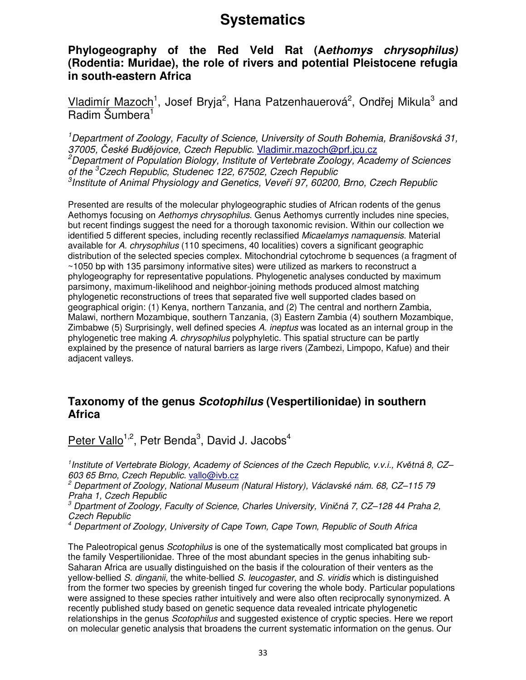#### **Phylogeography of the Red Veld Rat (Aethomys chrysophilus) (Rodentia: Muridae), the role of rivers and potential Pleistocene refugia in south-eastern Africa**

Vladimír Mazoch<sup>1</sup>, Josef Bryja<sup>2</sup>, Hana Patzenhauerová<sup>2</sup>, Ondřej Mikula<sup>3</sup> and Radim Šumbera<sup>1</sup>

<sup>1</sup>Department of Zoology, Faculty of Science, University of South Bohemia, Branišovská 31, 37005, České Budějovice, Czech Republic. Vladimir.mazoch@prf.jcu.cz  $^{2}$ Department of Population Biology, Institute of Vertebrate Zoology, Academy of Sciences of the <sup>3</sup>Czech Republic, Studenec 122, 67502, Czech Republic <sup>3</sup>Institute of Animal Physiology and Genetics, Veveří 97, 60200, Brno, Czech Republic

Presented are results of the molecular phylogeographic studies of African rodents of the genus Aethomys focusing on Aethomys chrysophilus. Genus Aethomys currently includes nine species, but recent findings suggest the need for a thorough taxonomic revision. Within our collection we identified 5 different species, including recently reclassified Micaelamys namaquensis. Material available for A. chrysophilus (110 specimens, 40 localities) covers a significant geographic distribution of the selected species complex. Mitochondrial cytochrome b sequences (a fragment of ~1050 bp with 135 parsimony informative sites) were utilized as markers to reconstruct a phylogeography for representative populations. Phylogenetic analyses conducted by maximum parsimony, maximum-likelihood and neighbor-joining methods produced almost matching phylogenetic reconstructions of trees that separated five well supported clades based on geographical origin: (1) Kenya, northern Tanzania, and (2) The central and northern Zambia, Malawi, northern Mozambique, southern Tanzania, (3) Eastern Zambia (4) southern Mozambique, Zimbabwe (5) Surprisingly, well defined species A. ineptus was located as an internal group in the phylogenetic tree making A. chrysophilus polyphyletic. This spatial structure can be partly explained by the presence of natural barriers as large rivers (Zambezi, Limpopo, Kafue) and their adjacent valleys.

#### **Taxonomy of the genus Scotophilus (Vespertilionidae) in southern Africa**

Peter Vallo<sup>1,2</sup>, Petr Benda<sup>3</sup>, David J. Jacobs<sup>4</sup>

<sup>1</sup> Institute of Vertebrate Biology, Academy of Sciences of the Czech Republic, v.v.i., Květná 8, CZ-603 65 Brno, Czech Republic. vallo@ivb.cz

2 Department of Zoology, National Museum (Natural History), Václavské nám. 68, CZ–115 79 Praha 1, Czech Republic

3 Dpartment of Zoology, Faculty of Science, Charles University, Viničná 7, CZ–128 44 Praha 2, Czech Republic

4 Department of Zoology, University of Cape Town, Cape Town, Republic of South Africa

The Paleotropical genus Scotophilus is one of the systematically most complicated bat groups in the family Vespertilionidae. Three of the most abundant species in the genus inhabiting sub-Saharan Africa are usually distinguished on the basis if the colouration of their venters as the yellow-bellied S. dinganii, the white-bellied S. leucogaster, and S. viridis which is distinguished from the former two species by greenish tinged fur covering the whole body. Particular populations were assigned to these species rather intuitively and were also often reciprocally synonymized. A recently published study based on genetic sequence data revealed intricate phylogenetic relationships in the genus *Scotophilus* and suggested existence of cryptic species. Here we report on molecular genetic analysis that broadens the current systematic information on the genus. Our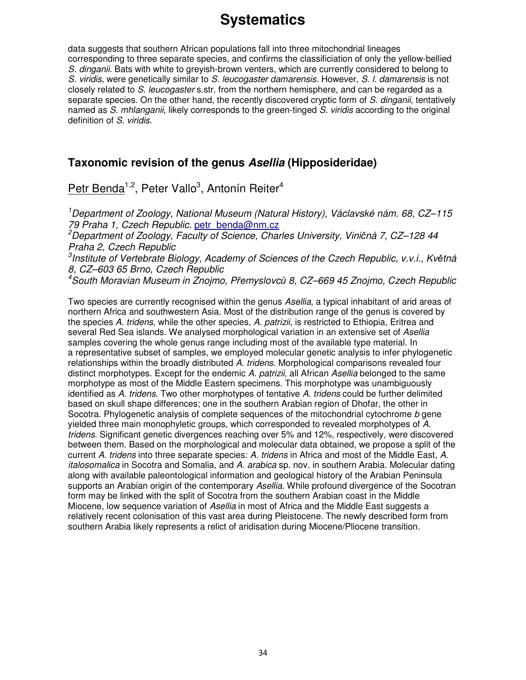data suggests that southern African populations fall into three mitochondrial lineages corresponding to three separate species, and confirms the classificiation of only the yellow-bellied S. dinganii. Bats with white to grevish-brown venters, which are currently considered to belong to S. viridis, were genetically similar to S. leucogaster damarensis. However, S. I. damarensis is not closely related to S. leucogaster s.str. from the northern hemisphere, and can be regarded as a separate species. On the other hand, the recently discovered cryptic form of S. dinganii, tentatively named as S. mhlanganii, likely corresponds to the green-tinged S. viridis according to the original definition of S. viridis.

#### **Taxonomic revision of the genus Asellia (Hipposideridae)**

Petr Benda<sup>1,2</sup>, Peter Vallo<sup>3</sup>, Antonín Reiter<sup>4</sup>

<sup>1</sup>Department of Zoology, National Museum (Natural History), Václavské nám. 68, CZ–115 79 Praha 1, Czech Republic. petr\_benda@nm.cz <sup>2</sup>Department of Zoology, Faculty of Science, Charles University, Viničná 7, CZ–128 44

Praha 2, Czech Republic <sup>3</sup>Institute of Vertebrate Biology, Academy of Sciences of the Czech Republic, v.v.i., Květná 8, CZ–603 65 Brno, Czech Republic

 $^4$ South Moravian Museum in Znojmo, Přemyslovců 8, CZ–669 45 Znojmo, Czech Republic

Two species are currently recognised within the genus Asellia, a typical inhabitant of arid areas of northern Africa and southwestern Asia. Most of the distribution range of the genus is covered by the species A. tridens, while the other species, A. patrizii, is restricted to Ethiopia, Eritrea and several Red Sea islands. We analysed morphological variation in an extensive set of Asellia samples covering the whole genus range including most of the available type material. In a representative subset of samples, we employed molecular genetic analysis to infer phylogenetic relationships within the broadly distributed A. tridens. Morphological comparisons revealed four distinct morphotypes. Except for the endemic A. patrizii, all African Asellia belonged to the same morphotype as most of the Middle Eastern specimens. This morphotype was unambiguously identified as A. tridens. Two other morphotypes of tentative A. tridens could be further delimited based on skull shape differences; one in the southern Arabian region of Dhofar, the other in Socotra. Phylogenetic analysis of complete sequences of the mitochondrial cytochrome b gene yielded three main monophyletic groups, which corresponded to revealed morphotypes of A. tridens. Significant genetic divergences reaching over 5% and 12%, respectively, were discovered between them. Based on the morphological and molecular data obtained, we propose a split of the current A. tridens into three separate species: A. tridens in Africa and most of the Middle East, A. italosomalica in Socotra and Somalia, and A. arabica sp. nov. in southern Arabia. Molecular dating along with available paleontological information and geological history of the Arabian Peninsula supports an Arabian origin of the contemporary Asellia. While profound divergence of the Socotran form may be linked with the split of Socotra from the southern Arabian coast in the Middle Miocene, low sequence variation of Asellia in most of Africa and the Middle East suggests a relatively recent colonisation of this vast area during Pleistocene. The newly described form from southern Arabia likely represents a relict of aridisation during Miocene/Pliocene transition.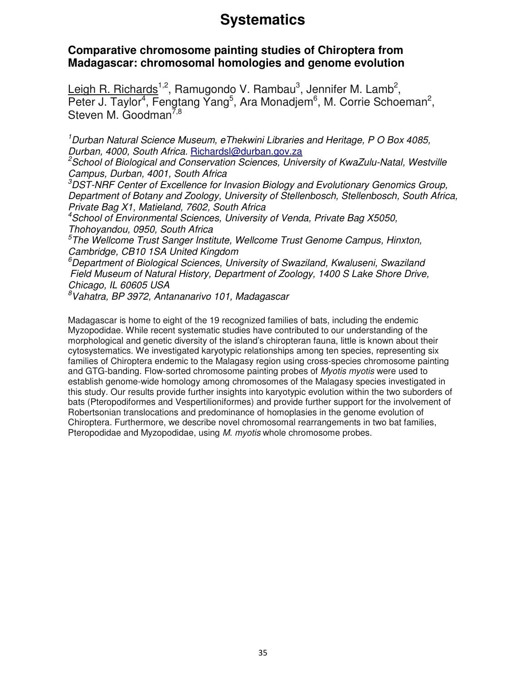#### **Comparative chromosome painting studies of Chiroptera from Madagascar: chromosomal homologies and genome evolution**

Leigh R. Richards<sup>1,2</sup>, Ramugondo V. Rambau<sup>3</sup>, Jennifer M. Lamb<sup>2</sup>, Peter J. Taylor<sup>4</sup>, Fengtang Yang<sup>5</sup>, Ara Monadjem<sup>6</sup>, M. Corrie Schoeman<sup>2</sup>, Steven M. Goodman<sup> $7,8$ </sup>

 $1$ Durban Natural Science Museum, eThekwini Libraries and Heritage, P O Box 4085, Durban, 4000, South Africa. Richardsl@durban.gov.za

 $2$ School of Biological and Conservation Sciences, University of KwaZulu-Natal, Westville Campus, Durban, 4001, South Africa

 ${}^{3}$ DST-NRF Center of Excellence for Invasion Biology and Evolutionary Genomics Group, Department of Botany and Zoology, University of Stellenbosch, Stellenbosch, South Africa, Private Bag X1, Matieland, 7602, South Africa

<sup>4</sup>School of Environmental Sciences, University of Venda, Private Bag X5050, Thohoyandou, 0950, South Africa

<sup>5</sup>The Wellcome Trust Sanger Institute, Wellcome Trust Genome Campus, Hinxton, Cambridge, CB10 1SA United Kingdom

<sup>6</sup>Department of Biological Sciences, University of Swaziland, Kwaluseni, Swaziland Field Museum of Natural History, Department of Zoology, 1400 S Lake Shore Drive, Chicago, IL 60605 USA

<sup>8</sup>Vahatra, BP 3972, Antananarivo 101, Madagascar

Madagascar is home to eight of the 19 recognized families of bats, including the endemic Myzopodidae. While recent systematic studies have contributed to our understanding of the morphological and genetic diversity of the island's chiropteran fauna, little is known about their cytosystematics. We investigated karyotypic relationships among ten species, representing six families of Chiroptera endemic to the Malagasy region using cross-species chromosome painting and GTG-banding. Flow-sorted chromosome painting probes of *Myotis myotis* were used to establish genome-wide homology among chromosomes of the Malagasy species investigated in this study. Our results provide further insights into karyotypic evolution within the two suborders of bats (Pteropodiformes and Vespertilioniformes) and provide further support for the involvement of Robertsonian translocations and predominance of homoplasies in the genome evolution of Chiroptera. Furthermore, we describe novel chromosomal rearrangements in two bat families, Pteropodidae and Myzopodidae, using M. myotis whole chromosome probes.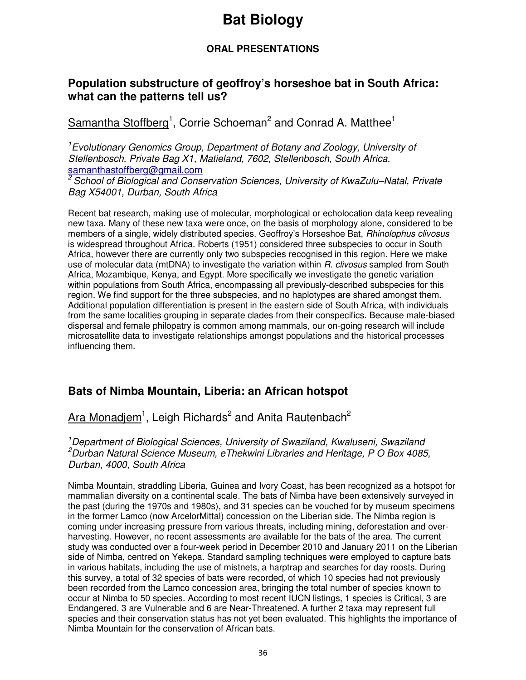## **Bat Biology**

#### **ORAL PRESENTATIONS**

#### **Population substructure of geoffroy's horseshoe bat in South Africa: what can the patterns tell us?**

Samantha Stoffberg<sup>1</sup>, Corrie Schoeman<sup>2</sup> and Conrad A. Matthee<sup>1</sup>

<sup>1</sup>Evolutionary Genomics Group, Department of Botany and Zoology, University of Stellenbosch, Private Bag X1, Matieland, 7602, Stellenbosch, South Africa. samanthastoffberg@gmail.com

<sup>2</sup>School of Biological and Conservation Sciences, University of KwaZulu–Natal, Private Bag X54001, Durban, South Africa

Recent bat research, making use of molecular, morphological or echolocation data keep revealing new taxa. Many of these new taxa were once, on the basis of morphology alone, considered to be members of a single, widely distributed species. Geoffroy's Horseshoe Bat, Rhinolophus clivosus is widespread throughout Africa. Roberts (1951) considered three subspecies to occur in South Africa, however there are currently only two subspecies recognised in this region. Here we make use of molecular data (mtDNA) to investigate the variation within R. clivosus sampled from South Africa, Mozambique, Kenya, and Egypt. More specifically we investigate the genetic variation within populations from South Africa, encompassing all previously-described subspecies for this region. We find support for the three subspecies, and no haplotypes are shared amongst them. Additional population differentiation is present in the eastern side of South Africa, with individuals from the same localities grouping in separate clades from their conspecifics. Because male-biased dispersal and female philopatry is common among mammals, our on-going research will include microsatellite data to investigate relationships amongst populations and the historical processes influencing them.

#### **Bats of Nimba Mountain, Liberia: an African hotspot**

Ara Monadjem $^1$ , Leigh Richards<sup>2</sup> and Anita Rautenbach<sup>2</sup>

<sup>1</sup> Department of Biological Sciences, University of Swaziland, Kwaluseni, Swaziland  $^{2}$ Durban Natural Science Museum, eThekwini Libraries and Heritage, P O Box 4085, Durban, 4000, South Africa

Nimba Mountain, straddling Liberia, Guinea and Ivory Coast, has been recognized as a hotspot for mammalian diversity on a continental scale. The bats of Nimba have been extensively surveyed in the past (during the 1970s and 1980s), and 31 species can be vouched for by museum specimens in the former Lamco (now ArcelorMittal) concession on the Liberian side. The Nimba region is coming under increasing pressure from various threats, including mining, deforestation and overharvesting. However, no recent assessments are available for the bats of the area. The current study was conducted over a four-week period in December 2010 and January 2011 on the Liberian side of Nimba, centred on Yekepa. Standard sampling techniques were employed to capture bats in various habitats, including the use of mistnets, a harptrap and searches for day roosts. During this survey, a total of 32 species of bats were recorded, of which 10 species had not previously been recorded from the Lamco concession area, bringing the total number of species known to occur at Nimba to 50 species. According to most recent IUCN listings, 1 species is Critical, 3 are Endangered, 3 are Vulnerable and 6 are Near-Threatened. A further 2 taxa may represent full species and their conservation status has not yet been evaluated. This highlights the importance of Nimba Mountain for the conservation of African bats.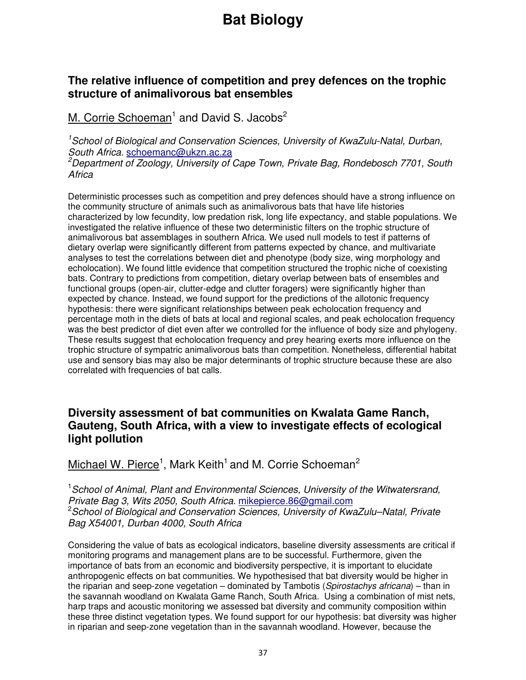### **The relative influence of competition and prey defences on the trophic structure of animalivorous bat ensembles**

M. Corrie Schoeman<sup>1</sup> and David S. Jacobs<sup>2</sup>

<sup>1</sup>School of Biological and Conservation Sciences, University of KwaZulu-Natal, Durban, South Africa. schoemanc@ukzn.ac.za <sup>2</sup>Department of Zoology, University of Cape Town, Private Bag, Rondebosch 7701, South **Africa** 

Deterministic processes such as competition and prey defences should have a strong influence on the community structure of animals such as animalivorous bats that have life histories characterized by low fecundity, low predation risk, long life expectancy, and stable populations. We investigated the relative influence of these two deterministic filters on the trophic structure of animalivorous bat assemblages in southern Africa. We used null models to test if patterns of dietary overlap were significantly different from patterns expected by chance, and multivariate analyses to test the correlations between diet and phenotype (body size, wing morphology and echolocation). We found little evidence that competition structured the trophic niche of coexisting bats. Contrary to predictions from competition, dietary overlap between bats of ensembles and functional groups (open-air, clutter-edge and clutter foragers) were significantly higher than expected by chance. Instead, we found support for the predictions of the allotonic frequency hypothesis: there were significant relationships between peak echolocation frequency and percentage moth in the diets of bats at local and regional scales, and peak echolocation frequency was the best predictor of diet even after we controlled for the influence of body size and phylogeny. These results suggest that echolocation frequency and prey hearing exerts more influence on the trophic structure of sympatric animalivorous bats than competition. Nonetheless, differential habitat use and sensory bias may also be major determinants of trophic structure because these are also correlated with frequencies of bat calls.

### **Diversity assessment of bat communities on Kwalata Game Ranch, Gauteng, South Africa, with a view to investigate effects of ecological light pollution**

Michael W. Pierce<sup>1</sup>, Mark Keith<sup>1</sup> and M. Corrie Schoeman<sup>2</sup>

<sup>1</sup> School of Animal, Plant and Environmental Sciences, University of the Witwatersrand, Private Bag 3, Wits 2050, South Africa. mikepierce.86@gmail.com <sup>2</sup> School of Biological and Conservation Sciences, University of KwaZulu–Natal, Private Bag X54001, Durban 4000, South Africa

Considering the value of bats as ecological indicators, baseline diversity assessments are critical if monitoring programs and management plans are to be successful. Furthermore, given the importance of bats from an economic and biodiversity perspective, it is important to elucidate anthropogenic effects on bat communities. We hypothesised that bat diversity would be higher in the riparian and seep-zone vegetation – dominated by Tambotis (Spirostachys africana) – than in the savannah woodland on Kwalata Game Ranch, South Africa. Using a combination of mist nets, harp traps and acoustic monitoring we assessed bat diversity and community composition within these three distinct vegetation types. We found support for our hypothesis: bat diversity was higher in riparian and seep-zone vegetation than in the savannah woodland. However, because the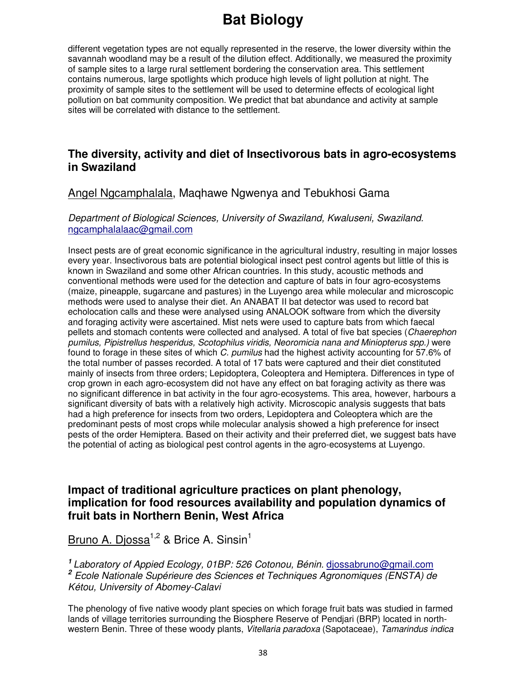different vegetation types are not equally represented in the reserve, the lower diversity within the savannah woodland may be a result of the dilution effect. Additionally, we measured the proximity of sample sites to a large rural settlement bordering the conservation area. This settlement contains numerous, large spotlights which produce high levels of light pollution at night. The proximity of sample sites to the settlement will be used to determine effects of ecological light pollution on bat community composition. We predict that bat abundance and activity at sample sites will be correlated with distance to the settlement.

### **The diversity, activity and diet of Insectivorous bats in agro-ecosystems in Swaziland**

### Angel Ngcamphalala, Maqhawe Ngwenya and Tebukhosi Gama

#### Department of Biological Sciences, University of Swaziland, Kwaluseni, Swaziland. ngcamphalalaac@gmail.com

Insect pests are of great economic significance in the agricultural industry, resulting in major losses every year. Insectivorous bats are potential biological insect pest control agents but little of this is known in Swaziland and some other African countries. In this study, acoustic methods and conventional methods were used for the detection and capture of bats in four agro-ecosystems (maize, pineapple, sugarcane and pastures) in the Luyengo area while molecular and microscopic methods were used to analyse their diet. An ANABAT II bat detector was used to record bat echolocation calls and these were analysed using ANALOOK software from which the diversity and foraging activity were ascertained. Mist nets were used to capture bats from which faecal pellets and stomach contents were collected and analysed. A total of five bat species (Chaerephon pumilus, Pipistrellus hesperidus, Scotophilus viridis, Neoromicia nana and Miniopterus spp.) were found to forage in these sites of which C. pumilus had the highest activity accounting for 57.6% of the total number of passes recorded. A total of 17 bats were captured and their diet constituted mainly of insects from three orders; Lepidoptera, Coleoptera and Hemiptera. Differences in type of crop grown in each agro-ecosystem did not have any effect on bat foraging activity as there was no significant difference in bat activity in the four agro-ecosystems. This area, however, harbours a significant diversity of bats with a relatively high activity. Microscopic analysis suggests that bats had a high preference for insects from two orders, Lepidoptera and Coleoptera which are the predominant pests of most crops while molecular analysis showed a high preference for insect pests of the order Hemiptera. Based on their activity and their preferred diet, we suggest bats have the potential of acting as biological pest control agents in the agro-ecosystems at Luyengo.

### **Impact of traditional agriculture practices on plant phenology, implication for food resources availability and population dynamics of fruit bats in Northern Benin, West Africa**

### Bruno A. Diossa<sup>1,2</sup> & Brice A. Sinsin<sup>1</sup>

**<sup>1</sup>**Laboratory of Appied Ecology, 01BP: 526 Cotonou, Bénin. djossabruno@gmail.com **2** Ecole Nationale Supérieure des Sciences et Techniques Agronomiques (ENSTA) de Kétou, University of Abomey-Calavi

The phenology of five native woody plant species on which forage fruit bats was studied in farmed lands of village territories surrounding the Biosphere Reserve of Pendjari (BRP) located in northwestern Benin. Three of these woody plants, Vitellaria paradoxa (Sapotaceae), Tamarindus indica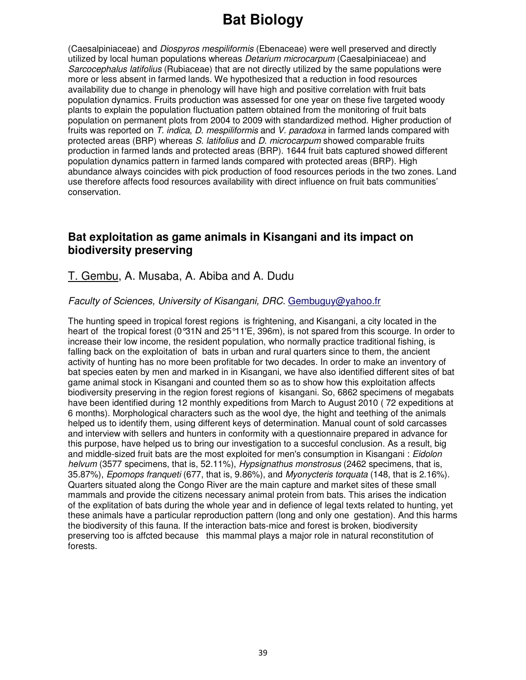(Caesalpiniaceae) and Diospyros mespiliformis (Ebenaceae) were well preserved and directly utilized by local human populations whereas Detarium microcarpum (Caesalpiniaceae) and Sarcocephalus latifolius (Rubiaceae) that are not directly utilized by the same populations were more or less absent in farmed lands. We hypothesized that a reduction in food resources availability due to change in phenology will have high and positive correlation with fruit bats population dynamics. Fruits production was assessed for one year on these five targeted woody plants to explain the population fluctuation pattern obtained from the monitoring of fruit bats population on permanent plots from 2004 to 2009 with standardized method. Higher production of fruits was reported on T. indica, D. mespiliformis and V. paradoxa in farmed lands compared with protected areas (BRP) whereas S. latifolius and D. microcarpum showed comparable fruits production in farmed lands and protected areas (BRP). 1644 fruit bats captured showed different population dynamics pattern in farmed lands compared with protected areas (BRP). High abundance always coincides with pick production of food resources periods in the two zones. Land use therefore affects food resources availability with direct influence on fruit bats communities' conservation.

### **Bat exploitation as game animals in Kisangani and its impact on biodiversity preserving**

### T. Gembu, A. Musaba, A. Abiba and A. Dudu

#### Faculty of Sciences, University of Kisangani, DRC. Gembuguy@yahoo.fr

The hunting speed in tropical forest regions is frightening, and Kisangani, a city located in the heart of the tropical forest (0°31N and 25°11'E, 396m), is not spared from this scourge. In order to increase their low income, the resident population, who normally practice traditional fishing, is falling back on the exploitation of bats in urban and rural quarters since to them, the ancient activity of hunting has no more been profitable for two decades. In order to make an inventory of bat species eaten by men and marked in in Kisangani, we have also identified different sites of bat game animal stock in Kisangani and counted them so as to show how this exploitation affects biodiversity preserving in the region forest regions of kisangani. So, 6862 specimens of megabats have been identified during 12 monthly expeditions from March to August 2010 ( 72 expeditions at 6 months). Morphological characters such as the wool dye, the hight and teething of the animals helped us to identify them, using different keys of determination. Manual count of sold carcasses and interview with sellers and hunters in conformity with a questionnaire prepared in advance for this purpose, have helped us to bring our investigation to a succesful conclusion. As a result, big and middle-sized fruit bats are the most exploited for men's consumption in Kisangani : Eidolon helvum (3577 specimens, that is, 52.11%), *Hypsignathus monstrosus* (2462 specimens, that is, 35.87%), Epomops franqueti (677, that is, 9.86%), and Myonycteris torquata (148, that is 2.16%). Quarters situated along the Congo River are the main capture and market sites of these small mammals and provide the citizens necessary animal protein from bats. This arises the indication of the explitation of bats during the whole year and in defience of legal texts related to hunting, yet these animals have a particular reproduction pattern (long and only one gestation). And this harms the biodiversity of this fauna. If the interaction bats-mice and forest is broken, biodiversity preserving too is affcted because this mammal plays a major role in natural reconstitution of forests.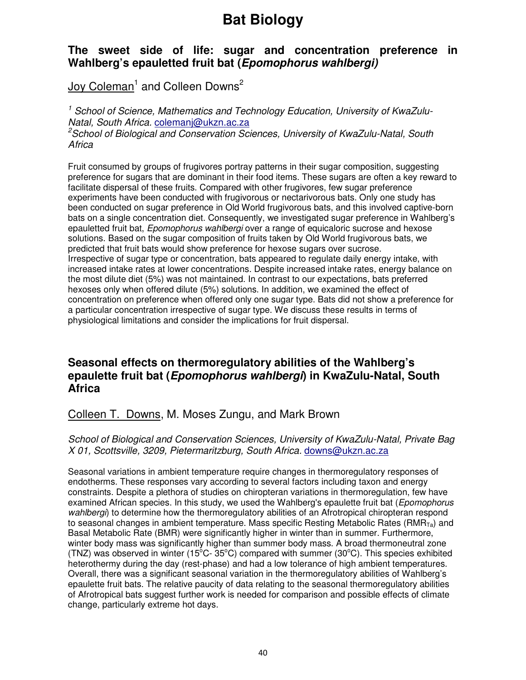### **The sweet side of life: sugar and concentration preference in Wahlberg's epauletted fruit bat (Epomophorus wahlbergi)**

Joy Coleman<sup>1</sup> and Colleen Downs<sup>2</sup>

<sup>1</sup> School of Science, Mathematics and Technology Education, University of KwaZulu-Natal, South Africa. colemanj@ukzn.ac.za

<sup>2</sup>School of Biological and Conservation Sciences, University of KwaZulu-Natal, South Africa

Fruit consumed by groups of frugivores portray patterns in their sugar composition, suggesting preference for sugars that are dominant in their food items. These sugars are often a key reward to facilitate dispersal of these fruits. Compared with other frugivores, few sugar preference experiments have been conducted with frugivorous or nectarivorous bats. Only one study has been conducted on sugar preference in Old World frugivorous bats, and this involved captive-born bats on a single concentration diet. Consequently, we investigated sugar preference in Wahlberg's epauletted fruit bat, Epomophorus wahlbergi over a range of equicaloric sucrose and hexose solutions. Based on the sugar composition of fruits taken by Old World frugivorous bats, we predicted that fruit bats would show preference for hexose sugars over sucrose. Irrespective of sugar type or concentration, bats appeared to regulate daily energy intake, with increased intake rates at lower concentrations. Despite increased intake rates, energy balance on the most dilute diet (5%) was not maintained. In contrast to our expectations, bats preferred hexoses only when offered dilute (5%) solutions. In addition, we examined the effect of concentration on preference when offered only one sugar type. Bats did not show a preference for a particular concentration irrespective of sugar type. We discuss these results in terms of physiological limitations and consider the implications for fruit dispersal.

### **Seasonal effects on thermoregulatory abilities of the Wahlberg's epaulette fruit bat (Epomophorus wahlbergi) in KwaZulu-Natal, South Africa**

### Colleen T. Downs, M. Moses Zungu, and Mark Brown

#### School of Biological and Conservation Sciences, University of KwaZulu-Natal, Private Bag X 01, Scottsville, 3209, Pietermaritzburg, South Africa. downs@ukzn.ac.za

Seasonal variations in ambient temperature require changes in thermoregulatory responses of endotherms. These responses vary according to several factors including taxon and energy constraints. Despite a plethora of studies on chiropteran variations in thermoregulation, few have examined African species. In this study, we used the Wahlberg's epaulette fruit bat (*Epomophorus* wahlbergi) to determine how the thermoregulatory abilities of an Afrotropical chiropteran respond to seasonal changes in ambient temperature. Mass specific Resting Metabolic Rates (RMR $_{\text{Ta}}$ ) and Basal Metabolic Rate (BMR) were significantly higher in winter than in summer. Furthermore, winter body mass was significantly higher than summer body mass. A broad thermoneutral zone (TNZ) was observed in winter (15°C- 35°C) compared with summer (30°C). This species exhibited heterothermy during the day (rest-phase) and had a low tolerance of high ambient temperatures. Overall, there was a significant seasonal variation in the thermoregulatory abilities of Wahlberg's epaulette fruit bats. The relative paucity of data relating to the seasonal thermoregulatory abilities of Afrotropical bats suggest further work is needed for comparison and possible effects of climate change, particularly extreme hot days.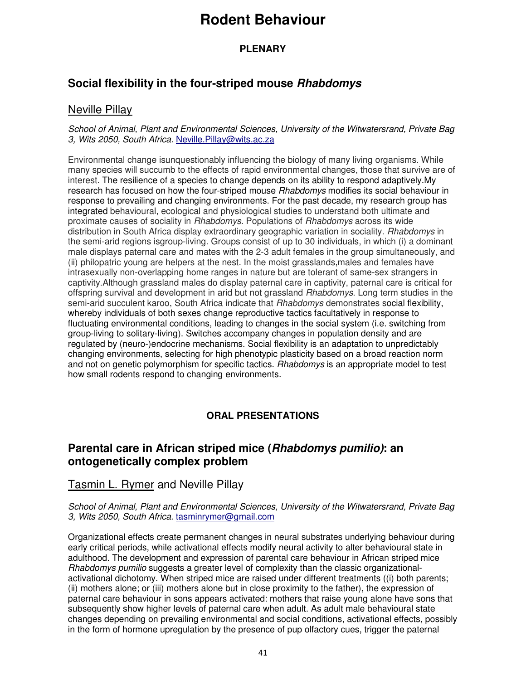#### **PLENARY**

### **Social flexibility in the four-striped mouse Rhabdomys**

### Neville Pillay

School of Animal, Plant and Environmental Sciences, University of the Witwatersrand, Private Bag 3, Wits 2050, South Africa. Neville.Pillay@wits.ac.za

Environmental change isunquestionably influencing the biology of many living organisms. While many species will succumb to the effects of rapid environmental changes, those that survive are of interest. The resilience of a species to change depends on its ability to respond adaptively.My research has focused on how the four-striped mouse *Rhabdomys* modifies its social behaviour in response to prevailing and changing environments. For the past decade, my research group has integrated behavioural, ecological and physiological studies to understand both ultimate and proximate causes of sociality in Rhabdomys. Populations of Rhabdomys across its wide distribution in South Africa display extraordinary geographic variation in sociality. Rhabdomys in the semi-arid regions isgroup-living. Groups consist of up to 30 individuals, in which (i) a dominant male displays paternal care and mates with the 2-3 adult females in the group simultaneously, and (ii) philopatric young are helpers at the nest. In the moist grasslands,males and females have intrasexually non-overlapping home ranges in nature but are tolerant of same-sex strangers in captivity.Although grassland males do display paternal care in captivity, paternal care is critical for offspring survival and development in arid but not grassland Rhabdomys. Long term studies in the semi-arid succulent karoo, South Africa indicate that *Rhabdomys* demonstrates social flexibility, whereby individuals of both sexes change reproductive tactics facultatively in response to fluctuating environmental conditions, leading to changes in the social system (i.e. switching from group-living to solitary-living). Switches accompany changes in population density and are regulated by (neuro-)endocrine mechanisms. Social flexibility is an adaptation to unpredictably changing environments, selecting for high phenotypic plasticity based on a broad reaction norm and not on genetic polymorphism for specific tactics. *Rhabdomys* is an appropriate model to test how small rodents respond to changing environments.

#### **ORAL PRESENTATIONS**

### **Parental care in African striped mice (Rhabdomys pumilio): an ontogenetically complex problem**

### Tasmin L. Rymer and Neville Pillay

School of Animal, Plant and Environmental Sciences, University of the Witwatersrand, Private Bag 3, Wits 2050, South Africa. tasminrymer@gmail.com

Organizational effects create permanent changes in neural substrates underlying behaviour during early critical periods, while activational effects modify neural activity to alter behavioural state in adulthood. The development and expression of parental care behaviour in African striped mice Rhabdomys pumilio suggests a greater level of complexity than the classic organizationalactivational dichotomy. When striped mice are raised under different treatments ((i) both parents; (ii) mothers alone; or (iii) mothers alone but in close proximity to the father), the expression of paternal care behaviour in sons appears activated: mothers that raise young alone have sons that subsequently show higher levels of paternal care when adult. As adult male behavioural state changes depending on prevailing environmental and social conditions, activational effects, possibly in the form of hormone upregulation by the presence of pup olfactory cues, trigger the paternal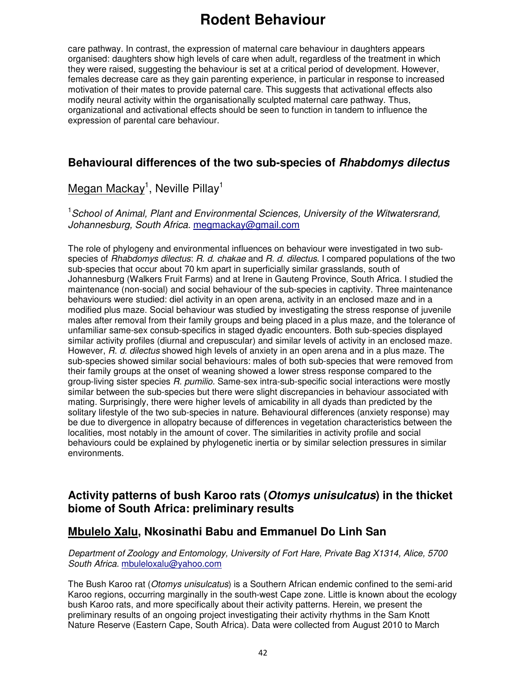care pathway. In contrast, the expression of maternal care behaviour in daughters appears organised: daughters show high levels of care when adult, regardless of the treatment in which they were raised, suggesting the behaviour is set at a critical period of development. However, females decrease care as they gain parenting experience, in particular in response to increased motivation of their mates to provide paternal care. This suggests that activational effects also modify neural activity within the organisationally sculpted maternal care pathway. Thus, organizational and activational effects should be seen to function in tandem to influence the expression of parental care behaviour.

### **Behavioural differences of the two sub-species of Rhabdomys dilectus**

### Megan Mackay<sup>1</sup>, Neville Pillay<sup>1</sup>

<sup>1</sup> School of Animal, Plant and Environmental Sciences, University of the Witwatersrand, Johannesburg, South Africa. megmackay@gmail.com

The role of phylogeny and environmental influences on behaviour were investigated in two subspecies of Rhabdomys dilectus: R. d. chakae and R. d. dilectus. I compared populations of the two sub-species that occur about 70 km apart in superficially similar grasslands, south of Johannesburg (Walkers Fruit Farms) and at Irene in Gauteng Province, South Africa. I studied the maintenance (non-social) and social behaviour of the sub-species in captivity. Three maintenance behaviours were studied: diel activity in an open arena, activity in an enclosed maze and in a modified plus maze. Social behaviour was studied by investigating the stress response of juvenile males after removal from their family groups and being placed in a plus maze, and the tolerance of unfamiliar same-sex consub-specifics in staged dyadic encounters. Both sub-species displayed similar activity profiles (diurnal and crepuscular) and similar levels of activity in an enclosed maze. However, R. d. dilectus showed high levels of anxiety in an open arena and in a plus maze. The sub-species showed similar social behaviours: males of both sub-species that were removed from their family groups at the onset of weaning showed a lower stress response compared to the group-living sister species R. pumilio. Same-sex intra-sub-specific social interactions were mostly similar between the sub-species but there were slight discrepancies in behaviour associated with mating. Surprisingly, there were higher levels of amicability in all dyads than predicted by the solitary lifestyle of the two sub-species in nature. Behavioural differences (anxiety response) may be due to divergence in allopatry because of differences in vegetation characteristics between the localities, most notably in the amount of cover. The similarities in activity profile and social behaviours could be explained by phylogenetic inertia or by similar selection pressures in similar environments.

### **Activity patterns of bush Karoo rats (Otomys unisulcatus) in the thicket biome of South Africa: preliminary results**

### **Mbulelo Xalu, Nkosinathi Babu and Emmanuel Do Linh San**

#### Department of Zoology and Entomology, University of Fort Hare, Private Bag X1314, Alice, 5700 South Africa. mbuleloxalu@yahoo.com

The Bush Karoo rat (Otomys unisulcatus) is a Southern African endemic confined to the semi-arid Karoo regions, occurring marginally in the south-west Cape zone. Little is known about the ecology bush Karoo rats, and more specifically about their activity patterns. Herein, we present the preliminary results of an ongoing project investigating their activity rhythms in the Sam Knott Nature Reserve (Eastern Cape, South Africa). Data were collected from August 2010 to March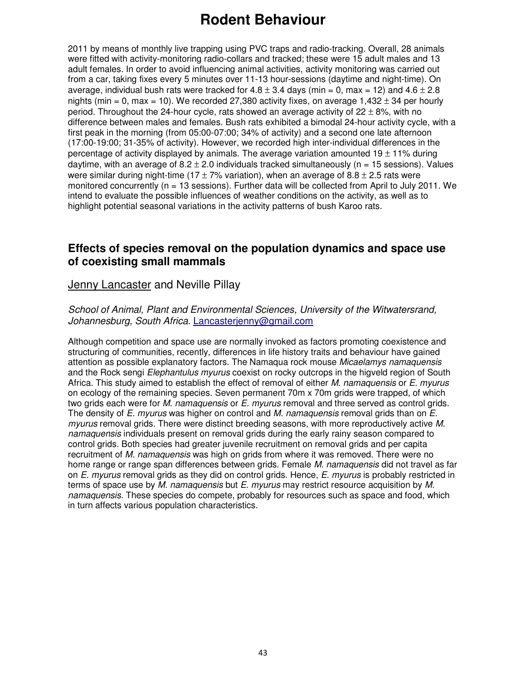2011 by means of monthly live trapping using PVC traps and radio-tracking. Overall, 28 animals were fitted with activity-monitoring radio-collars and tracked; these were 15 adult males and 13 adult females. In order to avoid influencing animal activities, activity monitoring was carried out from a car, taking fixes every 5 minutes over 11-13 hour-sessions (daytime and night-time). On average, individual bush rats were tracked for  $4.8 \pm 3.4$  days (min = 0, max = 12) and  $4.6 \pm 2.8$ nights (min = 0, max = 10). We recorded 27,380 activity fixes, on average  $1,432 \pm 34$  per hourly period. Throughout the 24-hour cycle, rats showed an average activity of  $22 \pm 8\%$ , with no difference between males and females. Bush rats exhibited a bimodal 24-hour activity cycle, with a first peak in the morning (from 05:00-07:00; 34% of activity) and a second one late afternoon (17:00-19:00; 31-35% of activity). However, we recorded high inter-individual differences in the percentage of activity displayed by animals. The average variation amounted  $19 \pm 11\%$  during daytime, with an average of  $8.2 \pm 2.0$  individuals tracked simultaneously (n = 15 sessions). Values were similar during night-time (17  $\pm$  7% variation), when an average of 8.8  $\pm$  2.5 rats were monitored concurrently (n = 13 sessions). Further data will be collected from April to July 2011. We intend to evaluate the possible influences of weather conditions on the activity, as well as to highlight potential seasonal variations in the activity patterns of bush Karoo rats.

### **Effects of species removal on the population dynamics and space use of coexisting small mammals**

### Jenny Lancaster and Neville Pillay

School of Animal, Plant and Environmental Sciences, University of the Witwatersrand, Johannesburg, South Africa. Lancasterjenny@gmail.com

Although competition and space use are normally invoked as factors promoting coexistence and structuring of communities, recently, differences in life history traits and behaviour have gained attention as possible explanatory factors. The Namaqua rock mouse Micaelamys namaquensis and the Rock sengi Elephantulus myurus coexist on rocky outcrops in the higveld region of South Africa. This study aimed to establish the effect of removal of either M. namaguensis or E. myurus on ecology of the remaining species. Seven permanent 70m x 70m grids were trapped, of which two grids each were for *M. namaquensis* or E. *myurus* removal and three served as control grids. The density of E. myurus was higher on control and M. namaquensis removal grids than on E. myurus removal grids. There were distinct breeding seasons, with more reproductively active M. namaquensis individuals present on removal grids during the early rainy season compared to control grids. Both species had greater juvenile recruitment on removal grids and per capita recruitment of M. namaquensis was high on grids from where it was removed. There were no home range or range span differences between grids. Female *M. namaguensis* did not travel as far on E. myurus removal grids as they did on control grids. Hence, E. myurus is probably restricted in terms of space use by M. namaquensis but E. myurus may restrict resource acquisition by M. namaquensis. These species do compete, probably for resources such as space and food, which in turn affects various population characteristics.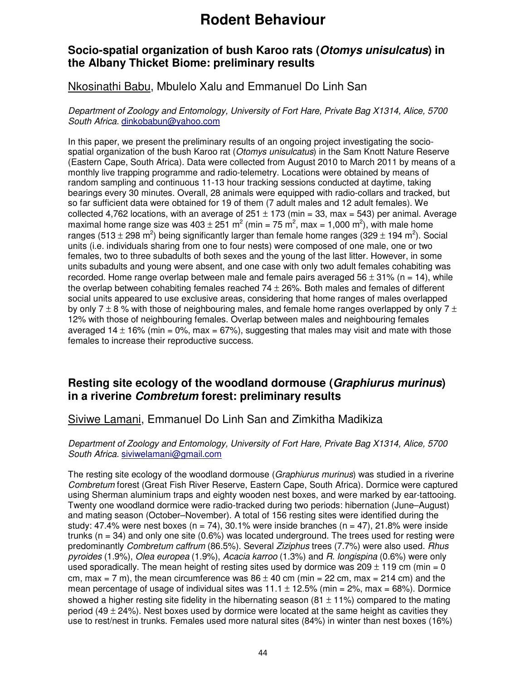### **Socio-spatial organization of bush Karoo rats (Otomys unisulcatus) in the Albany Thicket Biome: preliminary results**

### Nkosinathi Babu, Mbulelo Xalu and Emmanuel Do Linh San

Department of Zoology and Entomology, University of Fort Hare, Private Bag X1314, Alice, 5700 South Africa. dinkobabun@yahoo.com

In this paper, we present the preliminary results of an ongoing project investigating the sociospatial organization of the bush Karoo rat (Otomys unisulcatus) in the Sam Knott Nature Reserve (Eastern Cape, South Africa). Data were collected from August 2010 to March 2011 by means of a monthly live trapping programme and radio-telemetry. Locations were obtained by means of random sampling and continuous 11-13 hour tracking sessions conducted at daytime, taking bearings every 30 minutes. Overall, 28 animals were equipped with radio-collars and tracked, but so far sufficient data were obtained for 19 of them (7 adult males and 12 adult females). We collected 4,762 locations, with an average of  $251 \pm 173$  (min = 33, max = 543) per animal. Average maximal home range size was 403  $\pm$  251 m<sup>2</sup> (min = 75 m<sup>2</sup>, max = 1,000 m<sup>2</sup>), with male home ranges (513  $\pm$  298 m<sup>2</sup>) being significantly larger than female home ranges (329  $\pm$  194 m<sup>2</sup>). Social units (i.e. individuals sharing from one to four nests) were composed of one male, one or two females, two to three subadults of both sexes and the young of the last litter. However, in some units subadults and young were absent, and one case with only two adult females cohabiting was recorded. Home range overlap between male and female pairs averaged 56  $\pm$  31% (n = 14), while the overlap between cohabiting females reached  $74 \pm 26\%$ . Both males and females of different social units appeared to use exclusive areas, considering that home ranges of males overlapped by only 7  $\pm$  8 % with those of neighbouring males, and female home ranges overlapped by only 7  $\pm$ 12% with those of neighbouring females. Overlap between males and neighbouring females averaged 14  $\pm$  16% (min = 0%, max = 67%), suggesting that males may visit and mate with those females to increase their reproductive success.

### **Resting site ecology of the woodland dormouse (Graphiurus murinus) in a riverine Combretum forest: preliminary results**

### Siviwe Lamani, Emmanuel Do Linh San and Zimkitha Madikiza

#### Department of Zoology and Entomology, University of Fort Hare, Private Bag X1314, Alice, 5700 South Africa. siviwelamani@gmail.com

The resting site ecology of the woodland dormouse (Graphiurus murinus) was studied in a riverine Combretum forest (Great Fish River Reserve, Eastern Cape, South Africa). Dormice were captured using Sherman aluminium traps and eighty wooden nest boxes, and were marked by ear-tattooing. Twenty one woodland dormice were radio-tracked during two periods: hibernation (June–August) and mating season (October–November). A total of 156 resting sites were identified during the study: 47.4% were nest boxes (n = 74), 30.1% were inside branches (n = 47), 21.8% were inside trunks ( $n = 34$ ) and only one site (0.6%) was located underground. The trees used for resting were predominantly Combretum caffrum (86.5%). Several Ziziphus trees (7.7%) were also used. Rhus pyroides (1.9%), Olea europea (1.9%), Acacia karroo (1.3%) and R. longispina (0.6%) were only used sporadically. The mean height of resting sites used by dormice was  $209 \pm 119$  cm (min = 0 cm, max = 7 m), the mean circumference was  $86 \pm 40$  cm (min = 22 cm, max = 214 cm) and the mean percentage of usage of individual sites was  $11.1 \pm 12.5\%$  (min = 2%, max = 68%). Dormice showed a higher resting site fidelity in the hibernating season  $(81 \pm 11\%)$  compared to the mating period (49  $\pm$  24%). Nest boxes used by dormice were located at the same height as cavities they use to rest/nest in trunks. Females used more natural sites (84%) in winter than nest boxes (16%)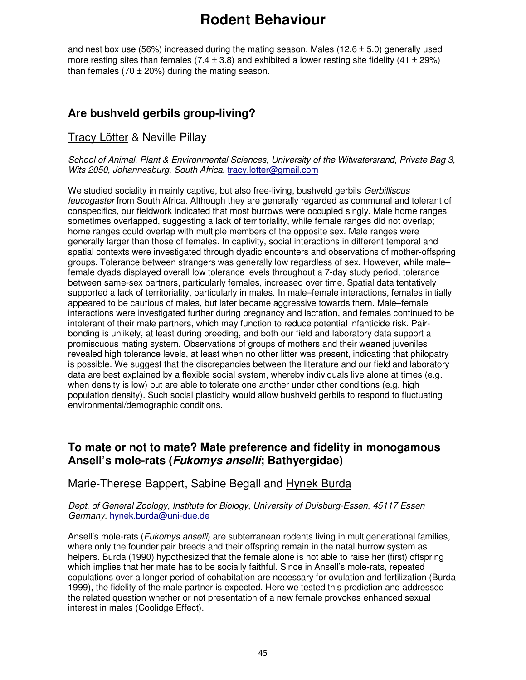and nest box use (56%) increased during the mating season. Males (12.6  $\pm$  5.0) generally used more resting sites than females (7.4  $\pm$  3.8) and exhibited a lower resting site fidelity (41  $\pm$  29%) than females (70  $\pm$  20%) during the mating season.

### **Are bushveld gerbils group-living?**

#### Tracy Lötter & Neville Pillay

School of Animal, Plant & Environmental Sciences, University of the Witwatersrand, Private Bag 3, Wits 2050, Johannesburg, South Africa. tracy.lotter@gmail.com

We studied sociality in mainly captive, but also free-living, bushveld gerbils Gerbilliscus leucogaster from South Africa. Although they are generally regarded as communal and tolerant of conspecifics, our fieldwork indicated that most burrows were occupied singly. Male home ranges sometimes overlapped, suggesting a lack of territoriality, while female ranges did not overlap; home ranges could overlap with multiple members of the opposite sex. Male ranges were generally larger than those of females. In captivity, social interactions in different temporal and spatial contexts were investigated through dyadic encounters and observations of mother-offspring groups. Tolerance between strangers was generally low regardless of sex. However, while male– female dyads displayed overall low tolerance levels throughout a 7-day study period, tolerance between same-sex partners, particularly females, increased over time. Spatial data tentatively supported a lack of territoriality, particularly in males. In male–female interactions, females initially appeared to be cautious of males, but later became aggressive towards them. Male–female interactions were investigated further during pregnancy and lactation, and females continued to be intolerant of their male partners, which may function to reduce potential infanticide risk. Pairbonding is unlikely, at least during breeding, and both our field and laboratory data support a promiscuous mating system. Observations of groups of mothers and their weaned juveniles revealed high tolerance levels, at least when no other litter was present, indicating that philopatry is possible. We suggest that the discrepancies between the literature and our field and laboratory data are best explained by a flexible social system, whereby individuals live alone at times (e.g. when density is low) but are able to tolerate one another under other conditions (e.g. high population density). Such social plasticity would allow bushveld gerbils to respond to fluctuating environmental/demographic conditions.

### **To mate or not to mate? Mate preference and fidelity in monogamous Ansell's mole-rats (Fukomys anselli; Bathyergidae)**

### Marie-Therese Bappert, Sabine Begall and Hynek Burda

Dept. of General Zoology, Institute for Biology, University of Duisburg-Essen, 45117 Essen Germany. hynek.burda@uni-due.de

Ansell's mole-rats (*Fukomys anselli*) are subterranean rodents living in multigenerational families, where only the founder pair breeds and their offspring remain in the natal burrow system as helpers. Burda (1990) hypothesized that the female alone is not able to raise her (first) offspring which implies that her mate has to be socially faithful. Since in Ansell's mole-rats, repeated copulations over a longer period of cohabitation are necessary for ovulation and fertilization (Burda 1999), the fidelity of the male partner is expected. Here we tested this prediction and addressed the related question whether or not presentation of a new female provokes enhanced sexual interest in males (Coolidge Effect).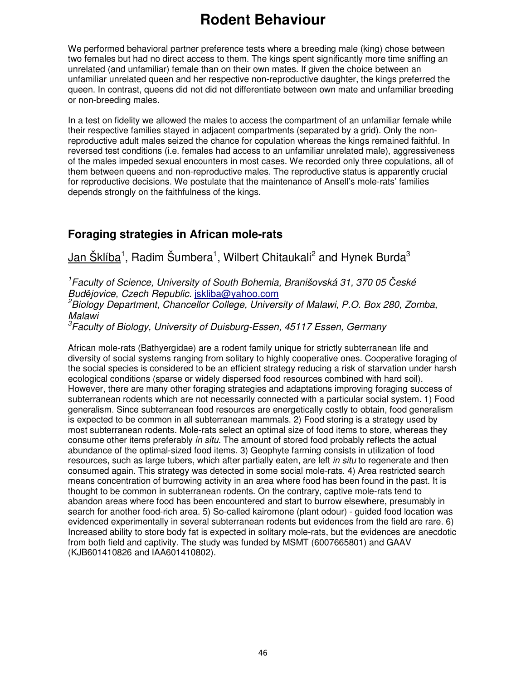We performed behavioral partner preference tests where a breeding male (king) chose between two females but had no direct access to them. The kings spent significantly more time sniffing an unrelated (and unfamiliar) female than on their own mates. If given the choice between an unfamiliar unrelated queen and her respective non-reproductive daughter, the kings preferred the queen. In contrast, queens did not did not differentiate between own mate and unfamiliar breeding or non-breeding males.

In a test on fidelity we allowed the males to access the compartment of an unfamiliar female while their respective families stayed in adjacent compartments (separated by a grid). Only the nonreproductive adult males seized the chance for copulation whereas the kings remained faithful. In reversed test conditions (i.e. females had access to an unfamiliar unrelated male), aggressiveness of the males impeded sexual encounters in most cases. We recorded only three copulations, all of them between queens and non-reproductive males. The reproductive status is apparently crucial for reproductive decisions. We postulate that the maintenance of Ansell's mole-rats' families depends strongly on the faithfulness of the kings.

### **Foraging strategies in African mole-rats**

Jan Šklíba<sup>1</sup>, Radim Šumbera<sup>1</sup>, Wilbert Chitaukali<sup>2</sup> and Hynek Burda<sup>3</sup>

<sup>1</sup>Faculty of Science, University of South Bohemia, Branišovská 31, 370 05 České Budějovice, Czech Republic. jskliba@yahoo.com

 $2B$ iology Department, Chancellor College, University of Malawi, P.O. Box 280, Zomba, Malawi

 ${}^{3}$ Faculty of Biology, University of Duisburg-Essen, 45117 Essen, Germany

African mole-rats (Bathyergidae) are a rodent family unique for strictly subterranean life and diversity of social systems ranging from solitary to highly cooperative ones. Cooperative foraging of the social species is considered to be an efficient strategy reducing a risk of starvation under harsh ecological conditions (sparse or widely dispersed food resources combined with hard soil). However, there are many other foraging strategies and adaptations improving foraging success of subterranean rodents which are not necessarily connected with a particular social system. 1) Food generalism. Since subterranean food resources are energetically costly to obtain, food generalism is expected to be common in all subterranean mammals. 2) Food storing is a strategy used by most subterranean rodents. Mole-rats select an optimal size of food items to store, whereas they consume other items preferably in situ. The amount of stored food probably reflects the actual abundance of the optimal-sized food items. 3) Geophyte farming consists in utilization of food resources, such as large tubers, which after partially eaten, are left in situ to regenerate and then consumed again. This strategy was detected in some social mole-rats. 4) Area restricted search means concentration of burrowing activity in an area where food has been found in the past. It is thought to be common in subterranean rodents. On the contrary, captive mole-rats tend to abandon areas where food has been encountered and start to burrow elsewhere, presumably in search for another food-rich area. 5) So-called kairomone (plant odour) - guided food location was evidenced experimentally in several subterranean rodents but evidences from the field are rare. 6) Increased ability to store body fat is expected in solitary mole-rats, but the evidences are anecdotic from both field and captivity. The study was funded by MSMT (6007665801) and GAAV (KJB601410826 and IAA601410802).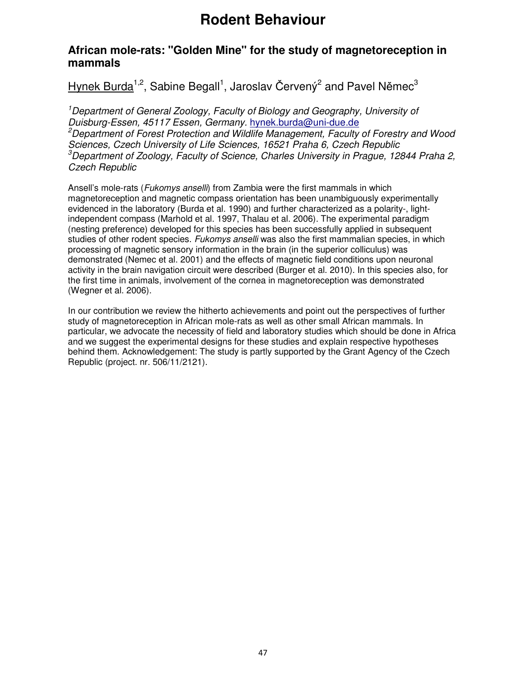### **African mole-rats: "Golden Mine" for the study of magnetoreception in mammals**

### Hynek Burda<sup>1,2</sup>, Sabine Begall<sup>1</sup>, Jaroslav Červený<sup>2</sup> and Pavel Němec<sup>3</sup>

<sup>1</sup>Department of General Zoology, Faculty of Biology and Geography, University of Duisburg-Essen, 45117 Essen, Germany. hynek.burda@uni-due.de  ${}^{2}$ Department of Forest Protection and Wildlife Management, Faculty of Forestry and Wood Sciences, Czech University of Life Sciences, 16521 Praha 6, Czech Republic  $3$ Department of Zoology, Faculty of Science, Charles University in Prague, 12844 Praha 2, Czech Republic

Ansell's mole-rats (*Fukomys anselli*) from Zambia were the first mammals in which magnetoreception and magnetic compass orientation has been unambiguously experimentally evidenced in the laboratory (Burda et al. 1990) and further characterized as a polarity-, lightindependent compass (Marhold et al. 1997, Thalau et al. 2006). The experimental paradigm (nesting preference) developed for this species has been successfully applied in subsequent studies of other rodent species. Fukomys anselli was also the first mammalian species, in which processing of magnetic sensory information in the brain (in the superior colliculus) was demonstrated (Nemec et al. 2001) and the effects of magnetic field conditions upon neuronal activity in the brain navigation circuit were described (Burger et al. 2010). In this species also, for the first time in animals, involvement of the cornea in magnetoreception was demonstrated (Wegner et al. 2006).

In our contribution we review the hitherto achievements and point out the perspectives of further study of magnetoreception in African mole-rats as well as other small African mammals. In particular, we advocate the necessity of field and laboratory studies which should be done in Africa and we suggest the experimental designs for these studies and explain respective hypotheses behind them. Acknowledgement: The study is partly supported by the Grant Agency of the Czech Republic (project. nr. 506/11/2121).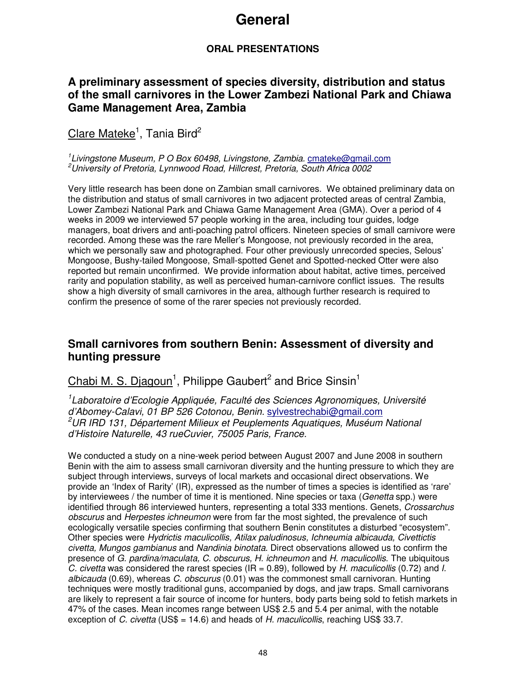### **General**

### **ORAL PRESENTATIONS**

### **A preliminary assessment of species diversity, distribution and status of the small carnivores in the Lower Zambezi National Park and Chiawa Game Management Area, Zambia**

### Clare Mateke<sup>1</sup>, Tania Bird<sup>2</sup>

<sup>1</sup> Livingstone Museum, P O Box 60498, Livingstone, Zambia. cmateke@gmail.com <sup>2</sup>University of Pretoria, Lynnwood Road, Hillcrest, Pretoria, South Africa 0002

Very little research has been done on Zambian small carnivores. We obtained preliminary data on the distribution and status of small carnivores in two adjacent protected areas of central Zambia, Lower Zambezi National Park and Chiawa Game Management Area (GMA). Over a period of 4 weeks in 2009 we interviewed 57 people working in the area, including tour guides, lodge managers, boat drivers and anti-poaching patrol officers. Nineteen species of small carnivore were recorded. Among these was the rare Meller's Mongoose, not previously recorded in the area, which we personally saw and photographed. Four other previously unrecorded species, Selous' Mongoose, Bushy-tailed Mongoose, Small-spotted Genet and Spotted-necked Otter were also reported but remain unconfirmed. We provide information about habitat, active times, perceived rarity and population stability, as well as perceived human-carnivore conflict issues. The results show a high diversity of small carnivores in the area, although further research is required to confirm the presence of some of the rarer species not previously recorded.

### **Small carnivores from southern Benin: Assessment of diversity and hunting pressure**

### Chabi M. S. Djagoun<sup>1</sup>, Philippe Gaubert<sup>2</sup> and Brice Sinsin<sup>1</sup>

<sup>1</sup> Laboratoire d'Ecologie Appliquée, Faculté des Sciences Agronomiques, Université d'Abomey-Calavi, 01 BP 526 Cotonou, Benin. sylvestrechabi@gmail.com <sup>2</sup>UR IRD 131, Département Milieux et Peuplements Aquatiques, Muséum National d'Histoire Naturelle, 43 rueCuvier, 75005 Paris, France.

We conducted a study on a nine-week period between August 2007 and June 2008 in southern Benin with the aim to assess small carnivoran diversity and the hunting pressure to which they are subject through interviews, surveys of local markets and occasional direct observations. We provide an 'Index of Rarity' (IR), expressed as the number of times a species is identified as 'rare' by interviewees / the number of time it is mentioned. Nine species or taxa (Genetta spp.) were identified through 86 interviewed hunters, representing a total 333 mentions. Genets, Crossarchus obscurus and Herpestes ichneumon were from far the most sighted, the prevalence of such ecologically versatile species confirming that southern Benin constitutes a disturbed "ecosystem". Other species were Hydrictis maculicollis, Atilax paludinosus, Ichneumia albicauda, Civettictis civetta, Mungos gambianus and Nandinia binotata. Direct observations allowed us to confirm the presence of G. pardina/maculata, C. obscurus, H. ichneumon and H. maculicollis. The ubiquitous C. civetta was considered the rarest species ( $IR = 0.89$ ), followed by H. maculicollis (0.72) and I. albicauda (0.69), whereas C. obscurus (0.01) was the commonest small carnivoran. Hunting techniques were mostly traditional guns, accompanied by dogs, and jaw traps. Small carnivorans are likely to represent a fair source of income for hunters, body parts being sold to fetish markets in 47% of the cases. Mean incomes range between US\$ 2.5 and 5.4 per animal, with the notable exception of C. civetta (US\$ = 14.6) and heads of H. maculicollis, reaching US\$ 33.7.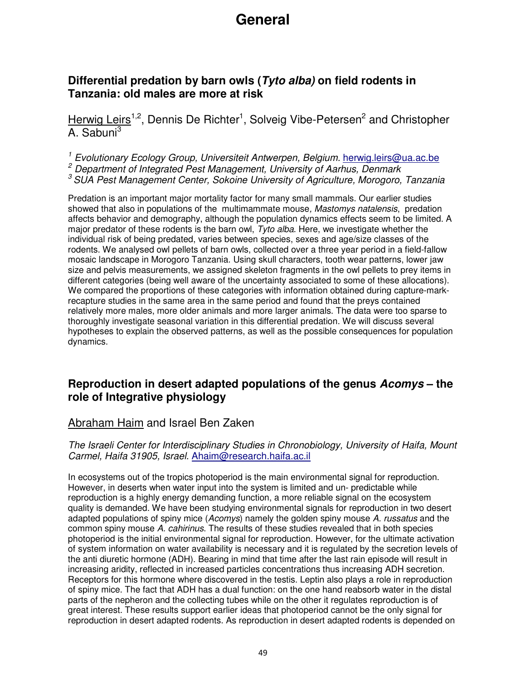# **General**

### **Differential predation by barn owls (Tyto alba) on field rodents in Tanzania: old males are more at risk**

Herwig Leirs<sup>1,2</sup>, Dennis De Richter<sup>1</sup>, Solveig Vibe-Petersen<sup>2</sup> and Christopher A. Sabuni<sup>3</sup>

<sup>1</sup> Evolutionary Ecology Group, Universiteit Antwerpen, Belgium. herwig.leirs@ua.ac.be <sup>2</sup> Department of Integrated Pest Management, University of Aarhus, Denmark  $3$  SUA Pest Management Center, Sokoine University of Agriculture, Morogoro, Tanzania

Predation is an important major mortality factor for many small mammals. Our earlier studies showed that also in populations of the multimammate mouse, Mastomys natalensis, predation affects behavior and demography, although the population dynamics effects seem to be limited. A major predator of these rodents is the barn owl, Tyto alba. Here, we investigate whether the individual risk of being predated, varies between species, sexes and age/size classes of the rodents. We analysed owl pellets of barn owls, collected over a three year period in a field-fallow mosaic landscape in Morogoro Tanzania. Using skull characters, tooth wear patterns, lower jaw size and pelvis measurements, we assigned skeleton fragments in the owl pellets to prey items in different categories (being well aware of the uncertainty associated to some of these allocations). We compared the proportions of these categories with information obtained during capture-markrecapture studies in the same area in the same period and found that the preys contained relatively more males, more older animals and more larger animals. The data were too sparse to thoroughly investigate seasonal variation in this differential predation. We will discuss several hypotheses to explain the observed patterns, as well as the possible consequences for population dynamics.

### **Reproduction in desert adapted populations of the genus Acomys – the role of Integrative physiology**

#### Abraham Haim and Israel Ben Zaken

The Israeli Center for Interdisciplinary Studies in Chronobiology, University of Haifa, Mount Carmel, Haifa 31905, Israel. Ahaim@research.haifa.ac.il

In ecosystems out of the tropics photoperiod is the main environmental signal for reproduction. However, in deserts when water input into the system is limited and un- predictable while reproduction is a highly energy demanding function, a more reliable signal on the ecosystem quality is demanded. We have been studying environmental signals for reproduction in two desert adapted populations of spiny mice (Acomys) namely the golden spiny mouse A. russatus and the common spiny mouse A. cahirinus. The results of these studies revealed that in both species photoperiod is the initial environmental signal for reproduction. However, for the ultimate activation of system information on water availability is necessary and it is regulated by the secretion levels of the anti diuretic hormone (ADH). Bearing in mind that time after the last rain episode will result in increasing aridity, reflected in increased particles concentrations thus increasing ADH secretion. Receptors for this hormone where discovered in the testis. Leptin also plays a role in reproduction of spiny mice. The fact that ADH has a dual function: on the one hand reabsorb water in the distal parts of the nepheron and the collecting tubes while on the other it regulates reproduction is of great interest. These results support earlier ideas that photoperiod cannot be the only signal for reproduction in desert adapted rodents. As reproduction in desert adapted rodents is depended on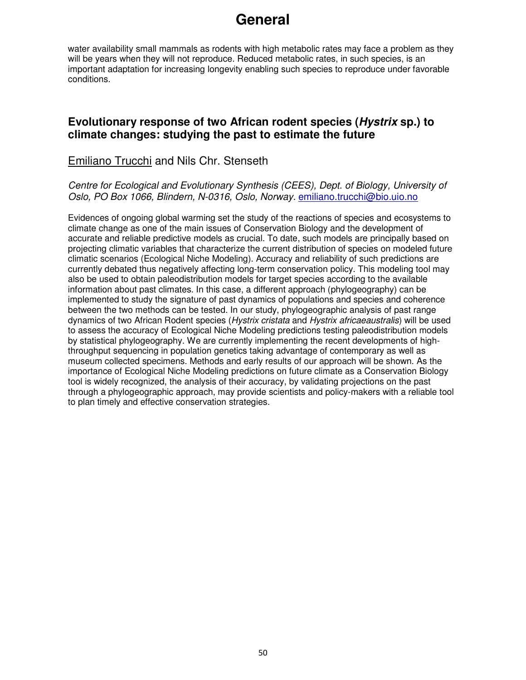## **General**

water availability small mammals as rodents with high metabolic rates may face a problem as they will be years when they will not reproduce. Reduced metabolic rates, in such species, is an important adaptation for increasing longevity enabling such species to reproduce under favorable conditions.

### **Evolutionary response of two African rodent species (Hystrix sp.) to climate changes: studying the past to estimate the future**

### Emiliano Trucchi and Nils Chr. Stenseth

Centre for Ecological and Evolutionary Synthesis (CEES), Dept. of Biology, University of Oslo, PO Box 1066, Blindern, N-0316, Oslo, Norway. emiliano.trucchi@bio.uio.no

Evidences of ongoing global warming set the study of the reactions of species and ecosystems to climate change as one of the main issues of Conservation Biology and the development of accurate and reliable predictive models as crucial. To date, such models are principally based on projecting climatic variables that characterize the current distribution of species on modeled future climatic scenarios (Ecological Niche Modeling). Accuracy and reliability of such predictions are currently debated thus negatively affecting long-term conservation policy. This modeling tool may also be used to obtain paleodistribution models for target species according to the available information about past climates. In this case, a different approach (phylogeography) can be implemented to study the signature of past dynamics of populations and species and coherence between the two methods can be tested. In our study, phylogeographic analysis of past range dynamics of two African Rodent species (Hystrix cristata and Hystrix africaeaustralis) will be used to assess the accuracy of Ecological Niche Modeling predictions testing paleodistribution models by statistical phylogeography. We are currently implementing the recent developments of highthroughput sequencing in population genetics taking advantage of contemporary as well as museum collected specimens. Methods and early results of our approach will be shown. As the importance of Ecological Niche Modeling predictions on future climate as a Conservation Biology tool is widely recognized, the analysis of their accuracy, by validating projections on the past through a phylogeographic approach, may provide scientists and policy-makers with a reliable tool to plan timely and effective conservation strategies.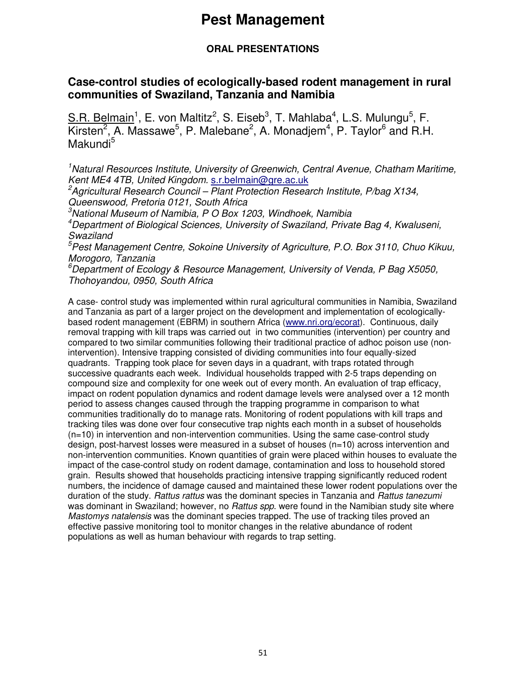#### **ORAL PRESENTATIONS**

### **Case-control studies of ecologically-based rodent management in rural communities of Swaziland, Tanzania and Namibia**

S.R. Belmain<sup>1</sup>, E. von Maltitz<sup>2</sup>, S. Eiseb<sup>3</sup>, T. Mahlaba<sup>4</sup>, L.S. Mulungu<sup>5</sup>, F. Kirsten<sup>2</sup>, A. Massawe<sup>5</sup>, P. Malebane<sup>2</sup>, A. Monadjem<sup>4</sup>, P. Taylor<sup>6</sup> and R.H. Makundi<sup>5</sup>

<sup>1</sup>Natural Resources Institute, University of Greenwich, Central Avenue, Chatham Maritime, Kent ME4 4TB, United Kingdom. s.r.belmain@gre.ac.uk

<sup>2</sup>Agricultural Research Council – Plant Protection Research Institute, P/bag X134, Queenswood, Pretoria 0121, South Africa

 $3$ National Museum of Namibia, P O Box 1203, Windhoek, Namibia

<sup>4</sup>Department of Biological Sciences, University of Swaziland, Private Bag 4, Kwaluseni, Swaziland

<sup>5</sup>Pest Management Centre, Sokoine University of Agriculture, P.O. Box 3110, Chuo Kikuu, Morogoro, Tanzania

 ${}^6$ Department of Ecology & Resource Management, University of Venda, P Bag X5050, Thohoyandou, 0950, South Africa

A case- control study was implemented within rural agricultural communities in Namibia, Swaziland and Tanzania as part of a larger project on the development and implementation of ecologicallybased rodent management (EBRM) in southern Africa (www.nri.org/ecorat). Continuous, daily removal trapping with kill traps was carried out in two communities (intervention) per country and compared to two similar communities following their traditional practice of adhoc poison use (nonintervention). Intensive trapping consisted of dividing communities into four equally-sized quadrants. Trapping took place for seven days in a quadrant, with traps rotated through successive quadrants each week. Individual households trapped with 2-5 traps depending on compound size and complexity for one week out of every month. An evaluation of trap efficacy, impact on rodent population dynamics and rodent damage levels were analysed over a 12 month period to assess changes caused through the trapping programme in comparison to what communities traditionally do to manage rats. Monitoring of rodent populations with kill traps and tracking tiles was done over four consecutive trap nights each month in a subset of households (n=10) in intervention and non-intervention communities. Using the same case-control study design, post-harvest losses were measured in a subset of houses (n=10) across intervention and non-intervention communities. Known quantities of grain were placed within houses to evaluate the impact of the case-control study on rodent damage, contamination and loss to household stored grain. Results showed that households practicing intensive trapping significantly reduced rodent numbers, the incidence of damage caused and maintained these lower rodent populations over the duration of the study. Rattus rattus was the dominant species in Tanzania and Rattus tanezumi was dominant in Swaziland; however, no Rattus spp. were found in the Namibian study site where Mastomys natalensis was the dominant species trapped. The use of tracking tiles proved an effective passive monitoring tool to monitor changes in the relative abundance of rodent populations as well as human behaviour with regards to trap setting.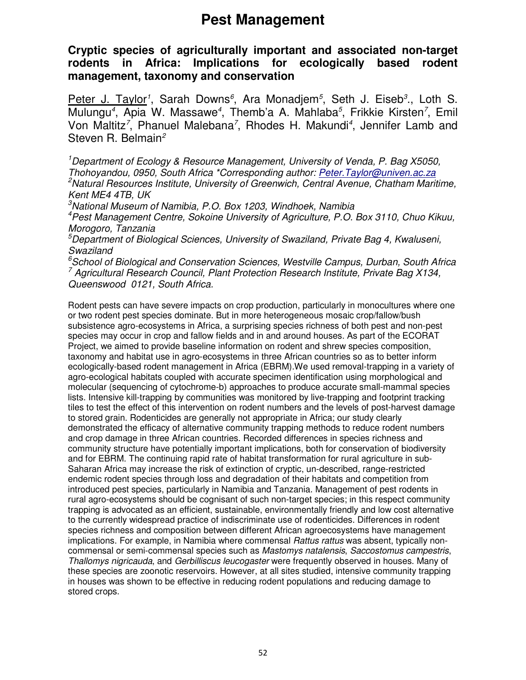**Cryptic species of agriculturally important and associated non-target rodents in Africa: Implications for ecologically based rodent management, taxonomy and conservation** 

Peter J. Taylor<sup>1</sup>, Sarah Downs<sup>6</sup>, Ara Monadjem<sup>5</sup>, Seth J. Eiseb<sup>3</sup>., Loth S. Mulungu<sup>4</sup>, Apia W. Massawe<sup>4</sup>, Themb'a A. Mahlaba<sup>5</sup>, Frikkie Kirsten<sup>7</sup>, Emil Von Maltitz<sup>7</sup>, Phanuel Malebana<sup>7</sup>, Rhodes H. Makundi<sup>4</sup>, Jennifer Lamb and Steven R. Belmain<sup>2</sup>

<sup>1</sup>Department of Ecology & Resource Management, University of Venda, P. Bag X5050, Thohovandou, 0950, South Africa \*Corresponding author: Peter. Taylor@univen.ac.za <sup>2</sup>Natural Resources Institute, University of Greenwich, Central Avenue, Chatham Maritime, Kent ME4 4TB, UK

 $3$ National Museum of Namibia, P.O. Box 1203, Windhoek, Namibia

<sup>4</sup>Pest Management Centre, Sokoine University of Agriculture, P.O. Box 3110, Chuo Kikuu, Morogoro, Tanzania

 $5$ Department of Biological Sciences, University of Swaziland, Private Bag 4, Kwaluseni, Swaziland

 $6$ School of Biological and Conservation Sciences, Westville Campus, Durban, South Africa <sup>7</sup> Agricultural Research Council, Plant Protection Research Institute, Private Bag X134, Queenswood 0121, South Africa.

Rodent pests can have severe impacts on crop production, particularly in monocultures where one or two rodent pest species dominate. But in more heterogeneous mosaic crop/fallow/bush subsistence agro-ecosystems in Africa, a surprising species richness of both pest and non-pest species may occur in crop and fallow fields and in and around houses. As part of the ECORAT Project, we aimed to provide baseline information on rodent and shrew species composition, taxonomy and habitat use in agro-ecosystems in three African countries so as to better inform ecologically-based rodent management in Africa (EBRM).We used removal-trapping in a variety of agro-ecological habitats coupled with accurate specimen identification using morphological and molecular (sequencing of cytochrome-b) approaches to produce accurate small-mammal species lists. Intensive kill-trapping by communities was monitored by live-trapping and footprint tracking tiles to test the effect of this intervention on rodent numbers and the levels of post-harvest damage to stored grain. Rodenticides are generally not appropriate in Africa; our study clearly demonstrated the efficacy of alternative community trapping methods to reduce rodent numbers and crop damage in three African countries. Recorded differences in species richness and community structure have potentially important implications, both for conservation of biodiversity and for EBRM. The continuing rapid rate of habitat transformation for rural agriculture in sub-Saharan Africa may increase the risk of extinction of cryptic, un-described, range-restricted endemic rodent species through loss and degradation of their habitats and competition from introduced pest species, particularly in Namibia and Tanzania. Management of pest rodents in rural agro-ecosystems should be cognisant of such non-target species; in this respect community trapping is advocated as an efficient, sustainable, environmentally friendly and low cost alternative to the currently widespread practice of indiscriminate use of rodenticides. Differences in rodent species richness and composition between different African agroecosystems have management implications. For example, in Namibia where commensal *Rattus rattus* was absent, typically noncommensal or semi-commensal species such as Mastomys natalensis, Saccostomus campestris, Thallomys nigricauda, and Gerbilliscus leucogaster were frequently observed in houses. Many of these species are zoonotic reservoirs. However, at all sites studied, intensive community trapping in houses was shown to be effective in reducing rodent populations and reducing damage to stored crops.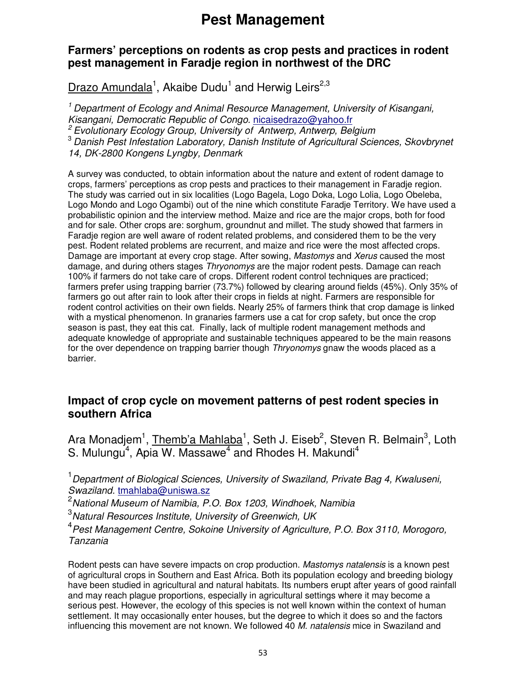### **Farmers' perceptions on rodents as crop pests and practices in rodent pest management in Faradje region in northwest of the DRC**

Drazo Amundala<sup>1</sup>, Akaibe Dudu<sup>1</sup> and Herwig Leirs<sup>2,3</sup>

<sup>1</sup> Department of Ecology and Animal Resource Management, University of Kisangani, Kisangani, Democratic Republic of Congo. nicaisedrazo@yahoo.fr  $2$  Evolutionary Ecology Group, University of Antwerp, Antwerp, Belgium <sup>3</sup> Danish Pest Infestation Laboratory, Danish Institute of Agricultural Sciences, Skovbrynet 14, DK-2800 Kongens Lyngby, Denmark

A survey was conducted, to obtain information about the nature and extent of rodent damage to crops, farmers' perceptions as crop pests and practices to their management in Faradje region. The study was carried out in six localities (Logo Bagela, Logo Doka, Logo Lolia, Logo Obeleba, Logo Mondo and Logo Ogambi) out of the nine which constitute Faradje Territory. We have used a probabilistic opinion and the interview method. Maize and rice are the major crops, both for food and for sale. Other crops are: sorghum, groundnut and millet. The study showed that farmers in Faradje region are well aware of rodent related problems, and considered them to be the very pest. Rodent related problems are recurrent, and maize and rice were the most affected crops. Damage are important at every crop stage. After sowing, Mastomys and Xerus caused the most damage, and during others stages Thryonomys are the major rodent pests. Damage can reach 100% if farmers do not take care of crops. Different rodent control techniques are practiced; farmers prefer using trapping barrier (73.7%) followed by clearing around fields (45%). Only 35% of farmers go out after rain to look after their crops in fields at night. Farmers are responsible for rodent control activities on their own fields. Nearly 25% of farmers think that crop damage is linked with a mystical phenomenon. In granaries farmers use a cat for crop safety, but once the crop season is past, they eat this cat. Finally, lack of multiple rodent management methods and adequate knowledge of appropriate and sustainable techniques appeared to be the main reasons for the over dependence on trapping barrier though Thryonomys gnaw the woods placed as a barrier.

### **Impact of crop cycle on movement patterns of pest rodent species in southern Africa**

Ara Monadjem<sup>1</sup>, Themb'a Mahlaba<sup>1</sup>, Seth J. Eiseb<sup>2</sup>, Steven R. Belmain<sup>3</sup>, Loth S. Mulungu<sup>4</sup>, Apia W. Massawe<sup>4</sup> and Rhodes H. Makundi<sup>4</sup>

<sup>1</sup> Department of Biological Sciences, University of Swaziland, Private Bag 4, Kwaluseni, Swaziland. tmahlaba@uniswa.sz

 $2$ National Museum of Namibia, P.O. Box 1203, Windhoek, Namibia

 $3$ Natural Resources Institute, University of Greenwich, UK

<sup>4</sup> Pest Management Centre, Sokoine University of Agriculture, P.O. Box 3110, Morogoro, Tanzania

Rodent pests can have severe impacts on crop production. Mastomys natalensis is a known pest of agricultural crops in Southern and East Africa. Both its population ecology and breeding biology have been studied in agricultural and natural habitats. Its numbers erupt after years of good rainfall and may reach plague proportions, especially in agricultural settings where it may become a serious pest. However, the ecology of this species is not well known within the context of human settlement. It may occasionally enter houses, but the degree to which it does so and the factors influencing this movement are not known. We followed 40 M, natalensis mice in Swaziland and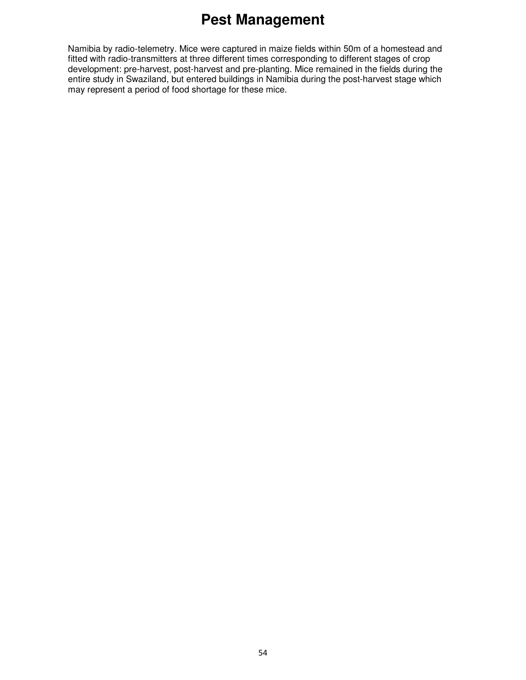Namibia by radio-telemetry. Mice were captured in maize fields within 50m of a homestead and fitted with radio-transmitters at three different times corresponding to different stages of crop development: pre-harvest, post-harvest and pre-planting. Mice remained in the fields during the entire study in Swaziland, but entered buildings in Namibia during the post-harvest stage which may represent a period of food shortage for these mice.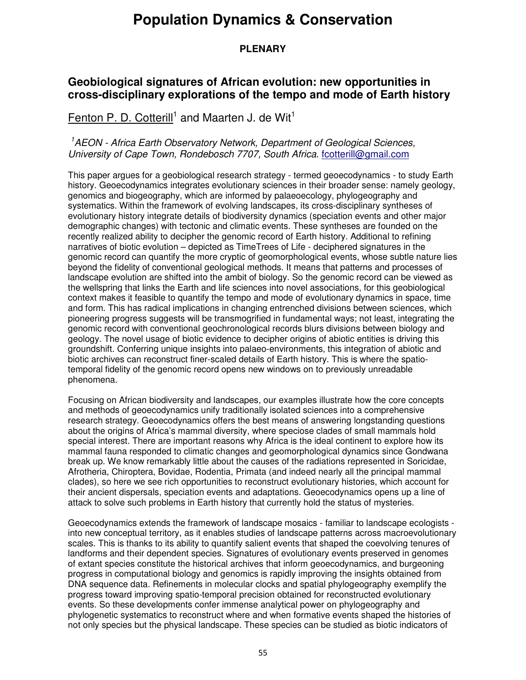#### **PLENARY**

### **Geobiological signatures of African evolution: new opportunities in cross-disciplinary explorations of the tempo and mode of Earth history**

Fenton P. D. Cotterill<sup>1</sup> and Maarten J. de Wit<sup>1</sup>

#### <sup>1</sup> AEON - Africa Earth Observatory Network, Department of Geological Sciences, University of Cape Town, Rondebosch 7707, South Africa. fcotterill@amail.com

This paper argues for a geobiological research strategy - termed geoecodynamics - to study Earth history. Geoecodynamics integrates evolutionary sciences in their broader sense: namely geology, genomics and biogeography, which are informed by palaeoecology, phylogeography and systematics. Within the framework of evolving landscapes, its cross-disciplinary syntheses of evolutionary history integrate details of biodiversity dynamics (speciation events and other major demographic changes) with tectonic and climatic events. These syntheses are founded on the recently realized ability to decipher the genomic record of Earth history. Additional to refining narratives of biotic evolution – depicted as TimeTrees of Life - deciphered signatures in the genomic record can quantify the more cryptic of geomorphological events, whose subtle nature lies beyond the fidelity of conventional geological methods. It means that patterns and processes of landscape evolution are shifted into the ambit of biology. So the genomic record can be viewed as the wellspring that links the Earth and life sciences into novel associations, for this geobiological context makes it feasible to quantify the tempo and mode of evolutionary dynamics in space, time and form. This has radical implications in changing entrenched divisions between sciences, which pioneering progress suggests will be transmogrified in fundamental ways; not least, integrating the genomic record with conventional geochronological records blurs divisions between biology and geology. The novel usage of biotic evidence to decipher origins of abiotic entities is driving this groundshift. Conferring unique insights into palaeo-environments, this integration of abiotic and biotic archives can reconstruct finer-scaled details of Earth history. This is where the spatiotemporal fidelity of the genomic record opens new windows on to previously unreadable phenomena.

Focusing on African biodiversity and landscapes, our examples illustrate how the core concepts and methods of geoecodynamics unify traditionally isolated sciences into a comprehensive research strategy. Geoecodynamics offers the best means of answering longstanding questions about the origins of Africa's mammal diversity, where speciose clades of small mammals hold special interest. There are important reasons why Africa is the ideal continent to explore how its mammal fauna responded to climatic changes and geomorphological dynamics since Gondwana break up. We know remarkably little about the causes of the radiations represented in Soricidae, Afrotheria, Chiroptera, Bovidae, Rodentia, Primata (and indeed nearly all the principal mammal clades), so here we see rich opportunities to reconstruct evolutionary histories, which account for their ancient dispersals, speciation events and adaptations. Geoecodynamics opens up a line of attack to solve such problems in Earth history that currently hold the status of mysteries.

Geoecodynamics extends the framework of landscape mosaics - familiar to landscape ecologists into new conceptual territory, as it enables studies of landscape patterns across macroevolutionary scales. This is thanks to its ability to quantify salient events that shaped the coevolving tenures of landforms and their dependent species. Signatures of evolutionary events preserved in genomes of extant species constitute the historical archives that inform geoecodynamics, and burgeoning progress in computational biology and genomics is rapidly improving the insights obtained from DNA sequence data. Refinements in molecular clocks and spatial phylogeography exemplify the progress toward improving spatio-temporal precision obtained for reconstructed evolutionary events. So these developments confer immense analytical power on phylogeography and phylogenetic systematics to reconstruct where and when formative events shaped the histories of not only species but the physical landscape. These species can be studied as biotic indicators of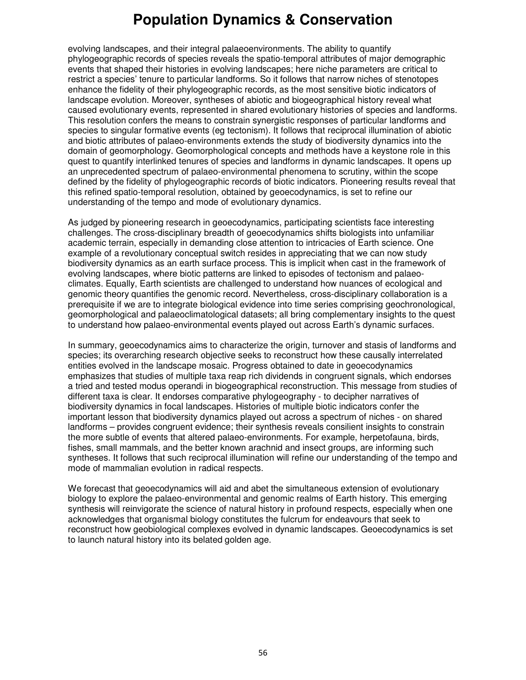evolving landscapes, and their integral palaeoenvironments. The ability to quantify phylogeographic records of species reveals the spatio-temporal attributes of major demographic events that shaped their histories in evolving landscapes; here niche parameters are critical to restrict a species' tenure to particular landforms. So it follows that narrow niches of stenotopes enhance the fidelity of their phylogeographic records, as the most sensitive biotic indicators of landscape evolution. Moreover, syntheses of abiotic and biogeographical history reveal what caused evolutionary events, represented in shared evolutionary histories of species and landforms. This resolution confers the means to constrain synergistic responses of particular landforms and species to singular formative events (eg tectonism). It follows that reciprocal illumination of abiotic and biotic attributes of palaeo-environments extends the study of biodiversity dynamics into the domain of geomorphology. Geomorphological concepts and methods have a keystone role in this quest to quantify interlinked tenures of species and landforms in dynamic landscapes. It opens up an unprecedented spectrum of palaeo-environmental phenomena to scrutiny, within the scope defined by the fidelity of phylogeographic records of biotic indicators. Pioneering results reveal that this refined spatio-temporal resolution, obtained by geoecodynamics, is set to refine our understanding of the tempo and mode of evolutionary dynamics.

As judged by pioneering research in geoecodynamics, participating scientists face interesting challenges. The cross-disciplinary breadth of geoecodynamics shifts biologists into unfamiliar academic terrain, especially in demanding close attention to intricacies of Earth science. One example of a revolutionary conceptual switch resides in appreciating that we can now study biodiversity dynamics as an earth surface process. This is implicit when cast in the framework of evolving landscapes, where biotic patterns are linked to episodes of tectonism and palaeoclimates. Equally, Earth scientists are challenged to understand how nuances of ecological and genomic theory quantifies the genomic record. Nevertheless, cross-disciplinary collaboration is a prerequisite if we are to integrate biological evidence into time series comprising geochronological, geomorphological and palaeoclimatological datasets; all bring complementary insights to the quest to understand how palaeo-environmental events played out across Earth's dynamic surfaces.

In summary, geoecodynamics aims to characterize the origin, turnover and stasis of landforms and species; its overarching research objective seeks to reconstruct how these causally interrelated entities evolved in the landscape mosaic. Progress obtained to date in geoecodynamics emphasizes that studies of multiple taxa reap rich dividends in congruent signals, which endorses a tried and tested modus operandi in biogeographical reconstruction. This message from studies of different taxa is clear. It endorses comparative phylogeography - to decipher narratives of biodiversity dynamics in focal landscapes. Histories of multiple biotic indicators confer the important lesson that biodiversity dynamics played out across a spectrum of niches - on shared landforms – provides congruent evidence; their synthesis reveals consilient insights to constrain the more subtle of events that altered palaeo-environments. For example, herpetofauna, birds, fishes, small mammals, and the better known arachnid and insect groups, are informing such syntheses. It follows that such reciprocal illumination will refine our understanding of the tempo and mode of mammalian evolution in radical respects.

We forecast that geoecodynamics will aid and abet the simultaneous extension of evolutionary biology to explore the palaeo-environmental and genomic realms of Earth history. This emerging synthesis will reinvigorate the science of natural history in profound respects, especially when one acknowledges that organismal biology constitutes the fulcrum for endeavours that seek to reconstruct how geobiological complexes evolved in dynamic landscapes. Geoecodynamics is set to launch natural history into its belated golden age.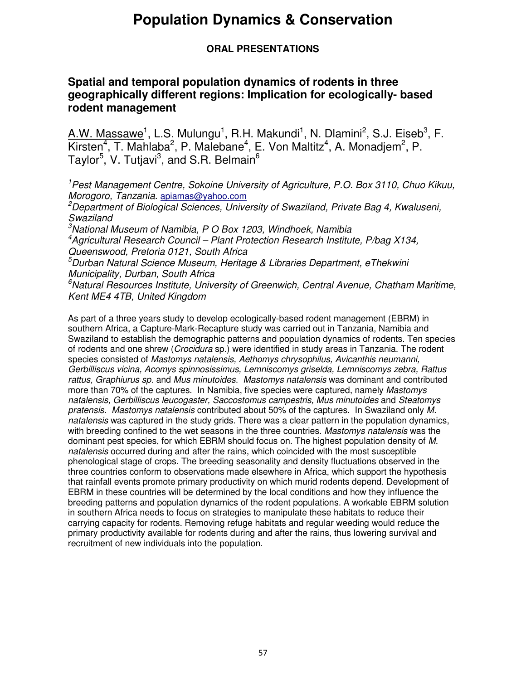#### **ORAL PRESENTATIONS**

### **Spatial and temporal population dynamics of rodents in three geographically different regions: Implication for ecologically- based rodent management**

 $A.W.$  Massawe<sup>1</sup>, L.S. Mulungu<sup>1</sup>, R.H. Makundi<sup>1</sup>, N. Dlamini<sup>2</sup>, S.J. Eiseb<sup>3</sup>, F. Kirsten<sup>4</sup>, T. Mahlaba<sup>2</sup>, P. Malebane<sup>4</sup>, E. Von Maltitz<sup>4</sup>, A. Monadjem<sup>2</sup>, P. Taylor<sup>5</sup>, V. Tutjavi<sup>3</sup>, and S.R. Belmain<sup>6</sup>

<sup>1</sup>Pest Management Centre, Sokoine University of Agriculture, P.O. Box 3110, Chuo Kikuu, Morogoro, Tanzania. apiamas@yahoo.com

<sup>2</sup>Department of Biological Sciences, University of Swaziland, Private Bag 4, Kwaluseni, **Swaziland** 

 $3$ National Museum of Namibia, P O Box 1203, Windhoek, Namibia <sup>4</sup>Agricultural Research Council – Plant Protection Research Institute, P/bag X134, Queenswood, Pretoria 0121, South Africa

 $5$ Durban Natural Science Museum, Heritage & Libraries Department, eThekwini Municipality, Durban, South Africa

 $6$ Natural Resources Institute, University of Greenwich, Central Avenue, Chatham Maritime, Kent ME4 4TB, United Kingdom

As part of a three years study to develop ecologically-based rodent management (EBRM) in southern Africa, a Capture-Mark-Recapture study was carried out in Tanzania, Namibia and Swaziland to establish the demographic patterns and population dynamics of rodents. Ten species of rodents and one shrew (Crocidura sp.) were identified in study areas in Tanzania. The rodent species consisted of Mastomys natalensis, Aethomys chrysophilus, Avicanthis neumanni, Gerbilliscus vicina, Acomys spinnosissimus, Lemniscomys griselda, Lemniscomys zebra, Rattus rattus, Graphiurus sp. and Mus minutoides. Mastomys natalensis was dominant and contributed more than 70% of the captures. In Namibia, five species were captured, namely Mastomys natalensis, Gerbilliscus leucogaster, Saccostomus campestris, Mus minutoides and Steatomys pratensis. Mastomys natalensis contributed about 50% of the captures. In Swaziland only M. natalensis was captured in the study grids. There was a clear pattern in the population dynamics, with breeding confined to the wet seasons in the three countries. Mastomys natalensis was the dominant pest species, for which EBRM should focus on. The highest population density of M. natalensis occurred during and after the rains, which coincided with the most susceptible phenological stage of crops. The breeding seasonality and density fluctuations observed in the three countries conform to observations made elsewhere in Africa, which support the hypothesis that rainfall events promote primary productivity on which murid rodents depend. Development of EBRM in these countries will be determined by the local conditions and how they influence the breeding patterns and population dynamics of the rodent populations. A workable EBRM solution in southern Africa needs to focus on strategies to manipulate these habitats to reduce their carrying capacity for rodents. Removing refuge habitats and regular weeding would reduce the primary productivity available for rodents during and after the rains, thus lowering survival and recruitment of new individuals into the population.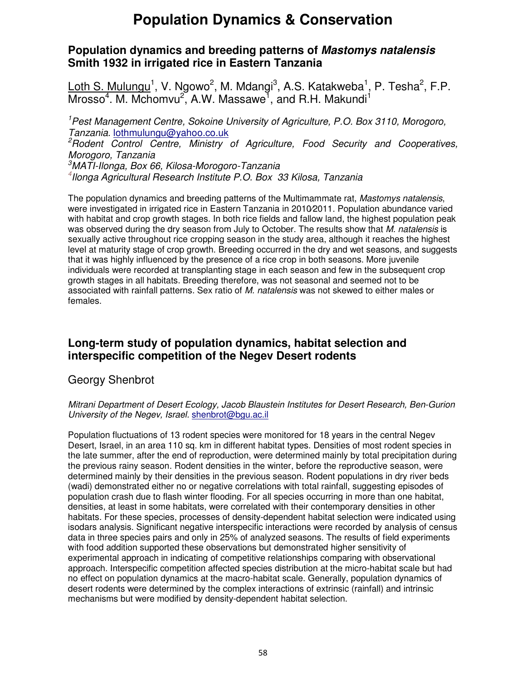### **Population dynamics and breeding patterns of Mastomys natalensis Smith 1932 in irrigated rice in Eastern Tanzania**

Loth S. Mulungu<sup>1</sup>, V. Ngowo<sup>2</sup>, M. Mdangi<sup>3</sup>, A.S. Katakweba<sup>1</sup>, P. Tesha<sup>2</sup>, F.P.  $M$ rosso<sup>4</sup>. M. Mchomvu<sup>2</sup>, A.W. Massawe<sup>1</sup>, and R.H. Makundi<sup>1</sup>

<sup>1</sup>Pest Management Centre, Sokoine University of Agriculture, P.O. Box 3110, Morogoro, Tanzania. lothmulungu@yahoo.co.uk

<sup>2</sup>Rodent Control Centre, Ministry of Agriculture, Food Security and Cooperatives, Morogoro, Tanzania

<sup>3</sup>MATI-Ilonga, Box 66, Kilosa-Morogoro-Tanzania 4 Ilonga Agricultural Research Institute P.O. Box 33 Kilosa, Tanzania

The population dynamics and breeding patterns of the Multimammate rat, Mastomys natalensis, were investigated in irrigated rice in Eastern Tanzania in 2010⁄2011. Population abundance varied with habitat and crop growth stages. In both rice fields and fallow land, the highest population peak was observed during the dry season from July to October. The results show that M. natalensis is sexually active throughout rice cropping season in the study area, although it reaches the highest level at maturity stage of crop growth. Breeding occurred in the dry and wet seasons, and suggests that it was highly influenced by the presence of a rice crop in both seasons. More juvenile individuals were recorded at transplanting stage in each season and few in the subsequent crop growth stages in all habitats. Breeding therefore, was not seasonal and seemed not to be associated with rainfall patterns. Sex ratio of M. natalensis was not skewed to either males or females.

### **Long-term study of population dynamics, habitat selection and interspecific competition of the Negev Desert rodents**

#### Georgy Shenbrot

#### Mitrani Department of Desert Ecology, Jacob Blaustein Institutes for Desert Research, Ben-Gurion University of the Negev, Israel. shenbrot@bgu.ac.il

Population fluctuations of 13 rodent species were monitored for 18 years in the central Negev Desert, Israel, in an area 110 sq. km in different habitat types. Densities of most rodent species in the late summer, after the end of reproduction, were determined mainly by total precipitation during the previous rainy season. Rodent densities in the winter, before the reproductive season, were determined mainly by their densities in the previous season. Rodent populations in dry river beds (wadi) demonstrated either no or negative correlations with total rainfall, suggesting episodes of population crash due to flash winter flooding. For all species occurring in more than one habitat, densities, at least in some habitats, were correlated with their contemporary densities in other habitats. For these species, processes of density-dependent habitat selection were indicated using isodars analysis. Significant negative interspecific interactions were recorded by analysis of census data in three species pairs and only in 25% of analyzed seasons. The results of field experiments with food addition supported these observations but demonstrated higher sensitivity of experimental approach in indicating of competitive relationships comparing with observational approach. Interspecific competition affected species distribution at the micro-habitat scale but had no effect on population dynamics at the macro-habitat scale. Generally, population dynamics of desert rodents were determined by the complex interactions of extrinsic (rainfall) and intrinsic mechanisms but were modified by density-dependent habitat selection.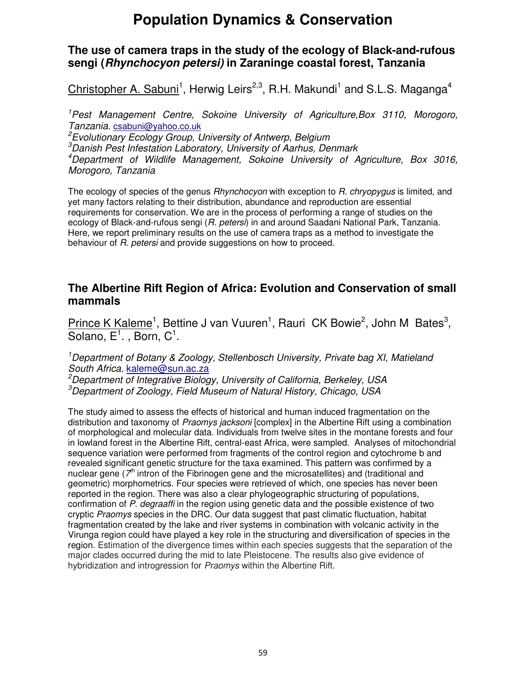### **The use of camera traps in the study of the ecology of Black-and-rufous sengi (Rhynchocyon petersi) in Zaraninge coastal forest, Tanzania**

Christopher A. Sabuni<sup>1</sup>, Herwig Leirs<sup>2,3</sup>, R.H. Makundi<sup>1</sup> and S.L.S. Maganga<sup>4</sup>

<sup>1</sup>Pest Management Centre, Sokoine University of Agriculture,Box 3110, Morogoro, Tanzania. csabuni@yahoo.co.uk

<sup>2</sup>Evolutionary Ecology Group, University of Antwerp, Belgium

<sup>3</sup>Danish Pest Infestation Laboratory, University of Aarhus, Denmark

<sup>4</sup>Department of Wildlife Management, Sokoine University of Agriculture, Box 3016, Morogoro, Tanzania

The ecology of species of the genus *Rhynchocyon* with exception to *R. chryopygus* is limited, and yet many factors relating to their distribution, abundance and reproduction are essential requirements for conservation. We are in the process of performing a range of studies on the ecology of Black-and-rufous sengi (R. petersi) in and around Saadani National Park, Tanzania. Here, we report preliminary results on the use of camera traps as a method to investigate the behaviour of R. petersi and provide suggestions on how to proceed.

### **The Albertine Rift Region of Africa: Evolution and Conservation of small mammals**

Prince K Kaleme<sup>1</sup>, Bettine J van Vuuren<sup>1</sup>, Rauri CK Bowie<sup>2</sup>, John M Bates<sup>3</sup>, Solano,  $E^1$ ., Born, C<sup>1</sup>.

<sup>1</sup>Department of Botany & Zoology, Stellenbosch University, Private bag XI, Matieland South Africa. kaleme@sun.ac.za

<sup>2</sup>Department of Integrative Biology, University of California, Berkeley, USA <sup>3</sup>Department of Zoology, Field Museum of Natural History, Chicago, USA

The study aimed to assess the effects of historical and human induced fragmentation on the distribution and taxonomy of Praomys jacksoni [complex] in the Albertine Rift using a combination of morphological and molecular data. Individuals from twelve sites in the montane forests and four in lowland forest in the Albertine Rift, central-east Africa, were sampled. Analyses of mitochondrial sequence variation were performed from fragments of the control region and cytochrome b and revealed significant genetic structure for the taxa examined. This pattern was confirmed by a nuclear gene ( $7<sup>th</sup>$  intron of the Fibrinogen gene and the microsatellites) and (traditional and geometric) morphometrics. Four species were retrieved of which, one species has never been reported in the region. There was also a clear phylogeographic structuring of populations, confirmation of P. degraaffi in the region using genetic data and the possible existence of two cryptic Praomys species in the DRC. Our data suggest that past climatic fluctuation, habitat fragmentation created by the lake and river systems in combination with volcanic activity in the Virunga region could have played a key role in the structuring and diversification of species in the region. Estimation of the divergence times within each species suggests that the separation of the major clades occurred during the mid to late Pleistocene. The results also give evidence of hybridization and introgression for *Praomys* within the Albertine Rift.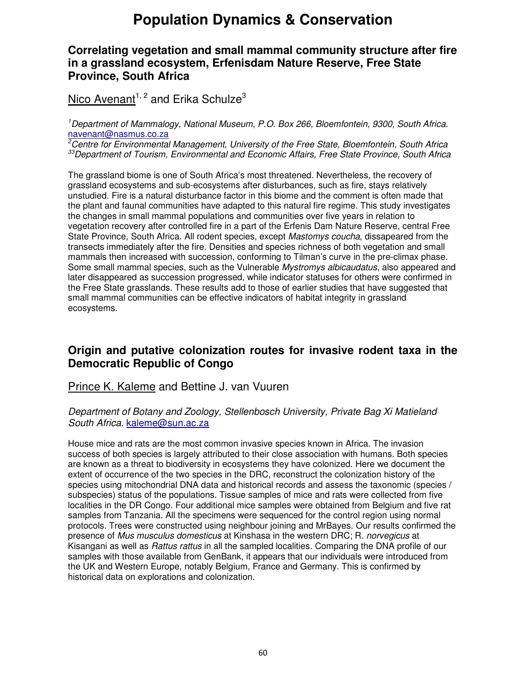### **Correlating vegetation and small mammal community structure after fire in a grassland ecosystem, Erfenisdam Nature Reserve, Free State Province, South Africa**

### Nico Avenant<sup>1, 2</sup> and Erika Schulze<sup>3</sup>

<sup>1</sup>Department of Mammalogy, National Museum, P.O. Box 266, Bloemfontein, 9300, South Africa. navenant@nasmus.co.za

 $2\overline{C}$ Centre for Environmental Management, University of the Free State, Bloemfontein, South Africa <sup>33</sup>Department of Tourism, Environmental and Economic Affairs, Free State Province, South Africa

The grassland biome is one of South Africa's most threatened. Nevertheless, the recovery of grassland ecosystems and sub-ecosystems after disturbances, such as fire, stays relatively unstudied. Fire is a natural disturbance factor in this biome and the comment is often made that the plant and faunal communities have adapted to this natural fire regime. This study investigates the changes in small mammal populations and communities over five years in relation to vegetation recovery after controlled fire in a part of the Erfenis Dam Nature Reserve, central Free State Province, South Africa. All rodent species, except Mastomys coucha, dissapeared from the transects immediately after the fire. Densities and species richness of both vegetation and small mammals then increased with succession, conforming to Tilman's curve in the pre-climax phase. Some small mammal species, such as the Vulnerable *Mystromys albicaudatus*, also appeared and later disappeared as succession progressed, while indicator statuses for others were confirmed in the Free State grasslands. These results add to those of earlier studies that have suggested that small mammal communities can be effective indicators of habitat integrity in grassland ecosystems.

### **Origin and putative colonization routes for invasive rodent taxa in the Democratic Republic of Congo**

### Prince K. Kaleme and Bettine J. van Vuuren

#### Department of Botany and Zoology, Stellenbosch University, Private Bag Xi Matieland South Africa. kaleme@sun.ac.za

House mice and rats are the most common invasive species known in Africa. The invasion success of both species is largely attributed to their close association with humans. Both species are known as a threat to biodiversity in ecosystems they have colonized. Here we document the extent of occurrence of the two species in the DRC, reconstruct the colonization history of the species using mitochondrial DNA data and historical records and assess the taxonomic (species / subspecies) status of the populations. Tissue samples of mice and rats were collected from five localities in the DR Congo. Four additional mice samples were obtained from Belgium and five rat samples from Tanzania. All the specimens were sequenced for the control region using normal protocols. Trees were constructed using neighbour joining and MrBayes. Our results confirmed the presence of Mus musculus domesticus at Kinshasa in the western DRC; R. norvegicus at Kisangani as well as Rattus rattus in all the sampled localities. Comparing the DNA profile of our samples with those available from GenBank, it appears that our individuals were introduced from the UK and Western Europe, notably Belgium, France and Germany. This is confirmed by historical data on explorations and colonization.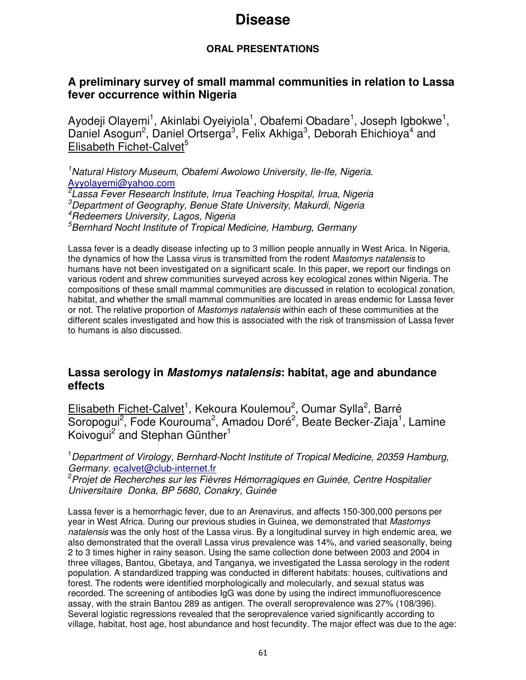### **ORAL PRESENTATIONS**

### **A preliminary survey of small mammal communities in relation to Lassa fever occurrence within Nigeria**

Ayodeji Olayemi<sup>1</sup>, Akinlabi Oyeiyiola<sup>1</sup>, Obafemi Obadare<sup>1</sup>, Joseph Igbokwe<sup>1</sup>, Daniel Asogun<sup>2</sup>, Daniel Ortserga<sup>3</sup>, Felix Akhiga<sup>3</sup>, Deborah Ehichioya<sup>4</sup> and Elisabeth Fichet-Calvet<sup>5</sup>

<sup>1</sup>Natural History Museum, Obafemi Awolowo University, Ile-Ife, Nigeria. Ayyolayemi@yahoo.com

<sup>2</sup> Lassa Fever Research Institute, Irrua Teaching Hospital, Irrua, Nigeria  $3$ Department of Geography, Benue State University, Makurdi, Nigeria <sup>4</sup>Redeemers University, Lagos, Nigeria  $5$ Bernhard Nocht Institute of Tropical Medicine, Hamburg, Germany

Lassa fever is a deadly disease infecting up to 3 million people annually in West Arica. In Nigeria, the dynamics of how the Lassa virus is transmitted from the rodent Mastomys natalensis to humans have not been investigated on a significant scale. In this paper, we report our findings on various rodent and shrew communities surveyed across key ecological zones within Nigeria. The compositions of these small mammal communities are discussed in relation to ecological zonation, habitat, and whether the small mammal communities are located in areas endemic for Lassa fever or not. The relative proportion of Mastomys natalensis within each of these communities at the different scales investigated and how this is associated with the risk of transmission of Lassa fever to humans is also discussed.

### **Lassa serology in Mastomys natalensis: habitat, age and abundance effects**

Elisabeth Fichet-Calvet<sup>1</sup>, Kekoura Koulemou<sup>2</sup>, Oumar Sylla<sup>2</sup>, Barré Soropogui<sup>2</sup>, Fode Kourouma<sup>2</sup>, Amadou Doré<sup>2</sup>, Beate Becker-Ziaja<sup>1</sup>, Lamine Koivogui<sup>2</sup> and Stephan Günther<sup>1</sup>

<sup>1</sup> Department of Virology, Bernhard-Nocht Institute of Tropical Medicine, 20359 Hamburg, Germany. ecalvet@club-internet.fr

<sup>2</sup>Projet de Recherches sur les Fièvres Hémorragiques en Guinée, Centre Hospitalier Universitaire Donka, BP 5680, Conakry, Guinée

Lassa fever is a hemorrhagic fever, due to an Arenavirus, and affects 150-300,000 persons per year in West Africa. During our previous studies in Guinea, we demonstrated that Mastomys natalensis was the only host of the Lassa virus. By a longitudinal survey in high endemic area, we also demonstrated that the overall Lassa virus prevalence was 14%, and varied seasonally, being 2 to 3 times higher in rainy season. Using the same collection done between 2003 and 2004 in three villages, Bantou, Gbetaya, and Tanganya, we investigated the Lassa serology in the rodent population. A standardized trapping was conducted in different habitats: houses, cultivations and forest. The rodents were identified morphologically and molecularly, and sexual status was recorded. The screening of antibodies IgG was done by using the indirect immunofluorescence assay, with the strain Bantou 289 as antigen. The overall seroprevalence was 27% (108/396). Several logistic regressions revealed that the seroprevalence varied significantly according to village, habitat, host age, host abundance and host fecundity. The major effect was due to the age: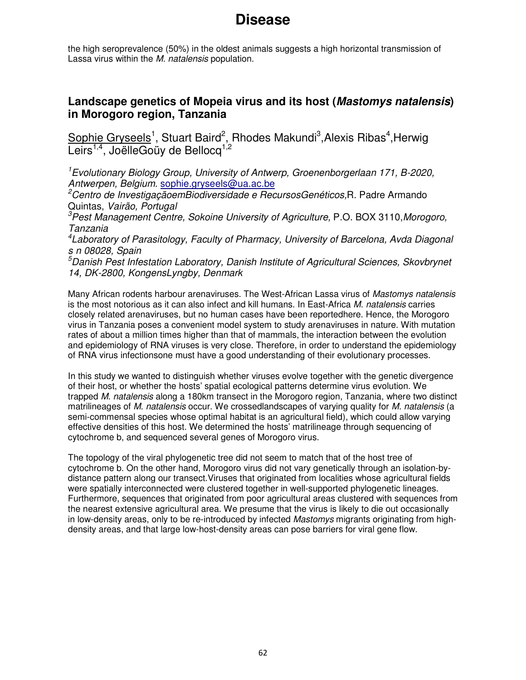the high seroprevalence (50%) in the oldest animals suggests a high horizontal transmission of Lassa virus within the M. natalensis population.

### **Landscape genetics of Mopeia virus and its host (Mastomys natalensis) in Morogoro region, Tanzania**

Sophie Gryseels<sup>1</sup>, Stuart Baird<sup>2</sup>, Rhodes Makundi<sup>3</sup>, Alexis Ribas<sup>4</sup>, Herwig Leirs<sup>1,4</sup>, JoëlleGoüy de Bellocq<sup>1,2</sup>

<sup>1</sup>Evolutionary Biology Group, University of Antwerp, Groenenborgerlaan 171, B-2020, Antwerpen, Belgium. sophie.gryseels@ua.ac.be

<sup>2</sup>Centro de InvestigaçãoemBiodiversidade e RecursosGenéticos, R. Padre Armando Quintas, Vairão, Portugal

<sup>3</sup>Pest Management Centre, Sokoine University of Agriculture, P.O. BOX 3110, Morogoro, Tanzania

<sup>4</sup> Laboratory of Parasitology, Faculty of Pharmacy, University of Barcelona, Avda Diagonal s n 08028, Spain

<sup>5</sup>Danish Pest Infestation Laboratory, Danish Institute of Agricultural Sciences, Skovbrynet 14, DK-2800, KongensLyngby, Denmark

Many African rodents harbour arenaviruses. The West-African Lassa virus of Mastomys natalensis is the most notorious as it can also infect and kill humans. In East-Africa M. natalensis carries closely related arenaviruses, but no human cases have been reportedhere. Hence, the Morogoro virus in Tanzania poses a convenient model system to study arenaviruses in nature. With mutation rates of about a million times higher than that of mammals, the interaction between the evolution and epidemiology of RNA viruses is very close. Therefore, in order to understand the epidemiology of RNA virus infectionsone must have a good understanding of their evolutionary processes.

In this study we wanted to distinguish whether viruses evolve together with the genetic divergence of their host, or whether the hosts' spatial ecological patterns determine virus evolution. We trapped M. natalensis along a 180km transect in the Morogoro region, Tanzania, where two distinct matrilineages of M. natalensis occur. We crossedlandscapes of varying quality for M. natalensis (a semi-commensal species whose optimal habitat is an agricultural field), which could allow varying effective densities of this host. We determined the hosts' matrilineage through sequencing of cytochrome b, and sequenced several genes of Morogoro virus.

The topology of the viral phylogenetic tree did not seem to match that of the host tree of cytochrome b. On the other hand, Morogoro virus did not vary genetically through an isolation-bydistance pattern along our transect.Viruses that originated from localities whose agricultural fields were spatially interconnected were clustered together in well-supported phylogenetic lineages. Furthermore, sequences that originated from poor agricultural areas clustered with sequences from the nearest extensive agricultural area. We presume that the virus is likely to die out occasionally in low-density areas, only to be re-introduced by infected *Mastomys* migrants originating from highdensity areas, and that large low-host-density areas can pose barriers for viral gene flow.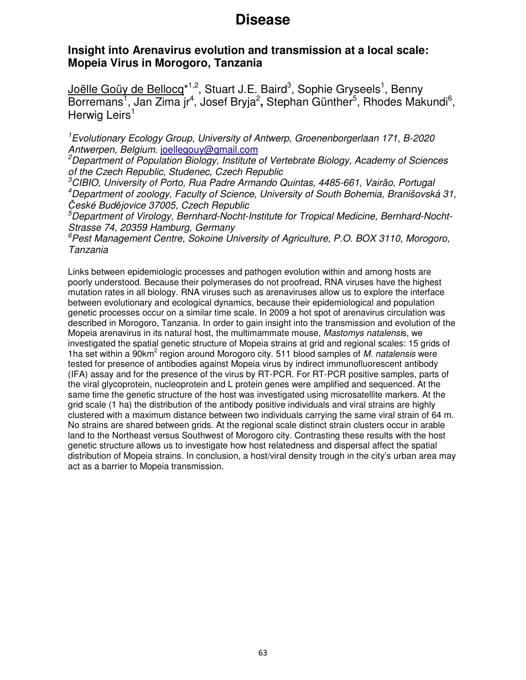### **Insight into Arenavirus evolution and transmission at a local scale: Mopeia Virus in Morogoro, Tanzania**

Joëlle Goüy de Bellocg<sup>\*1,2</sup>, Stuart J.E. Baird<sup>3</sup>, Sophie Gryseels<sup>1</sup>, Benny Borremans<sup>1</sup>, Jan Zima jr<sup>4</sup>, Josef Bryja<sup>2</sup>, Stephan Günther<sup>5</sup>, Rhodes Makundi<sup>6</sup>, Herwig Leirs $<sup>1</sup>$ </sup>

<sup>1</sup>Evolutionary Ecology Group, University of Antwerp, Groenenborgerlaan 171, B-2020 Antwerpen, Belgium. joellegouy@gmail.com

 $2$ Department of Population Biology, Institute of Vertebrate Biology, Academy of Sciences of the Czech Republic, Studenec, Czech Republic

<sup>3</sup>CIBIO, University of Porto, Rua Padre Armando Quintas, 4485-661, Vairão, Portugal <sup>4</sup>Department of zoology, Faculty of Science, University of South Bohemia, Branišovská 31, České Budějovice 37005, Czech Republic

<sup>5</sup>Department of Virology, Bernhard-Nocht-Institute for Tropical Medicine, Bernhard-Nocht-Strasse 74, 20359 Hamburg, Germany

 $6$ Pest Management Centre, Sokoine University of Agriculture, P.O. BOX 3110, Morogoro, Tanzania

Links between epidemiologic processes and pathogen evolution within and among hosts are poorly understood. Because their polymerases do not proofread, RNA viruses have the highest mutation rates in all biology. RNA viruses such as arenaviruses allow us to explore the interface between evolutionary and ecological dynamics, because their epidemiological and population genetic processes occur on a similar time scale. In 2009 a hot spot of arenavirus circulation was described in Morogoro, Tanzania. In order to gain insight into the transmission and evolution of the Mopeia arenavirus in its natural host, the multimammate mouse, Mastomys natalensis, we investigated the spatial genetic structure of Mopeia strains at grid and regional scales: 15 grids of 1ha set within a 90km<sup>2</sup> region around Morogoro city. 511 blood samples of M. natalensis were tested for presence of antibodies against Mopeia virus by indirect immunofluorescent antibody (IFA) assay and for the presence of the virus by RT-PCR. For RT-PCR positive samples, parts of the viral glycoprotein, nucleoprotein and L protein genes were amplified and sequenced. At the same time the genetic structure of the host was investigated using microsatellite markers. At the grid scale (1 ha) the distribution of the antibody positive individuals and viral strains are highly clustered with a maximum distance between two individuals carrying the same viral strain of 64 m. No strains are shared between grids. At the regional scale distinct strain clusters occur in arable land to the Northeast versus Southwest of Morogoro city. Contrasting these results with the host genetic structure allows us to investigate how host relatedness and dispersal affect the spatial distribution of Mopeia strains. In conclusion, a host/viral density trough in the city's urban area may act as a barrier to Mopeia transmission.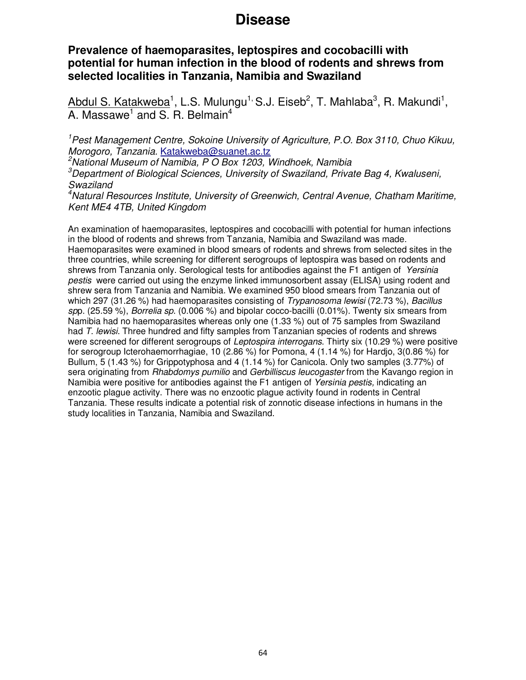### **Prevalence of haemoparasites, leptospires and cocobacilli with potential for human infection in the blood of rodents and shrews from selected localities in Tanzania, Namibia and Swaziland**

Abdul S. Katakweba<sup>1</sup>, L.S. Mulungu<sup>1,</sup> S.J. Eiseb<sup>2</sup>, T. Mahlaba<sup>3</sup>, R. Makundi<sup>1</sup>, A. Massawe<sup>1</sup> and S. R. Belmain<sup>4</sup>

<sup>1</sup>Pest Management Centre, Sokoine University of Agriculture, P.O. Box 3110, Chuo Kikuu, Morogoro, Tanzania. Katakweba@suanet.ac.tz

 $2$ National Museum of Namibia, P O Box 1203, Windhoek, Namibia

 ${}^{3}$ Department of Biological Sciences, University of Swaziland, Private Bag 4, Kwaluseni, Swaziland

<sup>4</sup>Natural Resources Institute, University of Greenwich, Central Avenue, Chatham Maritime, Kent ME4 4TB, United Kingdom

An examination of haemoparasites, leptospires and cocobacilli with potential for human infections in the blood of rodents and shrews from Tanzania, Namibia and Swaziland was made. Haemoparasites were examined in blood smears of rodents and shrews from selected sites in the three countries, while screening for different serogroups of leptospira was based on rodents and shrews from Tanzania only. Serological tests for antibodies against the F1 antigen of Yersinia pestis were carried out using the enzyme linked immunosorbent assay (ELISA) using rodent and shrew sera from Tanzania and Namibia. We examined 950 blood smears from Tanzania out of which 297 (31.26 %) had haemoparasites consisting of Trypanosoma lewisi (72.73 %), Bacillus spp.  $(25.59\%)$ , Borrelia sp.  $(0.006\%)$  and bipolar cocco-bacilli  $(0.01\%)$ . Twenty six smears from Namibia had no haemoparasites whereas only one (1.33 %) out of 75 samples from Swaziland had T. lewisi. Three hundred and fifty samples from Tanzanian species of rodents and shrews were screened for different serogroups of Leptospira interrogans. Thirty six (10.29 %) were positive for serogroup Icterohaemorrhagiae, 10 (2.86 %) for Pomona, 4 (1.14 %) for Hardjo, 3(0.86 %) for Bullum, 5 (1.43 %) for Grippotyphosa and 4 (1.14 %) for Canicola. Only two samples (3.77%) of sera originating from Rhabdomys pumilio and Gerbilliscus leucogaster from the Kavango region in Namibia were positive for antibodies against the F1 antigen of Yersinia pestis, indicating an enzootic plague activity. There was no enzootic plague activity found in rodents in Central Tanzania. These results indicate a potential risk of zonnotic disease infections in humans in the study localities in Tanzania, Namibia and Swaziland.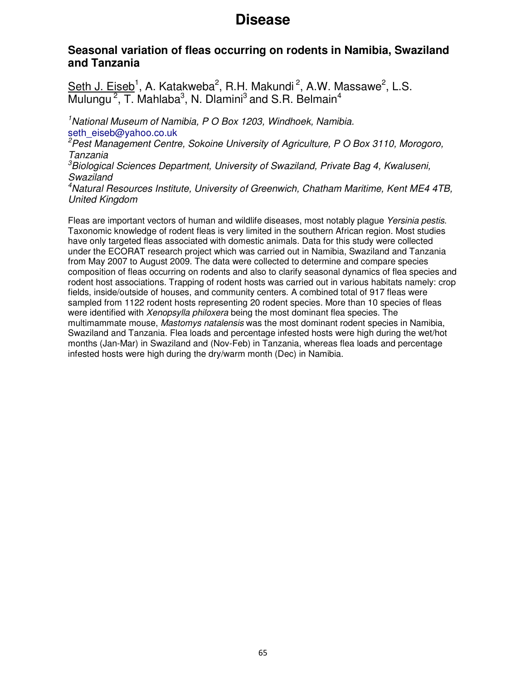### **Seasonal variation of fleas occurring on rodents in Namibia, Swaziland and Tanzania**

Seth J. Eiseb<sup>1</sup>, A. Katakweba<sup>2</sup>, R.H. Makundi<sup>2</sup>, A.W. Massawe<sup>2</sup>, L.S. Mulungu<sup>2</sup>, T. Mahlaba<sup>3</sup>, N. Dlamini<sup>3</sup> and S.R. Belmain<sup>4</sup>

<sup>1</sup>National Museum of Namibia, P O Box 1203, Windhoek, Namibia. seth\_eiseb@yahoo.co.uk

<sup>2</sup> Pest Management Centre, Sokoine University of Agriculture, P O Box 3110, Morogoro, Tanzania

 $3B$ iological Sciences Department, University of Swaziland, Private Bag 4, Kwaluseni, Swaziland

<sup>4</sup>Natural Resources Institute, University of Greenwich, Chatham Maritime, Kent ME4 4TB, United Kingdom

Fleas are important vectors of human and wildlife diseases, most notably plague Yersinia pestis. Taxonomic knowledge of rodent fleas is very limited in the southern African region. Most studies have only targeted fleas associated with domestic animals. Data for this study were collected under the ECORAT research project which was carried out in Namibia, Swaziland and Tanzania from May 2007 to August 2009. The data were collected to determine and compare species composition of fleas occurring on rodents and also to clarify seasonal dynamics of flea species and rodent host associations. Trapping of rodent hosts was carried out in various habitats namely: crop fields, inside/outside of houses, and community centers. A combined total of 917 fleas were sampled from 1122 rodent hosts representing 20 rodent species. More than 10 species of fleas were identified with *Xenopsylla philoxera* being the most dominant flea species. The multimammate mouse, Mastomys natalensis was the most dominant rodent species in Namibia, Swaziland and Tanzania. Flea loads and percentage infested hosts were high during the wet/hot months (Jan-Mar) in Swaziland and (Nov-Feb) in Tanzania, whereas flea loads and percentage infested hosts were high during the dry/warm month (Dec) in Namibia.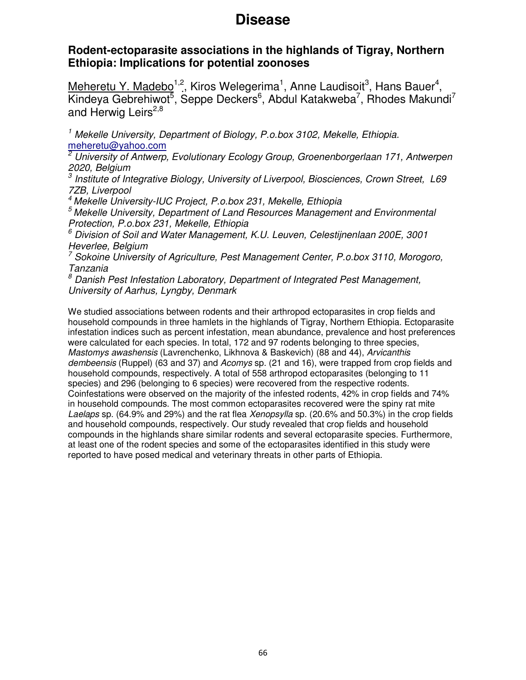### **Rodent-ectoparasite associations in the highlands of Tigray, Northern Ethiopia: Implications for potential zoonoses**

Meheretu Y. Madebo<sup>1,2</sup>, Kiros Welegerima<sup>1</sup>, Anne Laudisoit<sup>3</sup>, Hans Bauer<sup>4</sup>, Kindeya Gebrehiwot<sup>5</sup>, Seppe Deckers<sup>6</sup>, Abdul Katakweba<sup>7</sup>, Rhodes Makundi<sup>7</sup> and Herwig Leirs<sup>2,8</sup>

<sup>1</sup> Mekelle University, Department of Biology, P.o.box 3102, Mekelle, Ethiopia. meheretu@yahoo.com

<sup>2</sup> University of Antwerp, Evolutionary Ecology Group, Groenenborgerlaan 171, Antwerpen

2020, Belgium<br><sup>3</sup> Institute of Integrative Biology, University of Liverpool, Biosciences, Crown Street, L69 7ZB, Liverpool

<sup>4</sup> Mekelle University-IUC Project, P.o.box 231, Mekelle, Ethiopia

 $5$  Mekelle University, Department of Land Resources Management and Environmental Protection, P.o.box 231, Mekelle, Ethiopia

 $^6$  Division of Soil and Water Management, K.U. Leuven, Celestijnenlaan 200E, 3001 Heverlee, Belgium

<sup>7</sup> Sokoine University of Agriculture, Pest Management Center, P.o.box 3110, Morogoro, Tanzania

<sup>8</sup> Danish Pest Infestation Laboratory, Department of Integrated Pest Management, University of Aarhus, Lyngby, Denmark

We studied associations between rodents and their arthropod ectoparasites in crop fields and household compounds in three hamlets in the highlands of Tigray, Northern Ethiopia. Ectoparasite infestation indices such as percent infestation, mean abundance, prevalence and host preferences were calculated for each species. In total, 172 and 97 rodents belonging to three species, Mastomys awashensis (Lavrenchenko, Likhnova & Baskevich) (88 and 44), Arvicanthis dembeensis (Ruppel) (63 and 37) and Acomys sp. (21 and 16), were trapped from crop fields and household compounds, respectively. A total of 558 arthropod ectoparasites (belonging to 11 species) and 296 (belonging to 6 species) were recovered from the respective rodents. Coinfestations were observed on the majority of the infested rodents, 42% in crop fields and 74% in household compounds. The most common ectoparasites recovered were the spiny rat mite Laelaps sp. (64.9% and 29%) and the rat flea Xenopsylla sp. (20.6% and 50.3%) in the crop fields and household compounds, respectively. Our study revealed that crop fields and household compounds in the highlands share similar rodents and several ectoparasite species. Furthermore, at least one of the rodent species and some of the ectoparasites identified in this study were reported to have posed medical and veterinary threats in other parts of Ethiopia.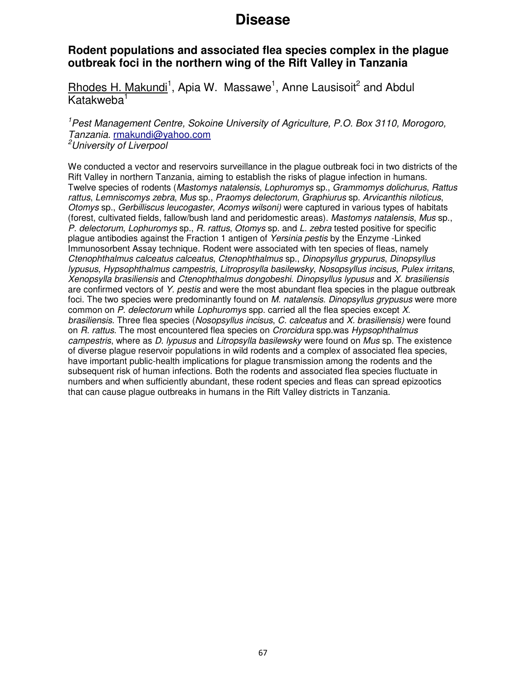### **Rodent populations and associated flea species complex in the plague outbreak foci in the northern wing of the Rift Valley in Tanzania**

Rhodes H. Makundi<sup>1</sup>, Apia W. Massawe<sup>1</sup>, Anne Lausisoit<sup>2</sup> and Abdul Katakweba<sup>1</sup>

<sup>1</sup>Pest Management Centre, Sokoine University of Agriculture, P.O. Box 3110, Morogoro, Tanzania. rmakundi@yahoo.com <sup>2</sup>University of Liverpool

We conducted a vector and reservoirs surveillance in the plague outbreak foci in two districts of the Rift Valley in northern Tanzania, aiming to establish the risks of plague infection in humans. Twelve species of rodents (Mastomys natalensis, Lophuromys sp., Grammomys dolichurus, Rattus rattus, Lemniscomys zebra, Mus sp., Praomys delectorum, Graphiurus sp. Arvicanthis niloticus, Otomys sp., Gerbilliscus leucogaster, Acomys wilsoni) were captured in various types of habitats (forest, cultivated fields, fallow/bush land and peridomestic areas). Mastomys natalensis, Mus sp., P. delectorum, Lophuromys sp., R. rattus, Otomys sp. and L. zebra tested positive for specific plague antibodies against the Fraction 1 antigen of Yersinia pestis by the Enzyme -Linked Immunosorbent Assay technique. Rodent were associated with ten species of fleas, namely Ctenophthalmus calceatus calceatus, Ctenophthalmus sp., Dinopsyllus grypurus, Dinopsyllus lypusus, Hypsophthalmus campestris, Litroprosylla basilewsky, Nosopsyllus incisus, Pulex irritans, Xenopsylla brasiliensis and Ctenophthalmus dongobeshi. Dinopsyllus lypusus and X. brasiliensis are confirmed vectors of Y. pestis and were the most abundant flea species in the plague outbreak foci. The two species were predominantly found on M. natalensis. Dinopsyllus grypusus were more common on P. delectorum while Lophuromys spp. carried all the flea species except X. brasiliensis. Three flea species (Nosopsyllus incisus, C. calceatus and X. brasiliensis) were found on R. rattus. The most encountered flea species on Crorcidura spp.was Hypsophthalmus campestris, where as D. lypusus and Litropsylla basilewsky were found on Mus sp. The existence of diverse plague reservoir populations in wild rodents and a complex of associated flea species, have important public-health implications for plague transmission among the rodents and the subsequent risk of human infections. Both the rodents and associated flea species fluctuate in numbers and when sufficiently abundant, these rodent species and fleas can spread epizootics that can cause plague outbreaks in humans in the Rift Valley districts in Tanzania.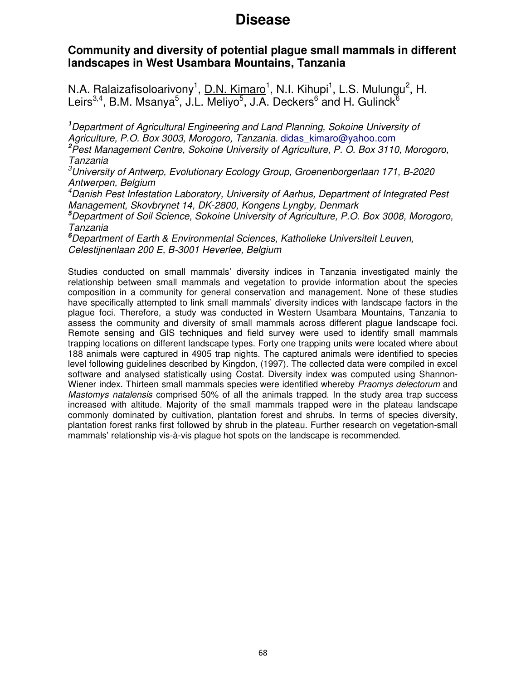### **Community and diversity of potential plague small mammals in different landscapes in West Usambara Mountains, Tanzania**

N.A. Ralaizafisoloarivony<sup>1</sup>, <u>D.N. Kimaro</u><sup>1</sup>, N.I. Kihupi<sup>1</sup>, L.S. Mulungu<sup>2</sup>, H. Leirs<sup>3,4</sup>, B.M. Msanya<sup>5</sup>, J.L. Meliyo<sup>5</sup>, J.A. Deckers<sup>6</sup> and H. Gulinck<sup>6</sup>

**<sup>1</sup>**Department of Agricultural Engineering and Land Planning, Sokoine University of Agriculture, P.O. Box 3003, Morogoro, Tanzania. didas kimaro@yahoo.com

**<sup>2</sup>**Pest Management Centre, Sokoine University of Agriculture, P. O. Box 3110, Morogoro, Tanzania

 $3$ University of Antwerp, Evolutionary Ecology Group, Groenenborgerlaan 171, B-2020 Antwerpen, Belgium

<sup>4</sup>Danish Pest Infestation Laboratory, University of Aarhus, Department of Integrated Pest Management, Skovbrynet 14, DK-2800, Kongens Lyngby, Denmark

**<sup>5</sup>**Department of Soil Science, Sokoine University of Agriculture, P.O. Box 3008, Morogoro, Tanzania

**<sup>6</sup>**Department of Earth & Environmental Sciences, Katholieke Universiteit Leuven, Celestijnenlaan 200 E, B-3001 Heverlee, Belgium

Studies conducted on small mammals' diversity indices in Tanzania investigated mainly the relationship between small mammals and vegetation to provide information about the species composition in a community for general conservation and management. None of these studies have specifically attempted to link small mammals' diversity indices with landscape factors in the plague foci. Therefore, a study was conducted in Western Usambara Mountains, Tanzania to assess the community and diversity of small mammals across different plague landscape foci. Remote sensing and GIS techniques and field survey were used to identify small mammals trapping locations on different landscape types. Forty one trapping units were located where about 188 animals were captured in 4905 trap nights. The captured animals were identified to species level following guidelines described by Kingdon, (1997). The collected data were compiled in excel software and analysed statistically using Costat. Diversity index was computed using Shannon-Wiener index. Thirteen small mammals species were identified whereby Praomys delectorum and Mastomys natalensis comprised 50% of all the animals trapped. In the study area trap success increased with altitude. Majority of the small mammals trapped were in the plateau landscape commonly dominated by cultivation, plantation forest and shrubs. In terms of species diversity, plantation forest ranks first followed by shrub in the plateau. Further research on vegetation-small mammals' relationship vis-à-vis plague hot spots on the landscape is recommended.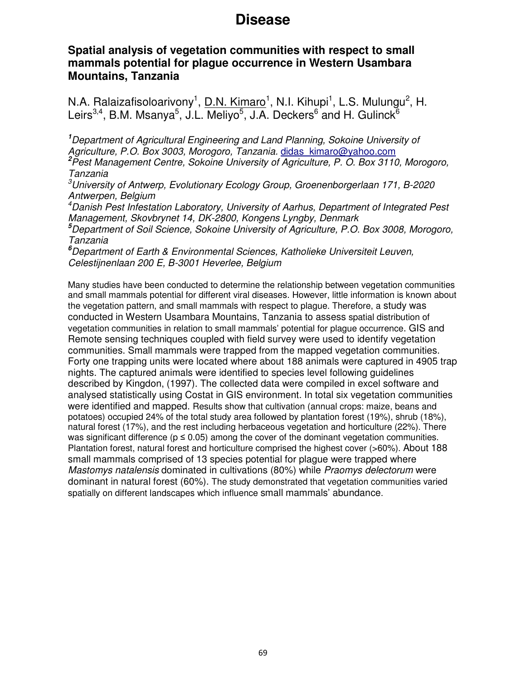### **Spatial analysis of vegetation communities with respect to small mammals potential for plague occurrence in Western Usambara Mountains, Tanzania**

N.A. Ralaizafisoloarivony<sup>1</sup>, <u>D.N. Kimaro</u><sup>1</sup>, N.I. Kihupi<sup>1</sup>, L.S. Mulungu<sup>2</sup>, H. Leirs<sup>3,4</sup>, B.M. Msanya<sup>5</sup>, J.L. Meliyo<sup>5</sup>, J.A. Deckers<sup>6</sup> and H. Gulinck<sup>6</sup>

**<sup>1</sup>**Department of Agricultural Engineering and Land Planning, Sokoine University of Agriculture, P.O. Box 3003, Morogoro, Tanzania. didas kimaro@yahoo.com **<sup>2</sup>**Pest Management Centre, Sokoine University of Agriculture, P. O. Box 3110, Morogoro, Tanzania

 $3$ University of Antwerp, Evolutionary Ecology Group, Groenenborgerlaan 171, B-2020 Antwerpen, Belgium

<sup>4</sup>Danish Pest Infestation Laboratory, University of Aarhus, Department of Integrated Pest Management, Skovbrynet 14, DK-2800, Kongens Lyngby, Denmark

**<sup>5</sup>**Department of Soil Science, Sokoine University of Agriculture, P.O. Box 3008, Morogoro, Tanzania

**<sup>6</sup>**Department of Earth & Environmental Sciences, Katholieke Universiteit Leuven, Celestijnenlaan 200 E, B-3001 Heverlee, Belgium

Many studies have been conducted to determine the relationship between vegetation communities and small mammals potential for different viral diseases. However, little information is known about the vegetation pattern, and small mammals with respect to plague. Therefore, a study was conducted in Western Usambara Mountains, Tanzania to assess spatial distribution of vegetation communities in relation to small mammals' potential for plague occurrence. GIS and Remote sensing techniques coupled with field survey were used to identify vegetation communities. Small mammals were trapped from the mapped vegetation communities. Forty one trapping units were located where about 188 animals were captured in 4905 trap nights. The captured animals were identified to species level following guidelines described by Kingdon, (1997). The collected data were compiled in excel software and analysed statistically using Costat in GIS environment. In total six vegetation communities were identified and mapped. Results show that cultivation (annual crops: maize, beans and potatoes) occupied 24% of the total study area followed by plantation forest (19%), shrub (18%), natural forest (17%), and the rest including herbaceous vegetation and horticulture (22%). There was significant difference ( $p \le 0.05$ ) among the cover of the dominant vegetation communities. Plantation forest, natural forest and horticulture comprised the highest cover (>60%). About 188 small mammals comprised of 13 species potential for plague were trapped where Mastomys natalensis dominated in cultivations (80%) while Praomys delectorum were dominant in natural forest (60%). The study demonstrated that vegetation communities varied spatially on different landscapes which influence small mammals' abundance.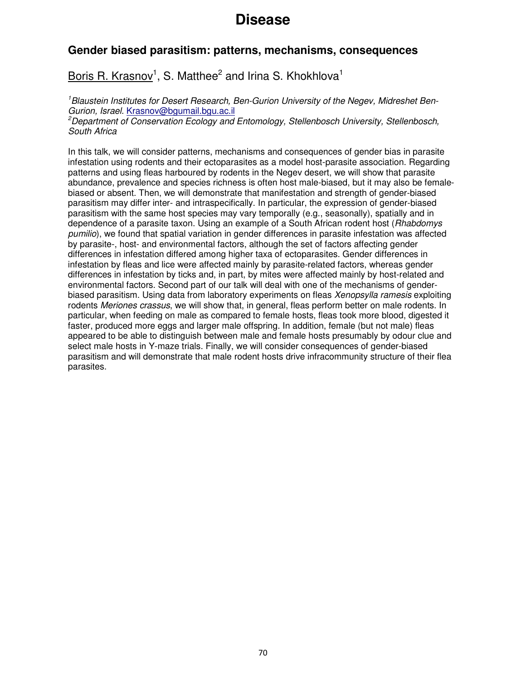### **Gender biased parasitism: patterns, mechanisms, consequences**

### Boris R. Krasnov<sup>1</sup>, S. Matthee<sup>2</sup> and Irina S. Khokhlova<sup>1</sup>

<sup>1</sup>Blaustein Institutes for Desert Research, Ben-Gurion University of the Negev, Midreshet Ben-Gurion, Israel. Krasnov@bgumail.bgu.ac.il

<sup>2</sup>Department of Conservation Ecology and Entomology, Stellenbosch University, Stellenbosch, South Africa

In this talk, we will consider patterns, mechanisms and consequences of gender bias in parasite infestation using rodents and their ectoparasites as a model host-parasite association. Regarding patterns and using fleas harboured by rodents in the Negev desert, we will show that parasite abundance, prevalence and species richness is often host male-biased, but it may also be femalebiased or absent. Then, we will demonstrate that manifestation and strength of gender-biased parasitism may differ inter- and intraspecifically. In particular, the expression of gender-biased parasitism with the same host species may vary temporally (e.g., seasonally), spatially and in dependence of a parasite taxon. Using an example of a South African rodent host (Rhabdomys pumilio), we found that spatial variation in gender differences in parasite infestation was affected by parasite-, host- and environmental factors, although the set of factors affecting gender differences in infestation differed among higher taxa of ectoparasites. Gender differences in infestation by fleas and lice were affected mainly by parasite-related factors, whereas gender differences in infestation by ticks and, in part, by mites were affected mainly by host-related and environmental factors. Second part of our talk will deal with one of the mechanisms of genderbiased parasitism. Using data from laboratory experiments on fleas Xenopsylla ramesis exploiting rodents Meriones crassus, we will show that, in general, fleas perform better on male rodents. In particular, when feeding on male as compared to female hosts, fleas took more blood, digested it faster, produced more eggs and larger male offspring. In addition, female (but not male) fleas appeared to be able to distinguish between male and female hosts presumably by odour clue and select male hosts in Y-maze trials. Finally, we will consider consequences of gender-biased parasitism and will demonstrate that male rodent hosts drive infracommunity structure of their flea parasites.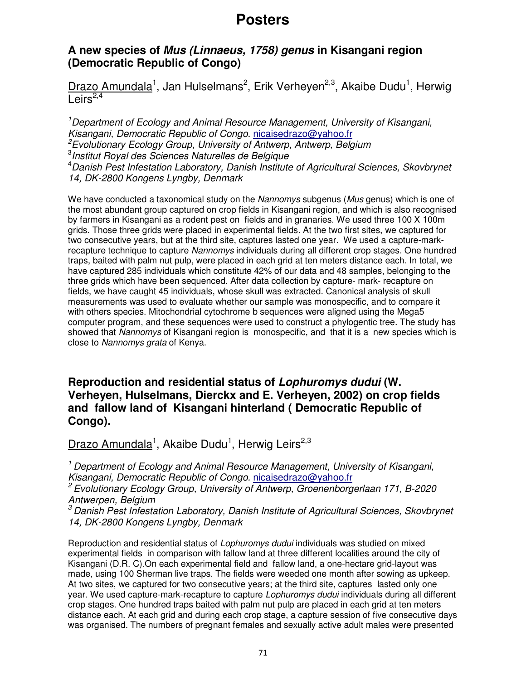### **Posters**

### **A new species of Mus (Linnaeus, 1758) genus in Kisangani region (Democratic Republic of Congo)**

Drazo Amundala<sup>1</sup>, Jan Hulselmans<sup>2</sup>, Erik Verheyen<sup>2,3</sup>, Akaibe Dudu<sup>1</sup>, Herwig Leirs $^{2,4}$ 

<sup>1</sup>Department of Ecology and Animal Resource Management, University of Kisangani, Kisangani, Democratic Republic of Congo. nicaisedrazo@yahoo.fr  $e^2$ Evolutionary Ecology Group, University of Antwerp, Antwerp, Belgium 3 Institut Royal des Sciences Naturelles de Belgique <sup>4</sup> Danish Pest Infestation Laboratory, Danish Institute of Agricultural Sciences, Skovbrynet 14, DK-2800 Kongens Lyngby, Denmark

We have conducted a taxonomical study on the Nannomys subgenus (Mus genus) which is one of the most abundant group captured on crop fields in Kisangani region, and which is also recognised by farmers in Kisangani as a rodent pest on fields and in granaries. We used three 100 X 100m grids. Those three grids were placed in experimental fields. At the two first sites, we captured for two consecutive years, but at the third site, captures lasted one year. We used a capture-markrecapture technique to capture Nannomys individuals during all different crop stages. One hundred traps, baited with palm nut pulp, were placed in each grid at ten meters distance each. In total, we have captured 285 individuals which constitute 42% of our data and 48 samples, belonging to the three grids which have been sequenced. After data collection by capture- mark- recapture on fields, we have caught 45 individuals, whose skull was extracted. Canonical analysis of skull measurements was used to evaluate whether our sample was monospecific, and to compare it with others species. Mitochondrial cytochrome b sequences were aligned using the Mega5 computer program, and these sequences were used to construct a phylogentic tree. The study has showed that Nannomys of Kisangani region is monospecific, and that it is a new species which is close to Nannomys grata of Kenya.

### **Reproduction and residential status of Lophuromys dudui (W. Verheyen, Hulselmans, Dierckx and E. Verheyen, 2002) on crop fields and fallow land of Kisangani hinterland ( Democratic Republic of Congo).**

Drazo Amundala<sup>1</sup>, Akaibe Dudu<sup>1</sup>, Herwig Leirs<sup>2,3</sup>

<sup>1</sup> Department of Ecology and Animal Resource Management, University of Kisangani, Kisangani, Democratic Republic of Congo. nicaisedrazo@yahoo.fr

<sup>2</sup> Evolutionary Ecology Group, University of Antwerp, Groenenborgerlaan 171, B-2020 Antwerpen, Belgium

 $3$  Danish Pest Infestation Laboratory, Danish Institute of Agricultural Sciences, Skovbrynet 14, DK-2800 Kongens Lyngby, Denmark

Reproduction and residential status of Lophuromys dudui individuals was studied on mixed experimental fields in comparison with fallow land at three different localities around the city of Kisangani (D.R. C).On each experimental field and fallow land, a one-hectare grid-layout was made, using 100 Sherman live traps. The fields were weeded one month after sowing as upkeep. At two sites, we captured for two consecutive years; at the third site, captures lasted only one year. We used capture-mark-recapture to capture Lophuromys dudui individuals during all different crop stages. One hundred traps baited with palm nut pulp are placed in each grid at ten meters distance each. At each grid and during each crop stage, a capture session of five consecutive days was organised. The numbers of pregnant females and sexually active adult males were presented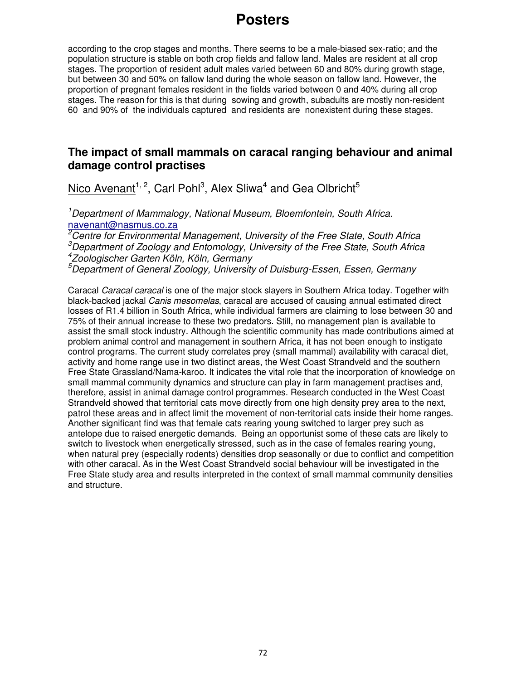# **Posters**

according to the crop stages and months. There seems to be a male-biased sex-ratio; and the population structure is stable on both crop fields and fallow land. Males are resident at all crop stages. The proportion of resident adult males varied between 60 and 80% during growth stage, but between 30 and 50% on fallow land during the whole season on fallow land. However, the proportion of pregnant females resident in the fields varied between 0 and 40% during all crop stages. The reason for this is that during sowing and growth, subadults are mostly non-resident 60 and 90% of the individuals captured and residents are nonexistent during these stages.

### **The impact of small mammals on caracal ranging behaviour and animal damage control practises**

Nico Avenant<sup>1, 2</sup>, Carl Pohl<sup>3</sup>, Alex Sliwa<sup>4</sup> and Gea Olbricht<sup>5</sup>

<sup>1</sup>Department of Mammalogy, National Museum, Bloemfontein, South Africa. navenant@nasmus.co.za

<sup>2</sup>Centre for Environmental Management, University of the Free State, South Africa  $3$ Department of Zoology and Entomology, University of the Free State, South Africa 4 Zoologischer Garten Köln, Köln, Germany

<sup>5</sup>Department of General Zoology, University of Duisburg-Essen, Essen, Germany

Caracal Caracal caracal is one of the major stock slayers in Southern Africa today. Together with black-backed jackal Canis mesomelas, caracal are accused of causing annual estimated direct losses of R1.4 billion in South Africa, while individual farmers are claiming to lose between 30 and 75% of their annual increase to these two predators. Still, no management plan is available to assist the small stock industry. Although the scientific community has made contributions aimed at problem animal control and management in southern Africa, it has not been enough to instigate control programs. The current study correlates prey (small mammal) availability with caracal diet, activity and home range use in two distinct areas, the West Coast Strandveld and the southern Free State Grassland/Nama-karoo. It indicates the vital role that the incorporation of knowledge on small mammal community dynamics and structure can play in farm management practises and, therefore, assist in animal damage control programmes. Research conducted in the West Coast Strandveld showed that territorial cats move directly from one high density prey area to the next, patrol these areas and in affect limit the movement of non-territorial cats inside their home ranges. Another significant find was that female cats rearing young switched to larger prey such as antelope due to raised energetic demands. Being an opportunist some of these cats are likely to switch to livestock when energetically stressed, such as in the case of females rearing young, when natural prey (especially rodents) densities drop seasonally or due to conflict and competition with other caracal. As in the West Coast Strandveld social behaviour will be investigated in the Free State study area and results interpreted in the context of small mammal community densities and structure.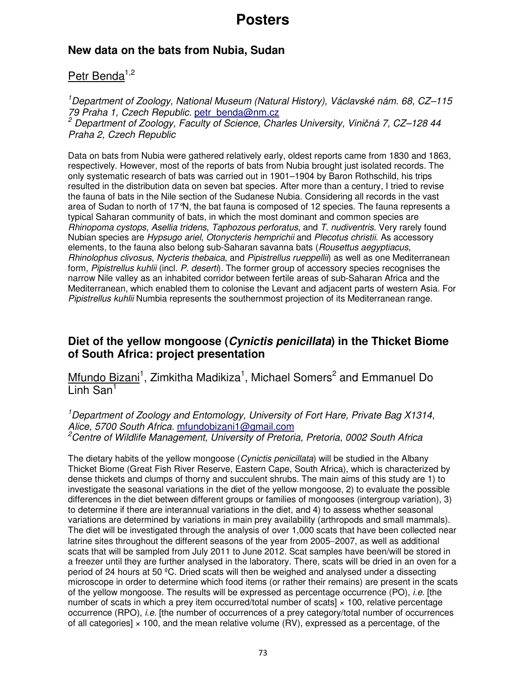### **New data on the bats from Nubia, Sudan**

### Petr Benda<sup>1,2</sup>

<sup>1</sup>Department of Zoology, National Museum (Natural History), Václavské nám. 68, CZ–115 79 Praha 1, Czech Republic. petr\_benda@nm.cz <sup>2</sup> Department of Zoology, Faculty of Science, Charles University, Viničná 7, CZ-128 44 Praha 2, Czech Republic

Data on bats from Nubia were gathered relatively early, oldest reports came from 1830 and 1863, respectively. However, most of the reports of bats from Nubia brought just isolated records. The only systematic research of bats was carried out in 1901–1904 by Baron Rothschild, his trips resulted in the distribution data on seven bat species. After more than a century, I tried to revise the fauna of bats in the Nile section of the Sudanese Nubia. Considering all records in the vast area of Sudan to north of 17°N, the bat fauna is composed of 12 species. The fauna represents a typical Saharan community of bats, in which the most dominant and common species are Rhinopoma cystops, Asellia tridens, Taphozous perforatus, and T. nudiventris. Very rarely found Nubian species are Hypsugo ariel, Otonycteris hemprichii and Plecotus christii. As accessory elements, to the fauna also belong sub-Saharan savanna bats (Rousettus aegyptiacus, Rhinolophus clivosus, Nycteris thebaica, and Pipistrellus rueppellii) as well as one Mediterranean form, Pipistrellus kuhlii (incl. P. deserti). The former group of accessory species recognises the narrow Nile valley as an inhabited corridor between fertile areas of sub-Saharan Africa and the Mediterranean, which enabled them to colonise the Levant and adjacent parts of western Asia. For Pipistrellus kuhlii Numbia represents the southernmost projection of its Mediterranean range.

### **Diet of the yellow mongoose (Cynictis penicillata) in the Thicket Biome of South Africa: project presentation**

Mfundo Bizani<sup>1</sup>, Zimkitha Madikiza<sup>1</sup>, Michael Somers<sup>2</sup> and Emmanuel Do  $\overline{\mathsf{L}}$  inh San<sup>1</sup>

<sup>1</sup> Department of Zoology and Entomology, University of Fort Hare, Private Bag X1314, Alice, 5700 South Africa. mfundobizani1@gmail.com  $2$ Centre of Wildlife Management, University of Pretoria, Pretoria, 0002 South Africa

The dietary habits of the yellow mongoose (Cynictis penicillata) will be studied in the Albany Thicket Biome (Great Fish River Reserve, Eastern Cape, South Africa), which is characterized by dense thickets and clumps of thorny and succulent shrubs. The main aims of this study are 1) to investigate the seasonal variations in the diet of the yellow mongoose, 2) to evaluate the possible differences in the diet between different groups or families of mongooses (intergroup variation), 3) to determine if there are interannual variations in the diet, and 4) to assess whether seasonal variations are determined by variations in main prey availability (arthropods and small mammals). The diet will be investigated through the analysis of over 1,000 scats that have been collected near latrine sites throughout the different seasons of the year from 2005−2007, as well as additional scats that will be sampled from July 2011 to June 2012. Scat samples have been/will be stored in a freezer until they are further analysed in the laboratory. There, scats will be dried in an oven for a period of 24 hours at 50 ºC. Dried scats will then be weighed and analysed under a dissecting microscope in order to determine which food items (or rather their remains) are present in the scats of the yellow mongoose. The results will be expressed as percentage occurrence (PO), i.e. [the number of scats in which a prey item occurred/total number of scats $\frac{1}{x}$  100, relative percentage occurrence (RPO), i.e. [the number of occurrences of a prey category/total number of occurrences of all categories]  $\times$  100, and the mean relative volume (RV), expressed as a percentage, of the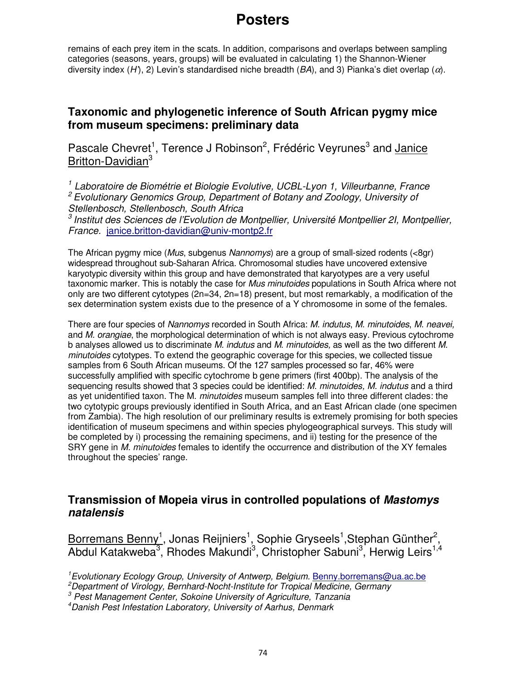remains of each prey item in the scats. In addition, comparisons and overlaps between sampling categories (seasons, years, groups) will be evaluated in calculating 1) the Shannon-Wiener diversity index (H'), 2) Levin's standardised niche breadth ( $BA$ ), and 3) Pianka's diet overlap ( $\alpha$ ).

### **Taxonomic and phylogenetic inference of South African pygmy mice from museum specimens: preliminary data**

Pascale Chevret<sup>1</sup>, Terence J Robinson<sup>2</sup>, Frédéric Veyrunes<sup>3</sup> and Janice Britton-Davidian<sup>3</sup>

<sup>1</sup> Laboratoire de Biométrie et Biologie Evolutive, UCBL-Lyon 1, Villeurbanne, France  $2$  Evolutionary Genomics Group, Department of Botany and Zoology, University of Stellenbosch, Stellenbosch, South Africa

 $^3$  Institut des Sciences de l'Evolution de Montpellier, Université Montpellier 2I, Montpellier, France. janice.britton-davidian@univ-montp2.fr

The African pygmy mice (*Mus*, subgenus *Nannomys*) are a group of small-sized rodents (<8gr) widespread throughout sub-Saharan Africa. Chromosomal studies have uncovered extensive karyotypic diversity within this group and have demonstrated that karyotypes are a very useful taxonomic marker. This is notably the case for Mus minutoides populations in South Africa where not only are two different cytotypes (2n=34, 2n=18) present, but most remarkably, a modification of the sex determination system exists due to the presence of a Y chromosome in some of the females.

There are four species of Nannomys recorded in South Africa: M. indutus, M. minutoides, M. neavei, and M. orangiae, the morphological determination of which is not always easy. Previous cytochrome b analyses allowed us to discriminate M. indutus and M. minutoides, as well as the two different M. minutoides cytotypes. To extend the geographic coverage for this species, we collected tissue samples from 6 South African museums. Of the 127 samples processed so far, 46% were successfully amplified with specific cytochrome b gene primers (first 400bp). The analysis of the sequencing results showed that 3 species could be identified: M. minutoides, M. indutus and a third as yet unidentified taxon. The M. minutoides museum samples fell into three different clades: the two cytotypic groups previously identified in South Africa, and an East African clade (one specimen from Zambia). The high resolution of our preliminary results is extremely promising for both species identification of museum specimens and within species phylogeographical surveys. This study will be completed by i) processing the remaining specimens, and ii) testing for the presence of the SRY gene in M. minutoides females to identify the occurrence and distribution of the XY females throughout the species' range.

### **Transmission of Mopeia virus in controlled populations of Mastomys natalensis**

Borremans Benny<sup>1</sup>, Jonas Reijniers<sup>1</sup>, Sophie Gryseels<sup>1</sup>,Stephan Günther<sup>2</sup>, Abdul Katakweba<sup>3</sup>, Rhodes Makundi<sup>3</sup>, Christopher Sabuni<sup>3</sup>, Herwig Leirs<sup>1,4</sup>

<sup>1</sup> Evolutionary Ecology Group, University of Antwerp, Belgium. Benny.borremans@ua.ac.be

 $2$ Department of Virology, Bernhard-Nocht-Institute for Tropical Medicine, Germany

 $3$  Pest Management Center, Sokoine University of Agriculture, Tanzania

<sup>4</sup>Danish Pest Infestation Laboratory, University of Aarhus, Denmark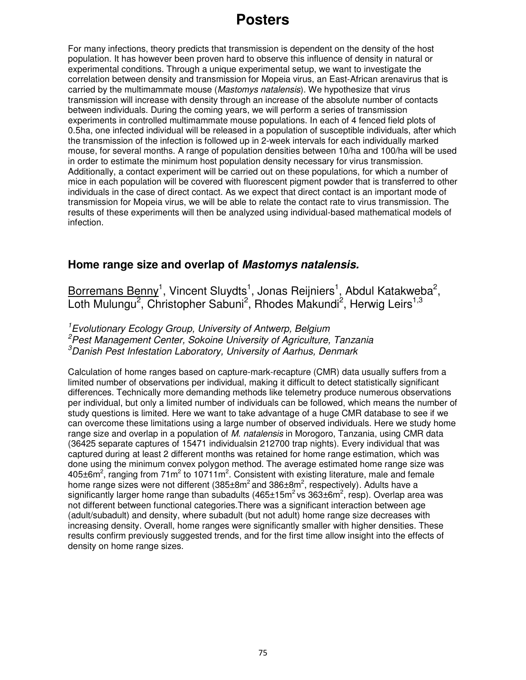For many infections, theory predicts that transmission is dependent on the density of the host population. It has however been proven hard to observe this influence of density in natural or experimental conditions. Through a unique experimental setup, we want to investigate the correlation between density and transmission for Mopeia virus, an East-African arenavirus that is carried by the multimammate mouse (Mastomys natalensis). We hypothesize that virus transmission will increase with density through an increase of the absolute number of contacts between individuals. During the coming years, we will perform a series of transmission experiments in controlled multimammate mouse populations. In each of 4 fenced field plots of 0.5ha, one infected individual will be released in a population of susceptible individuals, after which the transmission of the infection is followed up in 2-week intervals for each individually marked mouse, for several months. A range of population densities between 10/ha and 100/ha will be used in order to estimate the minimum host population density necessary for virus transmission. Additionally, a contact experiment will be carried out on these populations, for which a number of mice in each population will be covered with fluorescent pigment powder that is transferred to other individuals in the case of direct contact. As we expect that direct contact is an important mode of transmission for Mopeia virus, we will be able to relate the contact rate to virus transmission. The results of these experiments will then be analyzed using individual-based mathematical models of infection.

### **Home range size and overlap of Mastomys natalensis.**

Borremans Benny<sup>1</sup>, Vincent Sluydts<sup>1</sup>, Jonas Reijniers<sup>1</sup>, Abdul Katakweba<sup>2</sup>, Loth Mulungu<sup>2</sup>, Christopher Sabuni<sup>2</sup>, Rhodes Makundi<sup>2</sup>, Herwig Leirs<sup>1,3</sup>

<sup>1</sup> Evolutionary Ecology Group, University of Antwerp, Belgium  $2$ Pest Management Center, Sokoine University of Agriculture, Tanzania  $3$ Danish Pest Infestation Laboratory, University of Aarhus, Denmark

Calculation of home ranges based on capture-mark-recapture (CMR) data usually suffers from a limited number of observations per individual, making it difficult to detect statistically significant differences. Technically more demanding methods like telemetry produce numerous observations per individual, but only a limited number of individuals can be followed, which means the number of study questions is limited. Here we want to take advantage of a huge CMR database to see if we can overcome these limitations using a large number of observed individuals. Here we study home range size and overlap in a population of M. natalensis in Morogoro, Tanzania, using CMR data (36425 separate captures of 15471 individualsin 212700 trap nights). Every individual that was captured during at least 2 different months was retained for home range estimation, which was done using the minimum convex polygon method. The average estimated home range size was  $405\pm 6$ m<sup>2</sup>, ranging from 71m<sup>2</sup> to 10711m<sup>2</sup>. Consistent with existing literature, male and female home range sizes were not different (385 $\pm$ 8m<sup>2</sup> and 386 $\pm$ 8m<sup>2</sup>, respectively). Adults have a significantly larger home range than subadults (465±15m<sup>2</sup> vs 363±6m<sup>2</sup>, resp). Overlap area was not different between functional categories.There was a significant interaction between age (adult/subadult) and density, where subadult (but not adult) home range size decreases with increasing density. Overall, home ranges were significantly smaller with higher densities. These results confirm previously suggested trends, and for the first time allow insight into the effects of density on home range sizes.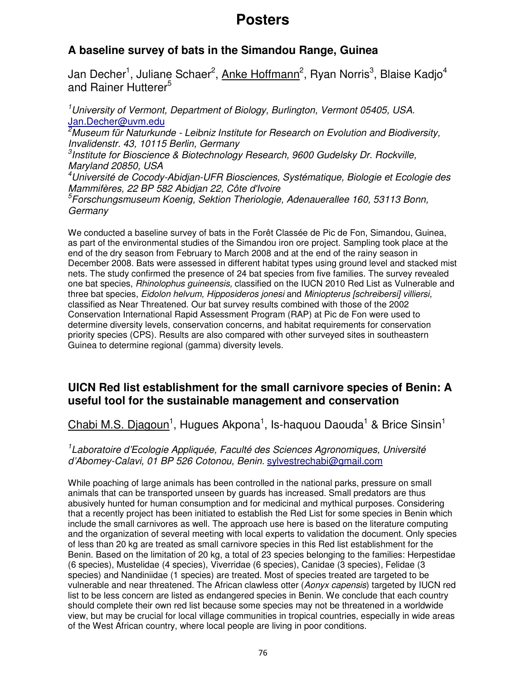# **A baseline survey of bats in the Simandou Range, Guinea**

Jan Decher<sup>1</sup>, Juliane Schaer<sup>2</sup>, <u>Anke Hoffmann</u><sup>2</sup>, Ryan Norris<sup>3</sup>, Blaise Kadjo<sup>4</sup> and Rainer Hutterer<sup>5</sup>

<sup>1</sup>University of Vermont, Department of Biology, Burlington, Vermont 05405, USA. Jan.Decher@uvm.edu  ${}^{2}$ Museum für Naturkunde - Leibniz Institute for Research on Evolution and Biodiversity, Invalidenstr. 43, 10115 Berlin, Germany <sup>3</sup>Institute for Bioscience & Biotechnology Research, 9600 Gudelsky Dr. Rockville, Maryland 20850, USA <sup>4</sup>Université de Cocody-Abidjan-UFR Biosciences, Systématique, Biologie et Ecologie des Mammifères, 22 BP 582 Abidjan 22, Côte d'Ivoire <sup>5</sup>Forschungsmuseum Koenig, Sektion Theriologie, Adenauerallee 160, 53113 Bonn, **Germany** 

We conducted a baseline survey of bats in the Forêt Classée de Pic de Fon, Simandou, Guinea, as part of the environmental studies of the Simandou iron ore project. Sampling took place at the end of the dry season from February to March 2008 and at the end of the rainy season in December 2008. Bats were assessed in different habitat types using ground level and stacked mist nets. The study confirmed the presence of 24 bat species from five families. The survey revealed one bat species, Rhinolophus guineensis, classified on the IUCN 2010 Red List as Vulnerable and three bat species, Eidolon helvum, Hipposideros jonesi and Miniopterus [schreibersi] villiersi, classified as Near Threatened. Our bat survey results combined with those of the 2002 Conservation International Rapid Assessment Program (RAP) at Pic de Fon were used to determine diversity levels, conservation concerns, and habitat requirements for conservation priority species (CPS). Results are also compared with other surveyed sites in southeastern Guinea to determine regional (gamma) diversity levels.

### **UICN Red list establishment for the small carnivore species of Benin: A useful tool for the sustainable management and conservation**

Chabi M.S. Djagoun<sup>1</sup>, Hugues Akpona<sup>1</sup>, Is-haquou Daouda<sup>1</sup> & Brice Sinsin<sup>1</sup>

<sup>1</sup> Laboratoire d'Ecologie Appliquée, Faculté des Sciences Agronomiques, Université d'Abomey-Calavi, 01 BP 526 Cotonou, Benin. sylvestrechabi@gmail.com

While poaching of large animals has been controlled in the national parks, pressure on small animals that can be transported unseen by guards has increased. Small predators are thus abusively hunted for human consumption and for medicinal and mythical purposes. Considering that a recently project has been initiated to establish the Red List for some species in Benin which include the small carnivores as well. The approach use here is based on the literature computing and the organization of several meeting with local experts to validation the document. Only species of less than 20 kg are treated as small carnivore species in this Red list establishment for the Benin. Based on the limitation of 20 kg, a total of 23 species belonging to the families: Herpestidae (6 species), Mustelidae (4 species), Viverridae (6 species), Canidae (3 species), Felidae (3 species) and Nandiniidae (1 species) are treated. Most of species treated are targeted to be vulnerable and near threatened. The African clawless otter (Aonyx capensis) targeted by IUCN red list to be less concern are listed as endangered species in Benin. We conclude that each country should complete their own red list because some species may not be threatened in a worldwide view, but may be crucial for local village communities in tropical countries, especially in wide areas of the West African country, where local people are living in poor conditions.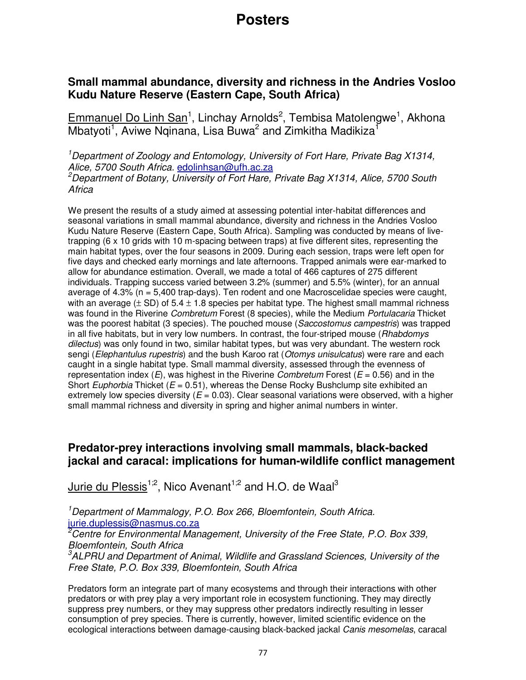### **Small mammal abundance, diversity and richness in the Andries Vosloo Kudu Nature Reserve (Eastern Cape, South Africa)**

Emmanuel Do Linh San<sup>1</sup>, Linchay Arnolds<sup>2</sup>, Tembisa Matolengwe<sup>1</sup>, Akhona Mbatyoti<sup>1</sup>, Aviwe Nqinana, Lisa Buwa<sup>2</sup> and Zimkitha Madikiza<sup>1</sup>

<sup>1</sup> Department of Zoology and Entomology, University of Fort Hare, Private Bag X1314, Alice, 5700 South Africa, edolinhsan@ufh.ac.za

<sup>2</sup>Department of Botany, University of Fort Hare, Private Bag X1314, Alice, 5700 South **Africa** 

We present the results of a study aimed at assessing potential inter-habitat differences and seasonal variations in small mammal abundance, diversity and richness in the Andries Vosloo Kudu Nature Reserve (Eastern Cape, South Africa). Sampling was conducted by means of livetrapping (6 x 10 grids with 10 m-spacing between traps) at five different sites, representing the main habitat types, over the four seasons in 2009. During each session, traps were left open for five days and checked early mornings and late afternoons. Trapped animals were ear-marked to allow for abundance estimation. Overall, we made a total of 466 captures of 275 different individuals. Trapping success varied between 3.2% (summer) and 5.5% (winter), for an annual average of  $4.3\%$  (n =  $5,400$  trap-days). Ten rodent and one Macroscelidae species were caught, with an average ( $\pm$  SD) of 5.4  $\pm$  1.8 species per habitat type. The highest small mammal richness was found in the Riverine Combretum Forest (8 species), while the Medium Portulacaria Thicket was the poorest habitat (3 species). The pouched mouse (Saccostomus campestris) was trapped in all five habitats, but in very low numbers. In contrast, the four-striped mouse (Rhabdomys dilectus) was only found in two, similar habitat types, but was very abundant. The western rock sengi (Elephantulus rupestris) and the bush Karoo rat (Otomys unisulcatus) were rare and each caught in a single habitat type. Small mammal diversity, assessed through the evenness of representation index  $(E)$ , was highest in the Riverine *Combretum* Forest ( $E = 0.56$ ) and in the Short Euphorbia Thicket ( $E = 0.51$ ), whereas the Dense Rocky Bushclump site exhibited an extremely low species diversity ( $E = 0.03$ ). Clear seasonal variations were observed, with a higher small mammal richness and diversity in spring and higher animal numbers in winter.

### **Predator-prey interactions involving small mammals, black-backed jackal and caracal: implications for human-wildlife conflict management**

Jurie du Plessis<sup>1;2</sup>, Nico Avenant<sup>1;2</sup> and H.O. de Waal<sup>3</sup>

<sup>1</sup>Department of Mammalogy, P.O. Box 266, Bloemfontein, South Africa. jurie.duplessis@nasmus.co.za

<sup>2</sup>Centre for Environmental Management, University of the Free State, P.O. Box 339, Bloemfontein, South Africa

 ${}^{3}$ ALPRU and Department of Animal, Wildlife and Grassland Sciences, University of the Free State, P.O. Box 339, Bloemfontein, South Africa

Predators form an integrate part of many ecosystems and through their interactions with other predators or with prey play a very important role in ecosystem functioning. They may directly suppress prey numbers, or they may suppress other predators indirectly resulting in lesser consumption of prey species. There is currently, however, limited scientific evidence on the ecological interactions between damage-causing black-backed jackal Canis mesomelas, caracal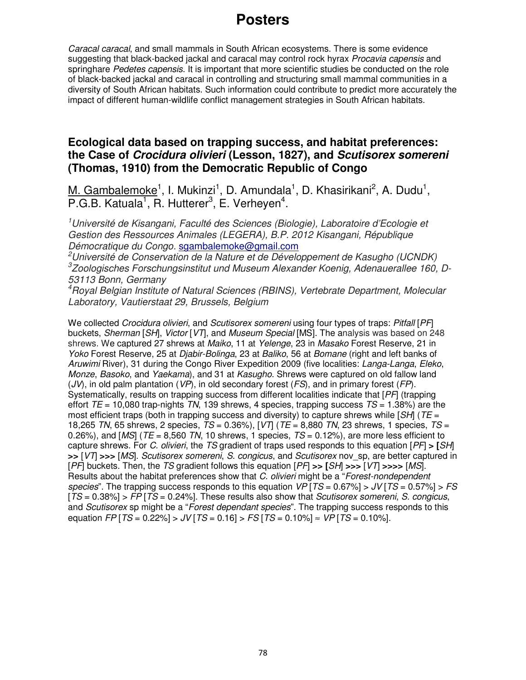Caracal caracal, and small mammals in South African ecosystems. There is some evidence suggesting that black-backed jackal and caracal may control rock hyrax *Procavia capensis* and springhare Pedetes capensis. It is important that more scientific studies be conducted on the role of black-backed jackal and caracal in controlling and structuring small mammal communities in a diversity of South African habitats. Such information could contribute to predict more accurately the impact of different human-wildlife conflict management strategies in South African habitats.

### **Ecological data based on trapping success, and habitat preferences: the Case of Crocidura olivieri (Lesson, 1827), and Scutisorex somereni (Thomas, 1910) from the Democratic Republic of Congo**

M. Gambalemoke<sup>1</sup>, I. Mukinzi<sup>1</sup>, D. Amundala<sup>1</sup>, D. Khasirikani<sup>2</sup>, A. Dudu<sup>1</sup>, P.G.B. Katuala<sup>1</sup>, R. Hutterer<sup>3</sup>, E. Verheyen<sup>4</sup>.

<sup>1</sup>Université de Kisangani, Faculté des Sciences (Biologie), Laboratoire d'Ecologie et Gestion des Ressources Animales (LEGERA), B.P. 2012 Kisangani, République Démocratique du Congo. sgambalemoke@gmail.com

<sup>2</sup>Université de Conservation de la Nature et de Développement de Kasugho (UCNDK) 3 Zoologisches Forschungsinstitut und Museum Alexander Koenig, Adenauerallee 160, D-53113 Bonn, Germany

<sup>4</sup>Royal Belgian Institute of Natural Sciences (RBINS), Vertebrate Department, Molecular Laboratory, Vautierstaat 29, Brussels, Belgium

We collected Crocidura olivieri, and Scutisorex somereni using four types of traps: Pitfall [PF] buckets, Sherman [SH], Victor [VT], and Museum Special [MS]. The analysis was based on 248 shrews. We captured 27 shrews at Maiko, 11 at Yelenge, 23 in Masako Forest Reserve, 21 in Yoko Forest Reserve, 25 at Diabir-Bolinga, 23 at Baliko, 56 at Bomane (right and left banks of Aruwimi River), 31 during the Congo River Expedition 2009 (five localities: Langa-Langa, Eleko, Monze, Basoko, and Yaekama), and 31 at Kasugho. Shrews were captured on old fallow land  $(JV)$ , in old palm plantation  $(VP)$ , in old secondary forest  $(FS)$ , and in primary forest  $(FP)$ . Systematically, results on trapping success from different localities indicate that [PF] (trapping effort  $TE = 10,080$  trap-nights TN, 139 shrews, 4 species, trapping success  $TS = 1.38\%$ ) are the most efficient traps (both in trapping success and diversity) to capture shrews while  $[SH]$  (TE = 18,265 TN, 65 shrews, 2 species,  $TS = 0.36\%$ ),  $[VT]$  ( $TE = 8,880$  TN, 23 shrews, 1 species,  $TS =$ 0.26%), and  $[MS]$  (TE = 8,560 TN, 10 shrews, 1 species, TS = 0.12%), are more less efficient to capture shrews. For C. olivieri, the TS gradient of traps used responds to this equation [PF] **> [**SH] **>>** [VT] **>>>** [MS]. Scutisorex somereni, S. congicus, and Scutisorex nov\_sp, are better captured in [PF] buckets. Then, the TS gradient follows this equation [PF] **>> [**SH] **>>>** [VT] **>>>>** [MS]. Results about the habitat preferences show that C. olivieri might be a "Forest-nondependent species". The trapping success responds to this equation  $VP$   $TS = 0.67\%$   $>$  JV  $TS = 0.57\%$   $>$  FS  $TS = 0.38\%$  > FP [TS = 0.24%]. These results also show that Scutisorex somereni, S. congicus, and *Scutisorex* sp might be a "*Forest dependant species*". The trapping success responds to this equation FP [TS = 0.22%] > JV [TS = 0.16] > FS [TS = 0.10%]  $\approx$  VP [TS = 0.10%].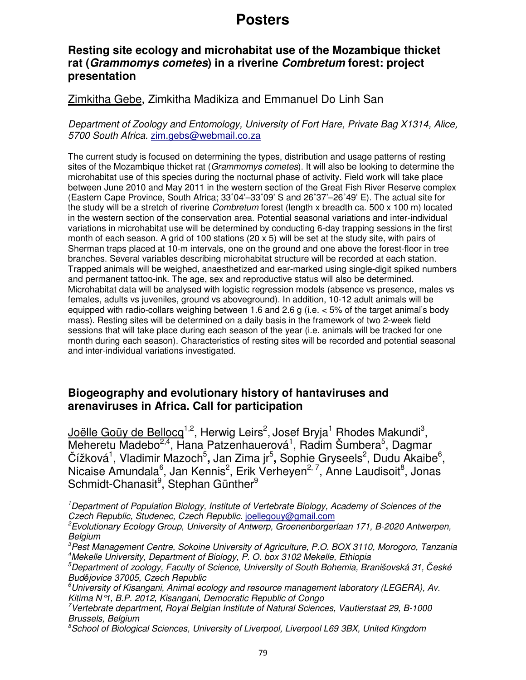### **Resting site ecology and microhabitat use of the Mozambique thicket rat (Grammomys cometes) in a riverine Combretum forest: project presentation**

### Zimkitha Gebe, Zimkitha Madikiza and Emmanuel Do Linh San

Department of Zoology and Entomology, University of Fort Hare, Private Bag X1314, Alice, 5700 South Africa. zim.gebs@webmail.co.za

The current study is focused on determining the types, distribution and usage patterns of resting sites of the Mozambique thicket rat (Grammomys cometes). It will also be looking to determine the microhabitat use of this species during the nocturnal phase of activity. Field work will take place between June 2010 and May 2011 in the western section of the Great Fish River Reserve complex (Eastern Cape Province, South Africa; 33**˚**04'–33˚09' S and 26˚37'–26˚49' E). The actual site for the study will be a stretch of riverine Combretum forest (length x breadth ca. 500  $\times$  100 m) located in the western section of the conservation area. Potential seasonal variations and inter-individual variations in microhabitat use will be determined by conducting 6-day trapping sessions in the first month of each season. A grid of 100 stations (20  $\times$  5) will be set at the study site, with pairs of Sherman traps placed at 10-m intervals, one on the ground and one above the forest-floor in tree branches. Several variables describing microhabitat structure will be recorded at each station. Trapped animals will be weighed, anaesthetized and ear-marked using single-digit spiked numbers and permanent tattoo-ink. The age, sex and reproductive status will also be determined. Microhabitat data will be analysed with logistic regression models (absence vs presence, males vs females, adults vs juveniles, ground vs aboveground). In addition, 10-12 adult animals will be equipped with radio-collars weighing between 1.6 and 2.6 g (i.e. < 5% of the target animal's body mass). Resting sites will be determined on a daily basis in the framework of two 2-week field sessions that will take place during each season of the year (i.e. animals will be tracked for one month during each season). Characteristics of resting sites will be recorded and potential seasonal and inter-individual variations investigated.

### **Biogeography and evolutionary history of hantaviruses and arenaviruses in Africa. Call for participation**

<u>Joëlle Goüy de Bellocq<sup>1,2</sup>,</u> Herwig Leirs<sup>2</sup>, Josef Bryja<sup>1</sup> Rhodes Makundi<sup>3</sup>, Meheretu Madebo<sup>2,4</sup>, Hana Patzenhauerová<sup>1</sup>, Radim Šumbera<sup>5</sup>, Dagmar Čížková<sup>1</sup>, Vladimir Mazoch<sup>5</sup>, Jan Zima jr<sup>5</sup>, Sophie Gryseels<sup>2</sup>, Dudu Akaibe<sup>6</sup>, Nicaise Amundala<sup>6</sup>, Jan Kennis<sup>2</sup>, Erik Verheyen<sup>2, 7</sup>, Anne Laudisoit<sup>8</sup>, Jonas Schmidt-Chanasit<sup>9</sup>, Stephan Günther<sup>9</sup>

<sup>1</sup>Department of Population Biology, Institute of Vertebrate Biology, Academy of Sciences of the Czech Republic, Studenec, Czech Republic. joellegouy@gmail.com

<sup>3</sup>Pest Management Centre, Sokoine University of Agriculture, P.O. BOX 3110, Morogoro, Tanzania <sup>4</sup>Mekelle University, Department of Biology, P. O. box 3102 Mekelle, Ethiopia

<sup>&</sup>lt;sup>2</sup>Evolutionary Ecology Group, University of Antwerp, Groenenborgerlaan 171, B-2020 Antwerpen, **Belgium** 

 $5$ Department of zoology, Faculty of Science, University of South Bohemia, Branišovská 31, České Budějovice 37005, Czech Republic

 $^6$ University of Kisangani, Animal ecology and resource management laboratory (LEGERA), Av. Kitima N°1, B.P. 2012, Kisangani, Democratic Republic of Congo

<sup>7</sup>Vertebrate department, Royal Belgian Institute of Natural Sciences, Vautierstaat 29, B-1000 Brussels, Belgium

 ${}^{\beta}$ School of Biological Sciences, University of Liverpool, Liverpool L69 3BX, United Kingdom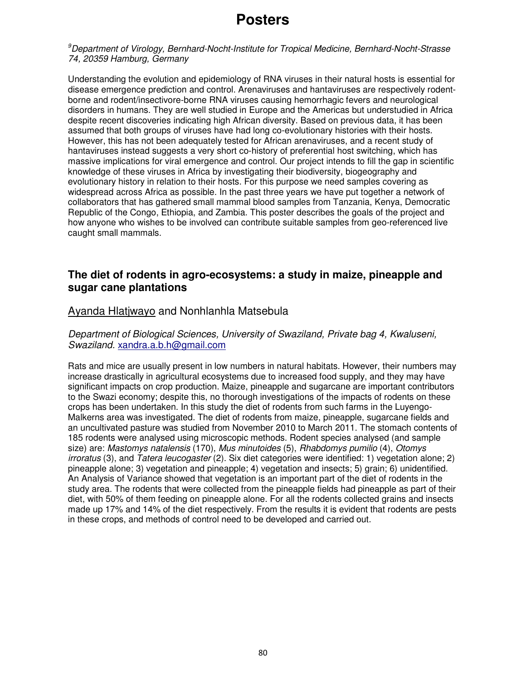<sup>9</sup>Department of Virology, Bernhard-Nocht-Institute for Tropical Medicine, Bernhard-Nocht-Strasse 74, 20359 Hamburg, Germany

Understanding the evolution and epidemiology of RNA viruses in their natural hosts is essential for disease emergence prediction and control. Arenaviruses and hantaviruses are respectively rodentborne and rodent/insectivore-borne RNA viruses causing hemorrhagic fevers and neurological disorders in humans. They are well studied in Europe and the Americas but understudied in Africa despite recent discoveries indicating high African diversity. Based on previous data, it has been assumed that both groups of viruses have had long co-evolutionary histories with their hosts. However, this has not been adequately tested for African arenaviruses, and a recent study of hantaviruses instead suggests a very short co-history of preferential host switching, which has massive implications for viral emergence and control. Our project intends to fill the gap in scientific knowledge of these viruses in Africa by investigating their biodiversity, biogeography and evolutionary history in relation to their hosts. For this purpose we need samples covering as widespread across Africa as possible. In the past three years we have put together a network of collaborators that has gathered small mammal blood samples from Tanzania, Kenya, Democratic Republic of the Congo, Ethiopia, and Zambia. This poster describes the goals of the project and how anyone who wishes to be involved can contribute suitable samples from geo-referenced live caught small mammals.

#### **The diet of rodents in agro-ecosystems: a study in maize, pineapple and sugar cane plantations**

#### Ayanda Hlatjwayo and Nonhlanhla Matsebula

#### Department of Biological Sciences, University of Swaziland, Private bag 4, Kwaluseni, Swaziland. xandra.a.b.h@gmail.com

Rats and mice are usually present in low numbers in natural habitats. However, their numbers may increase drastically in agricultural ecosystems due to increased food supply, and they may have significant impacts on crop production. Maize, pineapple and sugarcane are important contributors to the Swazi economy; despite this, no thorough investigations of the impacts of rodents on these crops has been undertaken. In this study the diet of rodents from such farms in the Luyengo-Malkerns area was investigated. The diet of rodents from maize, pineapple, sugarcane fields and an uncultivated pasture was studied from November 2010 to March 2011. The stomach contents of 185 rodents were analysed using microscopic methods. Rodent species analysed (and sample size) are: Mastomys natalensis (170), Mus minutoides (5), Rhabdomys pumilio (4), Otomys irroratus (3), and Tatera leucogaster (2). Six diet categories were identified: 1) vegetation alone; 2) pineapple alone; 3) vegetation and pineapple; 4) vegetation and insects; 5) grain; 6) unidentified. An Analysis of Variance showed that vegetation is an important part of the diet of rodents in the study area. The rodents that were collected from the pineapple fields had pineapple as part of their diet, with 50% of them feeding on pineapple alone. For all the rodents collected grains and insects made up 17% and 14% of the diet respectively. From the results it is evident that rodents are pests in these crops, and methods of control need to be developed and carried out.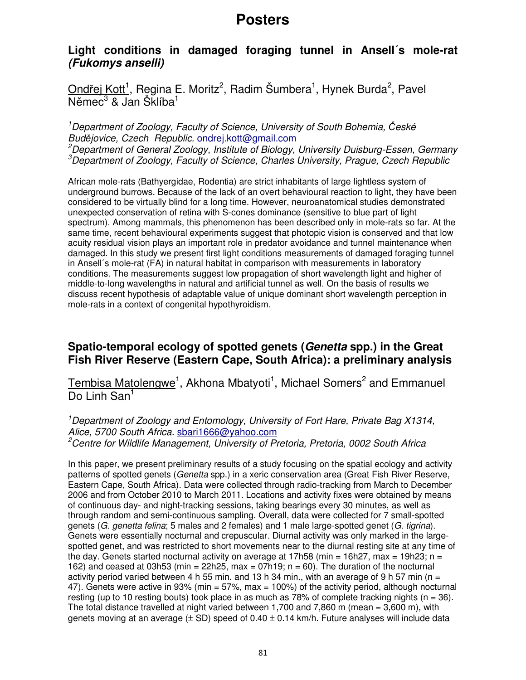### **Light conditions in damaged foraging tunnel in Ansell´s mole-rat (Fukomys anselli)**

Ondřej Kott<sup>1</sup>, Regina E. Moritz<sup>2</sup>, Radim Šumbera<sup>1</sup>, Hynek Burda<sup>2</sup>, Pavel Němec<sup>3</sup> & Jan Šklíba<sup>1</sup>

<sup>1</sup>Department of Zoology, Faculty of Science, University of South Bohemia, České Budějovice, Czech Republic. ondrej.kott@gmail.com <sup>2</sup>Department of General Zoology, Institute of Biology, University Duisburg-Essen, Germany  $3$ Department of Zoology, Faculty of Science, Charles University, Prague, Czech Republic

African mole-rats (Bathyergidae, Rodentia) are strict inhabitants of large lightless system of underground burrows. Because of the lack of an overt behavioural reaction to light, they have been considered to be virtually blind for a long time. However, neuroanatomical studies demonstrated unexpected conservation of retina with S-cones dominance (sensitive to blue part of light spectrum). Among mammals, this phenomenon has been described only in mole-rats so far. At the same time, recent behavioural experiments suggest that photopic vision is conserved and that low acuity residual vision plays an important role in predator avoidance and tunnel maintenance when damaged. In this study we present first light conditions measurements of damaged foraging tunnel in Ansell´s mole-rat (FA) in natural habitat in comparison with measurements in laboratory conditions. The measurements suggest low propagation of short wavelength light and higher of middle-to-long wavelengths in natural and artificial tunnel as well. On the basis of results we discuss recent hypothesis of adaptable value of unique dominant short wavelength perception in mole-rats in a context of congenital hypothyroidism.

### **Spatio-temporal ecology of spotted genets (Genetta spp.) in the Great Fish River Reserve (Eastern Cape, South Africa): a preliminary analysis**

Tembisa Matolengwe<sup>1</sup>, Akhona Mbatyoti<sup>1</sup>, Michael Somers<sup>2</sup> and Emmanuel Do Linh San<sup>1</sup>

<sup>1</sup>Department of Zoology and Entomology, University of Fort Hare, Private Bag X1314, Alice, 5700 South Africa. sbari1666@yahoo.com <sup>2</sup>Centre for Wildlife Management, University of Pretoria, Pretoria, 0002 South Africa

In this paper, we present preliminary results of a study focusing on the spatial ecology and activity patterns of spotted genets (Genetta spp.) in a xeric conservation area (Great Fish River Reserve, Eastern Cape, South Africa). Data were collected through radio-tracking from March to December 2006 and from October 2010 to March 2011. Locations and activity fixes were obtained by means of continuous day- and night-tracking sessions, taking bearings every 30 minutes, as well as through random and semi-continuous sampling. Overall, data were collected for 7 small-spotted genets (G. genetta felina; 5 males and 2 females) and 1 male large-spotted genet (G. tigrina). Genets were essentially nocturnal and crepuscular. Diurnal activity was only marked in the largespotted genet, and was restricted to short movements near to the diurnal resting site at any time of the day. Genets started nocturnal activity on average at 17h58 (min = 16h27, max = 19h23; n = 162) and ceased at 03h53 (min =  $22h25$ , max =  $07h19$ ; n = 60). The duration of the nocturnal activity period varied between 4 h 55 min. and 13 h 34 min., with an average of 9 h 57 min (n = 47). Genets were active in 93% (min = 57%, max = 100%) of the activity period, although nocturnal resting (up to 10 resting bouts) took place in as much as 78% of complete tracking nights ( $n = 36$ ). The total distance travelled at night varied between 1,700 and 7,860 m (mean = 3,600 m), with genets moving at an average  $(\pm$  SD) speed of 0.40  $\pm$  0.14 km/h. Future analyses will include data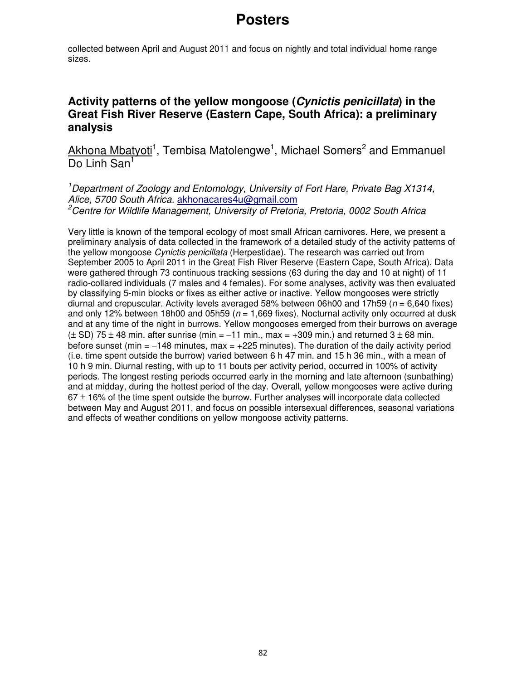collected between April and August 2011 and focus on nightly and total individual home range sizes.

## **Activity patterns of the yellow mongoose (Cynictis penicillata) in the Great Fish River Reserve (Eastern Cape, South Africa): a preliminary analysis**

Akhona Mbatyoti<sup>1</sup>, Tembisa Matolengwe<sup>1</sup>, Michael Somers<sup>2</sup> and Emmanuel Do Linh San<sup>1</sup>

<sup>1</sup> Department of Zoology and Entomology, University of Fort Hare, Private Bag X1314, Alice, 5700 South Africa. akhonacares4u@gmail.com <sup>2</sup>Centre for Wildlife Management, University of Pretoria, Pretoria, 0002 South Africa

Very little is known of the temporal ecology of most small African carnivores. Here, we present a preliminary analysis of data collected in the framework of a detailed study of the activity patterns of the yellow mongoose Cynictis penicillata (Herpestidae). The research was carried out from September 2005 to April 2011 in the Great Fish River Reserve (Eastern Cape, South Africa). Data were gathered through 73 continuous tracking sessions (63 during the day and 10 at night) of 11 radio-collared individuals (7 males and 4 females). For some analyses, activity was then evaluated by classifying 5-min blocks or fixes as either active or inactive. Yellow mongooses were strictly diurnal and crepuscular. Activity levels averaged 58% between 06h00 and 17h59 ( $n = 6,640$  fixes) and only 12% between 18h00 and 05h59 ( $n = 1,669$  fixes). Nocturnal activity only occurred at dusk and at any time of the night in burrows. Yellow mongooses emerged from their burrows on average  $(\pm$  SD) 75  $\pm$  48 min. after sunrise (min = -11 min., max = +309 min.) and returned 3  $\pm$  68 min. before sunset (min =  $-148$  minutes, max =  $+225$  minutes). The duration of the daily activity period (i.e. time spent outside the burrow) varied between 6 h 47 min. and 15 h 36 min., with a mean of 10 h 9 min. Diurnal resting, with up to 11 bouts per activity period, occurred in 100% of activity periods. The longest resting periods occurred early in the morning and late afternoon (sunbathing) and at midday, during the hottest period of the day. Overall, yellow mongooses were active during  $67 \pm 16\%$  of the time spent outside the burrow. Further analyses will incorporate data collected between May and August 2011, and focus on possible intersexual differences, seasonal variations and effects of weather conditions on yellow mongoose activity patterns.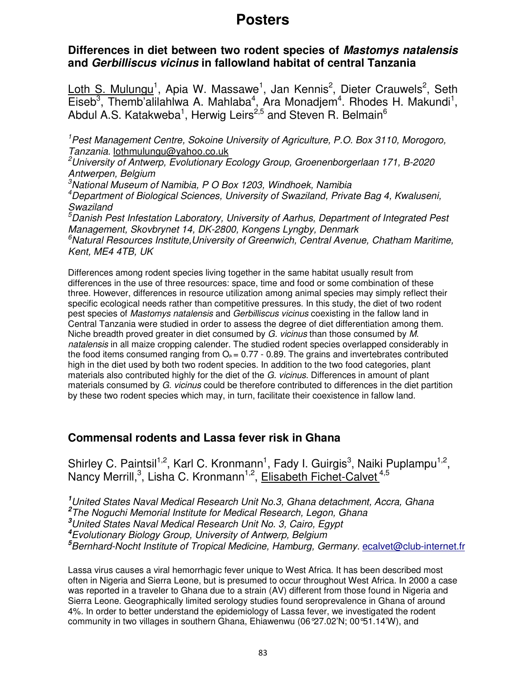### **Differences in diet between two rodent species of Mastomys natalensis and Gerbilliscus vicinus in fallowland habitat of central Tanzania**

Loth S. Mulungu<sup>1</sup>, Apia W. Massawe<sup>1</sup>, Jan Kennis<sup>2</sup>, Dieter Crauwels<sup>2</sup>, Seth Eiseb<sup>3</sup>, Themb'alilahlwa A. Mahlaba<sup>4</sup>, Ara Monadjem<sup>4</sup>. Rhodes H. Makundi<sup>1</sup>, Abdul A.S. Katakweba<sup>1</sup>, Herwig Leirs<sup>2,5</sup> and Steven R. Belmain<sup>6</sup>

<sup>1</sup>Pest Management Centre, Sokoine University of Agriculture, P.O. Box 3110, Morogoro, Tanzania. lothmulungu@yahoo.co.uk

<sup>2</sup>University of Antwerp, Evolutionary Ecology Group, Groenenborgerlaan 171, B-2020 Antwerpen, Belgium

 $3$ National Museum of Namibia, P O Box 1203, Windhoek, Namibia

<sup>4</sup>Department of Biological Sciences, University of Swaziland, Private Bag 4, Kwaluseni, **Swaziland** 

 $\bar{5}$ Danish Pest Infestation Laboratory, University of Aarhus, Department of Integrated Pest Management, Skovbrynet 14, DK-2800, Kongens Lyngby, Denmark  $6$ Natural Resources Institute, University of Greenwich, Central Avenue, Chatham Maritime, Kent, ME4 4TB, UK

Differences among rodent species living together in the same habitat usually result from differences in the use of three resources: space, time and food or some combination of these three. However, differences in resource utilization among animal species may simply reflect their specific ecological needs rather than competitive pressures. In this study, the diet of two rodent pest species of Mastomys natalensis and Gerbilliscus vicinus coexisting in the fallow land in Central Tanzania were studied in order to assess the degree of diet differentiation among them. Niche breadth proved greater in diet consumed by G. vicinus than those consumed by M. natalensis in all maize cropping calender. The studied rodent species overlapped considerably in the food items consumed ranging from  $O_k = 0.77 - 0.89$ . The grains and invertebrates contributed high in the diet used by both two rodent species. In addition to the two food categories, plant materials also contributed highly for the diet of the G. vicinus. Differences in amount of plant materials consumed by G. vicinus could be therefore contributed to differences in the diet partition by these two rodent species which may, in turn, facilitate their coexistence in fallow land.

### **Commensal rodents and Lassa fever risk in Ghana**

Shirley C. Paintsil<sup>1,2</sup>, Karl C. Kronmann<sup>1</sup>, Fady I. Guirgis<sup>3</sup>, Naiki Puplampu<sup>1,2</sup>, Nancy Merrill,<sup>3</sup>, Lisha C. Kronmann<sup>1,2</sup>, Elisabeth Fichet-Calvet<sup>4,5</sup>

United States Naval Medical Research Unit No.3, Ghana detachment, Accra, Ghana The Noguchi Memorial Institute for Medical Research, Legon, Ghana United States Naval Medical Research Unit No. 3, Cairo, Egypt Evolutionary Biology Group, University of Antwerp, Belgium Bernhard-Nocht Institute of Tropical Medicine, Hamburg, Germany. ecalvet@club-internet.fr

Lassa virus causes a viral hemorrhagic fever unique to West Africa. It has been described most often in Nigeria and Sierra Leone, but is presumed to occur throughout West Africa. In 2000 a case was reported in a traveler to Ghana due to a strain (AV) different from those found in Nigeria and Sierra Leone. Geographically limited serology studies found seroprevalence in Ghana of around 4%. In order to better understand the epidemiology of Lassa fever, we investigated the rodent community in two villages in southern Ghana, Ehiawenwu (06°27.02'N; 00°51.14'W), and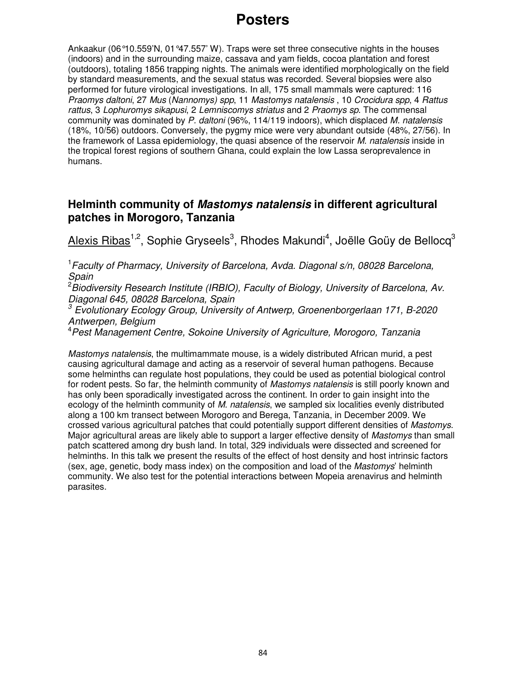Ankaakur (06°10.559'N, 01°47.557' W). Traps were set three consecutive nights in the houses (indoors) and in the surrounding maize, cassava and yam fields, cocoa plantation and forest (outdoors), totaling 1856 trapping nights. The animals were identified morphologically on the field by standard measurements, and the sexual status was recorded. Several biopsies were also performed for future virological investigations. In all, 175 small mammals were captured: 116 Praomys daltoni, 27 Mus (Nannomys) spp, 11 Mastomys natalensis , 10 Crocidura spp, 4 Rattus rattus, 3 Lophuromys sikapusi, 2 Lemniscomys striatus and 2 Praomys sp. The commensal community was dominated by P. daltoni (96%, 114/119 indoors), which displaced M. natalensis (18%, 10/56) outdoors. Conversely, the pygmy mice were very abundant outside (48%, 27/56). In the framework of Lassa epidemiology, the quasi absence of the reservoir M. natalensis inside in the tropical forest regions of southern Ghana, could explain the low Lassa seroprevalence in humans.

### **Helminth community of Mastomys natalensis in different agricultural patches in Morogoro, Tanzania**

<u>Alexis Ribas</u><sup>1,2</sup>, Sophie Gryseels<sup>3</sup>, Rhodes Makundi<sup>4</sup>, Joëlle Goüy de Bellocq<sup>3</sup>

<sup>1</sup> Faculty of Pharmacy, University of Barcelona, Avda. Diagonal s/n, 08028 Barcelona, Spain

 $2\overline{B}$ iodiversity Research Institute (IRBIO), Faculty of Biology, University of Barcelona, Av. Diagonal 645, 08028 Barcelona, Spain

 $3$  Evolutionary Ecology Group, University of Antwerp, Groenenborgerlaan 171, B-2020 Antwerpen, Belgium

<sup>4</sup>Pest Management Centre, Sokoine University of Agriculture, Morogoro, Tanzania

Mastomys natalensis, the multimammate mouse, is a widely distributed African murid, a pest causing agricultural damage and acting as a reservoir of several human pathogens. Because some helminths can regulate host populations, they could be used as potential biological control for rodent pests. So far, the helminth community of Mastomys natalensis is still poorly known and has only been sporadically investigated across the continent. In order to gain insight into the ecology of the helminth community of M. natalensis, we sampled six localities evenly distributed along a 100 km transect between Morogoro and Berega, Tanzania, in December 2009. We crossed various agricultural patches that could potentially support different densities of Mastomys. Major agricultural areas are likely able to support a larger effective density of *Mastomys* than small patch scattered among dry bush land. In total, 329 individuals were dissected and screened for helminths. In this talk we present the results of the effect of host density and host intrinsic factors (sex, age, genetic, body mass index) on the composition and load of the Mastomys' helminth community. We also test for the potential interactions between Mopeia arenavirus and helminth parasites.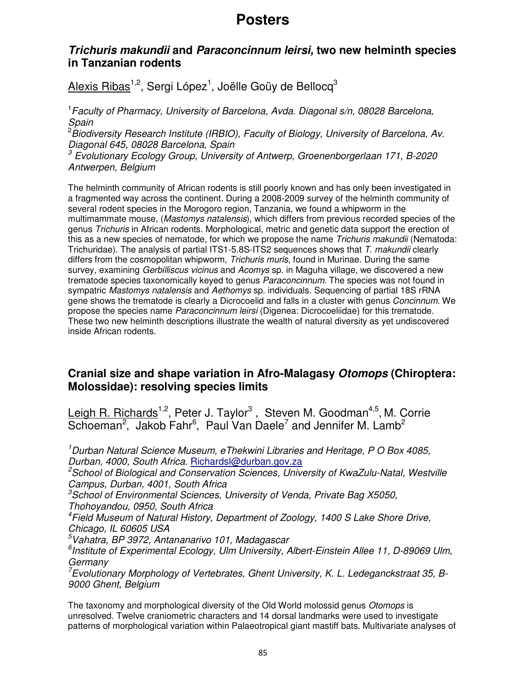### **Trichuris makundii and Paraconcinnum leirsi, two new helminth species in Tanzanian rodents**

 $\overline{\mathsf{Alexis}\; \mathsf{Ribas}}^{1,2},$  Sergi López $^1$ , Joëlle Goüy de Bellocq $^3$ 

<sup>1</sup> Faculty of Pharmacy, University of Barcelona, Avda. Diagonal s/n, 08028 Barcelona, Spain

<sup>2</sup> Biodiversity Research Institute (IRBIO), Faculty of Biology, University of Barcelona, Av. Diagonal 645, 08028 Barcelona, Spain

 $3$  Evolutionary Ecology Group, University of Antwerp, Groenenborgerlaan 171, B-2020 Antwerpen, Belgium

The helminth community of African rodents is still poorly known and has only been investigated in a fragmented way across the continent. During a 2008-2009 survey of the helminth community of several rodent species in the Morogoro region, Tanzania, we found a whipworm in the multimammate mouse, (Mastomys natalensis), which differs from previous recorded species of the genus Trichuris in African rodents. Morphological, metric and genetic data support the erection of this as a new species of nematode, for which we propose the name Trichuris makundii (Nematoda: Trichuridae). The analysis of partial ITS1-5.8S-ITS2 sequences shows that T. makundii clearly differs from the cosmopolitan whipworm, Trichuris muris, found in Murinae. During the same survey, examining Gerbilliscus vicinus and Acomys sp. in Maguha village, we discovered a new trematode species taxonomically keyed to genus *Paraconcinnum*. The species was not found in sympatric Mastomys natalensis and Aethomys sp. individuals. Sequencing of partial 18S rRNA gene shows the trematode is clearly a Dicrocoelid and falls in a cluster with genus Concinnum. We propose the species name Paraconcinnum leirsi (Digenea: Dicrocoeliidae) for this trematode. These two new helminth descriptions illustrate the wealth of natural diversity as yet undiscovered inside African rodents.

## **Cranial size and shape variation in Afro-Malagasy Otomops (Chiroptera: Molossidae): resolving species limits**

Leigh R. Richards<sup>1,2</sup>, Peter J. Taylor<sup>3</sup>, Steven M. Goodman<sup>4,5</sup>, M. Corrie  $Schoeman<sup>2</sup>$ , Jakob Fahr<sup>6</sup>, Paul Van Daele<sup>7</sup> and Jennifer M. Lamb<sup>2</sup>

<sup>1</sup>Durban Natural Science Museum, eThekwini Libraries and Heritage, P O Box 4085, Durban, 4000, South Africa. Richardsl@durban.gov.za

 $2$ School of Biological and Conservation Sciences, University of KwaZulu-Natal, Westville Campus, Durban, 4001, South Africa

<sup>3</sup>School of Environmental Sciences, University of Venda, Private Bag X5050, Thohoyandou, 0950, South Africa

<sup>4</sup> Field Museum of Natural History, Department of Zoology, 1400 S Lake Shore Drive, Chicago, IL 60605 USA

 $5$ Vahatra, BP 3972, Antananarivo 101, Madagascar

<sup>6</sup>Institute of Experimental Ecology, Ulm University, Albert-Einstein Allee 11, D-89069 Ulm, **Germany** 

 $7$ Evolutionary Morphology of Vertebrates, Ghent University, K. L. Ledeganckstraat 35, B-9000 Ghent, Belgium

The taxonomy and morphological diversity of the Old World molossid genus *Otomops* is unresolved. Twelve craniometric characters and 14 dorsal landmarks were used to investigate patterns of morphological variation within Palaeotropical giant mastiff bats. Multivariate analyses of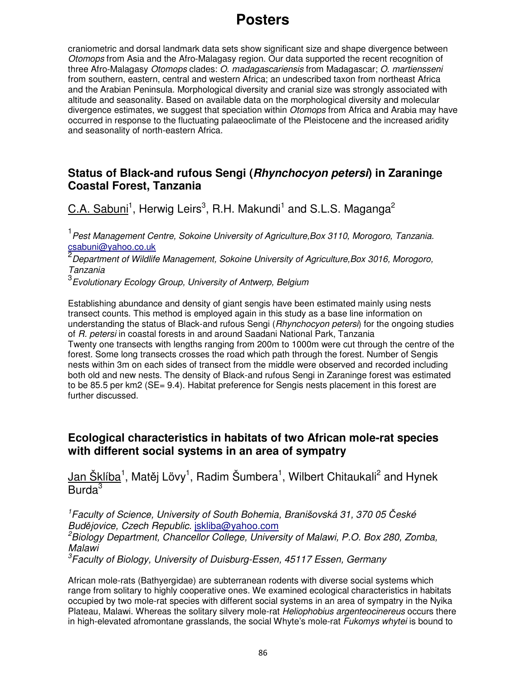craniometric and dorsal landmark data sets show significant size and shape divergence between Otomops from Asia and the Afro-Malagasy region. Our data supported the recent recognition of three Afro-Malagasy Otomops clades: O. madagascariensis from Madagascar; O. martiensseni from southern, eastern, central and western Africa; an undescribed taxon from northeast Africa and the Arabian Peninsula. Morphological diversity and cranial size was strongly associated with altitude and seasonality. Based on available data on the morphological diversity and molecular divergence estimates, we suggest that speciation within *Otomops* from Africa and Arabia may have occurred in response to the fluctuating palaeoclimate of the Pleistocene and the increased aridity and seasonality of north-eastern Africa.

### **Status of Black-and rufous Sengi (Rhynchocyon petersi) in Zaraninge Coastal Forest, Tanzania**

 $C.A.$  Sabuni<sup>1</sup>, Herwig Leirs<sup>3</sup>, R.H. Makundi<sup>1</sup> and S.L.S. Maganga<sup>2</sup>

<sup>1</sup> Pest Management Centre, Sokoine University of Agriculture,Box 3110, Morogoro, Tanzania. csabuni@yahoo.co.uk

<sup>2</sup> Department of Wildlife Management, Sokoine University of Agriculture,Box 3016, Morogoro, Tanzania

 $^3$ Evolutionary Ecology Group, University of Antwerp, Belgium

Establishing abundance and density of giant sengis have been estimated mainly using nests transect counts. This method is employed again in this study as a base line information on understanding the status of Black-and rufous Sengi (*Rhynchocyon petersi*) for the ongoing studies of R. petersi in coastal forests in and around Saadani National Park, Tanzania Twenty one transects with lengths ranging from 200m to 1000m were cut through the centre of the forest. Some long transects crosses the road which path through the forest. Number of Sengis nests within 3m on each sides of transect from the middle were observed and recorded including both old and new nests. The density of Black-and rufous Sengi in Zaraninge forest was estimated to be 85.5 per km2 (SE= 9.4). Habitat preference for Sengis nests placement in this forest are further discussed.

#### **Ecological characteristics in habitats of two African mole-rat species with different social systems in an area of sympatry**

Jan Šklíba<sup>1</sup>, Matěj Lövy<sup>1</sup>, Radim Šumbera<sup>1</sup>, Wilbert Chitaukali<sup>2</sup> and Hynek Burda $3$ 

<sup>1</sup>Faculty of Science, University of South Bohemia, Branišovská 31, 370 05 České Budějovice, Czech Republic. jskliba@yahoo.com

<sup>2</sup>Biology Department, Chancellor College, University of Malawi, P.O. Box 280, Zomba, Malawi

<sup>3</sup>Faculty of Biology, University of Duisburg-Essen, 45117 Essen, Germany

African mole-rats (Bathyergidae) are subterranean rodents with diverse social systems which range from solitary to highly cooperative ones. We examined ecological characteristics in habitats occupied by two mole-rat species with different social systems in an area of sympatry in the Nyika Plateau, Malawi. Whereas the solitary silvery mole-rat Heliophobius argenteocinereus occurs there in high-elevated afromontane grasslands, the social Whyte's mole-rat Fukomys whytei is bound to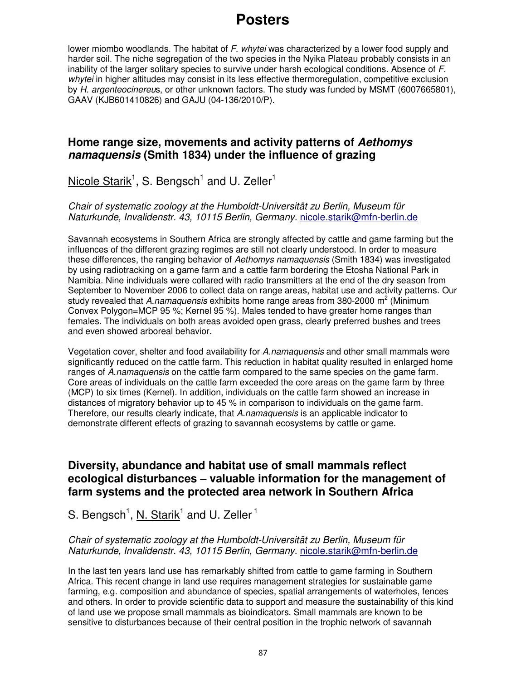lower miombo woodlands. The habitat of  $F$ . whytei was characterized by a lower food supply and harder soil. The niche segregation of the two species in the Nyika Plateau probably consists in an inability of the larger solitary species to survive under harsh ecological conditions. Absence of F. whytei in higher altitudes may consist in its less effective thermoregulation, competitive exclusion by H. argenteocinereus, or other unknown factors. The study was funded by MSMT (6007665801), GAAV (KJB601410826) and GAJU (04-136/2010/P).

### **Home range size, movements and activity patterns of Aethomys namaquensis (Smith 1834) under the influence of grazing**

Nicole Starik<sup>1</sup>, S. Bengsch<sup>1</sup> and U. Zeller<sup>1</sup>

Chair of systematic zoology at the Humboldt-Universität zu Berlin, Museum für Naturkunde, Invalidenstr. 43, 10115 Berlin, Germany. nicole.starik@mfn-berlin.de

Savannah ecosystems in Southern Africa are strongly affected by cattle and game farming but the influences of the different grazing regimes are still not clearly understood. In order to measure these differences, the ranging behavior of Aethomys namaquensis (Smith 1834) was investigated by using radiotracking on a game farm and a cattle farm bordering the Etosha National Park in Namibia. Nine individuals were collared with radio transmitters at the end of the dry season from September to November 2006 to collect data on range areas, habitat use and activity patterns. Our study revealed that A.namaquensis exhibits home range areas from 380-2000 m<sup>2</sup> (Minimum Convex Polygon=MCP 95 %; Kernel 95 %). Males tended to have greater home ranges than females. The individuals on both areas avoided open grass, clearly preferred bushes and trees and even showed arboreal behavior.

Vegetation cover, shelter and food availability for A.namaquensis and other small mammals were significantly reduced on the cattle farm. This reduction in habitat quality resulted in enlarged home ranges of A.namaquensis on the cattle farm compared to the same species on the game farm. Core areas of individuals on the cattle farm exceeded the core areas on the game farm by three (MCP) to six times (Kernel). In addition, individuals on the cattle farm showed an increase in distances of migratory behavior up to 45 % in comparison to individuals on the game farm. Therefore, our results clearly indicate, that A.namaquensis is an applicable indicator to demonstrate different effects of grazing to savannah ecosystems by cattle or game.

### **Diversity, abundance and habitat use of small mammals reflect ecological disturbances – valuable information for the management of farm systems and the protected area network in Southern Africa**

S. Bengsch<sup>1</sup>, N. Starik<sup>1</sup> and U. Zeller<sup>1</sup>

#### Chair of systematic zoology at the Humboldt-Universität zu Berlin, Museum für Naturkunde, Invalidenstr. 43, 10115 Berlin, Germany. nicole.starik@mfn-berlin.de

In the last ten years land use has remarkably shifted from cattle to game farming in Southern Africa. This recent change in land use requires management strategies for sustainable game farming, e.g. composition and abundance of species, spatial arrangements of waterholes, fences and others. In order to provide scientific data to support and measure the sustainability of this kind of land use we propose small mammals as bioindicators. Small mammals are known to be sensitive to disturbances because of their central position in the trophic network of savannah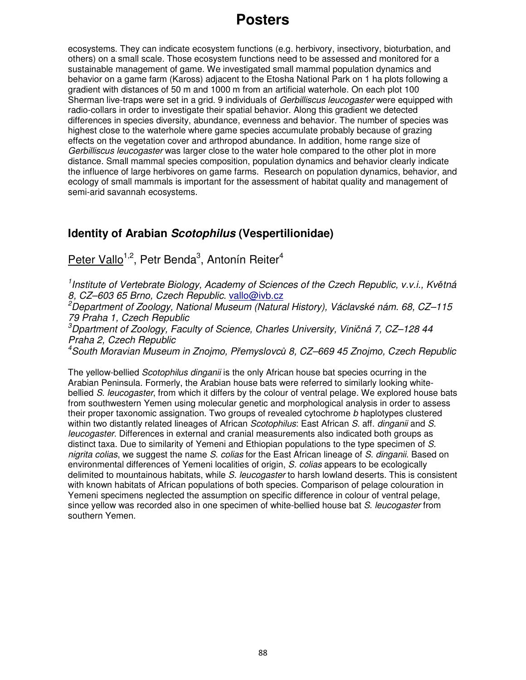ecosystems. They can indicate ecosystem functions (e.g. herbivory, insectivory, bioturbation, and others) on a small scale. Those ecosystem functions need to be assessed and monitored for a sustainable management of game. We investigated small mammal population dynamics and behavior on a game farm (Kaross) adjacent to the Etosha National Park on 1 ha plots following a gradient with distances of 50 m and 1000 m from an artificial waterhole. On each plot 100 Sherman live-traps were set in a grid. 9 individuals of Gerbilliscus leucogaster were equipped with radio-collars in order to investigate their spatial behavior. Along this gradient we detected differences in species diversity, abundance, evenness and behavior. The number of species was highest close to the waterhole where game species accumulate probably because of grazing effects on the vegetation cover and arthropod abundance. In addition, home range size of Gerbilliscus leucogaster was larger close to the water hole compared to the other plot in more distance. Small mammal species composition, population dynamics and behavior clearly indicate the influence of large herbivores on game farms. Research on population dynamics, behavior, and ecology of small mammals is important for the assessment of habitat quality and management of semi-arid savannah ecosystems.

# **Identity of Arabian Scotophilus (Vespertilionidae)**

Peter Vallo<sup>1,2</sup>, Petr Benda<sup>3</sup>, Antonín Reiter<sup>4</sup>

<sup>1</sup> Institute of Vertebrate Biology, Academy of Sciences of the Czech Republic, v.v.i., Květná 8, CZ–603 65 Brno, Czech Republic. vallo@ivb.cz

<sup>2</sup>Department of Zoology, National Museum (Natural History), Václavské nám. 68, CZ–115 79 Praha 1, Czech Republic

 $3$ Dpartment of Zoology, Faculty of Science, Charles University, Viničná 7, CZ-128 44 Praha 2, Czech Republic

<sup>4</sup>South Moravian Museum in Znojmo, Přemyslovců 8, CZ–669 45 Znojmo, Czech Republic

The yellow-bellied Scotophilus dinganii is the only African house bat species ocurring in the Arabian Peninsula. Formerly, the Arabian house bats were referred to similarly looking whitebellied S. leucogaster, from which it differs by the colour of ventral pelage. We explored house bats from southwestern Yemen using molecular genetic and morphological analysis in order to assess their proper taxonomic assignation. Two groups of revealed cytochrome b haplotypes clustered within two distantly related lineages of African Scotophilus: East African S. aff. dinganii and S. leucogaster. Differences in external and cranial measurements also indicated both groups as distinct taxa. Due to similarity of Yemeni and Ethiopian populations to the type specimen of S. nigrita colias, we suggest the name S. colias for the East African lineage of S. dinganii. Based on environmental differences of Yemeni localities of origin, S. colias appears to be ecologically delimited to mountainous habitats, while S. leucogaster to harsh lowland deserts. This is consistent with known habitats of African populations of both species. Comparison of pelage colouration in Yemeni specimens neglected the assumption on specific difference in colour of ventral pelage, since yellow was recorded also in one specimen of white-bellied house bat S. leucogaster from southern Yemen.